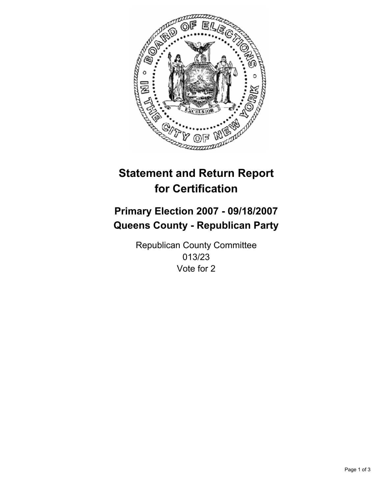

## **Primary Election 2007 - 09/18/2007 Queens County - Republican Party**

Republican County Committee 013/23 Vote for 2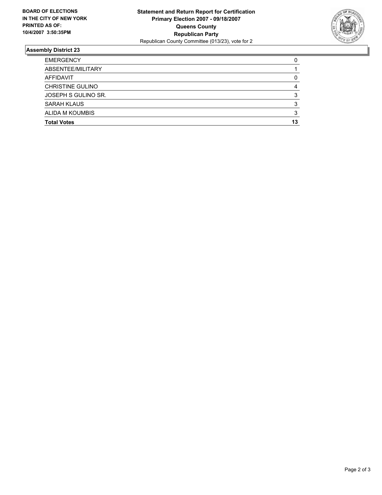

| <b>EMERGENCY</b>        |    |
|-------------------------|----|
| ABSENTEE/MILITARY       |    |
| AFFIDAVIT               |    |
| <b>CHRISTINE GULINO</b> |    |
| JOSEPH S GULINO SR.     |    |
| <b>SARAH KLAUS</b>      |    |
| ALIDA M KOUMBIS         |    |
| <b>Total Votes</b>      | 13 |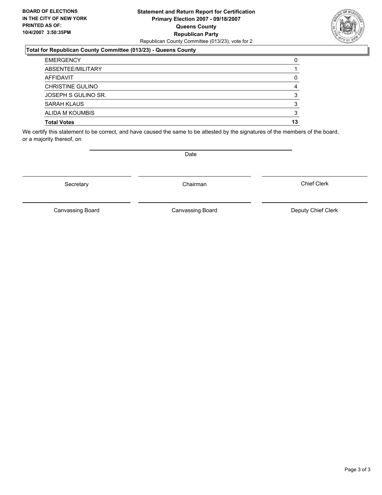## **Statement and Return Report for Certification Primary Election 2007 - 09/18/2007 Queens County Republican Party** Republican County Committee (013/23), vote for 2

## **Total for Republican County Committee (013/23) - Queens County**

| <b>EMERGENCY</b>        |    |
|-------------------------|----|
| ABSENTEE/MILITARY       |    |
| AFFIDAVIT               |    |
| <b>CHRISTINE GULINO</b> |    |
| JOSEPH S GULINO SR.     |    |
| <b>SARAH KLAUS</b>      |    |
| <b>ALIDA M KOUMBIS</b>  |    |
| <b>Total Votes</b>      | 13 |

We certify this statement to be correct, and have caused the same to be attested by the signatures of the members of the board, or a majority thereof, on

Secretary **Chairman** 

Canvassing Board

Canvassing Board Canvassing Board Canvassing Canvassing Board Deputy Chief Clerk

Chief Clerk



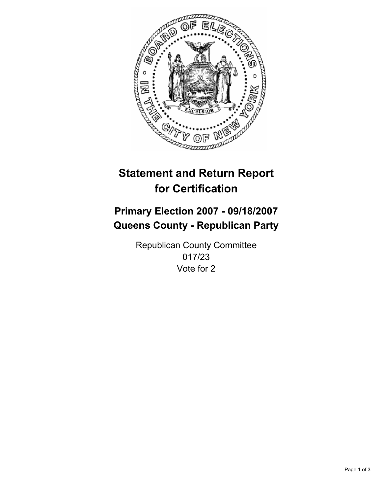

## **Primary Election 2007 - 09/18/2007 Queens County - Republican Party**

Republican County Committee 017/23 Vote for 2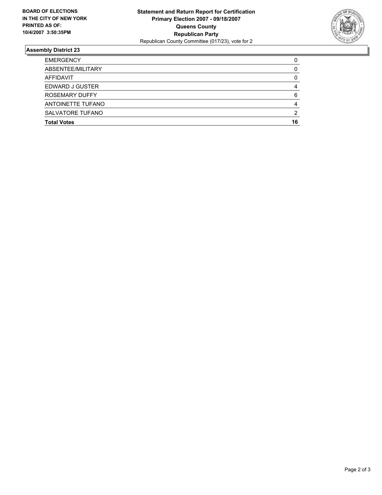

| <b>EMERGENCY</b>        |    |
|-------------------------|----|
| ABSENTEE/MILITARY       |    |
| AFFIDAVIT               |    |
| EDWARD J GUSTER         |    |
| ROSEMARY DUFFY          |    |
| ANTOINETTE TUFANO       |    |
| <b>SALVATORE TUFANO</b> |    |
| <b>Total Votes</b>      | 16 |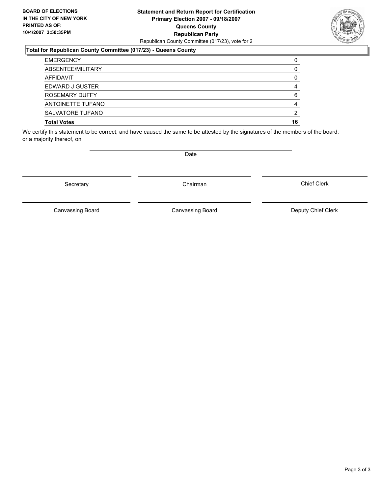## **Statement and Return Report for Certification Primary Election 2007 - 09/18/2007 Queens County Republican Party** Republican County Committee (017/23), vote for 2

## **Total for Republican County Committee (017/23) - Queens County**

| <b>EMERGENCY</b>   |    |
|--------------------|----|
| ABSENTEE/MILITARY  |    |
| AFFIDAVIT          |    |
| EDWARD J GUSTER    |    |
| ROSEMARY DUFFY     | 6  |
| ANTOINETTE TUFANO  |    |
| SALVATORE TUFANO   | າ  |
| <b>Total Votes</b> | 16 |

We certify this statement to be correct, and have caused the same to be attested by the signatures of the members of the board, or a majority thereof, on

Secretary **Chairman** 

Canvassing Board

Date

Canvassing Board Canvassing Board Canvassing Canvassing Board Deputy Chief Clerk

Chief Clerk

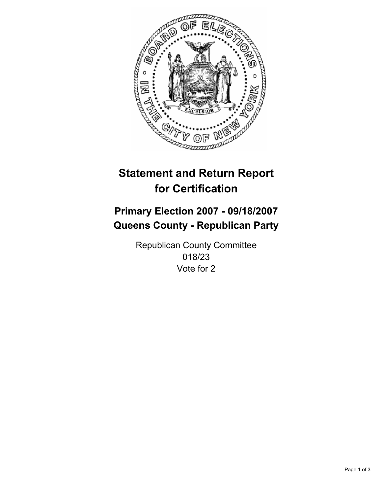

## **Primary Election 2007 - 09/18/2007 Queens County - Republican Party**

Republican County Committee 018/23 Vote for 2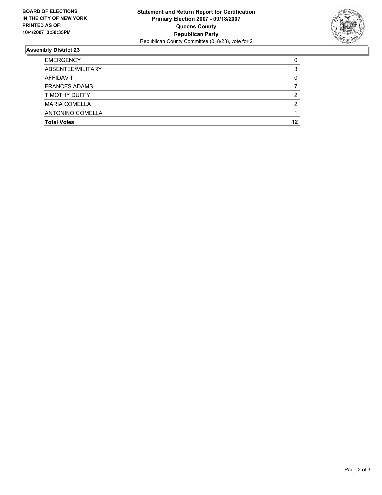

| <b>EMERGENCY</b>     |    |
|----------------------|----|
| ABSENTEE/MILITARY    |    |
| AFFIDAVIT            |    |
| <b>FRANCES ADAMS</b> |    |
| <b>TIMOTHY DUFFY</b> | ◠  |
| <b>MARIA COMELLA</b> |    |
| ANTONINO COMELLA     |    |
| <b>Total Votes</b>   | 12 |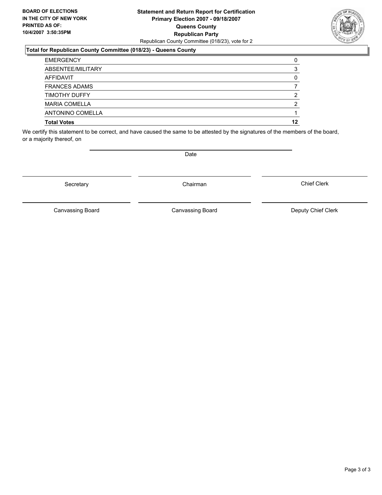## **Statement and Return Report for Certification Primary Election 2007 - 09/18/2007 Queens County Republican Party** Republican County Committee (018/23), vote for 2

## **Total for Republican County Committee (018/23) - Queens County**

| <b>EMERGENCY</b>     |    |
|----------------------|----|
| ABSENTEE/MILITARY    |    |
| AFFIDAVIT            |    |
| <b>FRANCES ADAMS</b> |    |
| <b>TIMOTHY DUFFY</b> |    |
| <b>MARIA COMELLA</b> |    |
| ANTONINO COMELLA     |    |
| <b>Total Votes</b>   | 12 |

We certify this statement to be correct, and have caused the same to be attested by the signatures of the members of the board, or a majority thereof, on

Secretary **Chairman** 

Canvassing Board

Canvassing Board Canvassing Board Canvassing Canvassing Board Deputy Chief Clerk

Chief Clerk

Page 3 of 3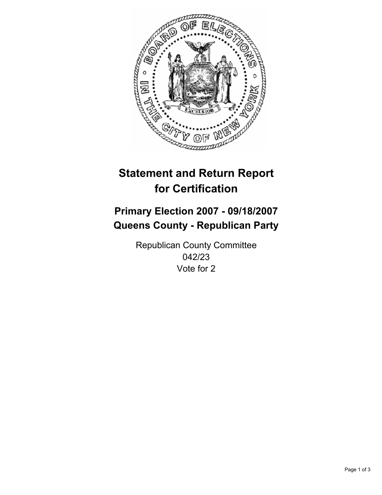

## **Primary Election 2007 - 09/18/2007 Queens County - Republican Party**

Republican County Committee 042/23 Vote for 2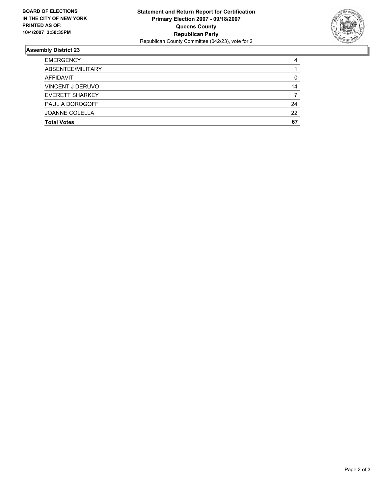

| <b>EMERGENCY</b>        |    |
|-------------------------|----|
| ABSENTEE/MILITARY       |    |
| AFFIDAVIT               |    |
| <b>VINCENT J DERUVO</b> | 14 |
| <b>EVERETT SHARKEY</b>  |    |
| PAUL A DOROGOFF         | 24 |
| <b>JOANNE COLELLA</b>   | 22 |
| <b>Total Votes</b>      | 67 |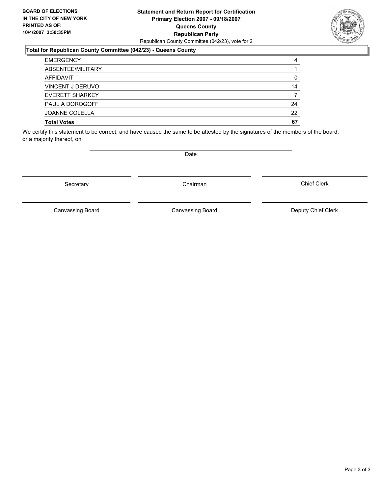## **Statement and Return Report for Certification Primary Election 2007 - 09/18/2007 Queens County Republican Party** Republican County Committee (042/23), vote for 2

## **Total for Republican County Committee (042/23) - Queens County**

| <b>EMERGENCY</b>        | 4  |
|-------------------------|----|
| ABSENTEE/MILITARY       |    |
| AFFIDAVIT               | 0  |
| <b>VINCENT J DERUVO</b> | 14 |
| EVERETT SHARKEY         |    |
| <b>PAUL A DOROGOFF</b>  | 24 |
| <b>JOANNE COLELLA</b>   | 22 |
| <b>Total Votes</b>      | 67 |

We certify this statement to be correct, and have caused the same to be attested by the signatures of the members of the board, or a majority thereof, on

Secretary **Chairman** 

Canvassing Board

Canvassing Board Canvassing Board Canvassing Canvassing Board Deputy Chief Clerk

Chief Clerk

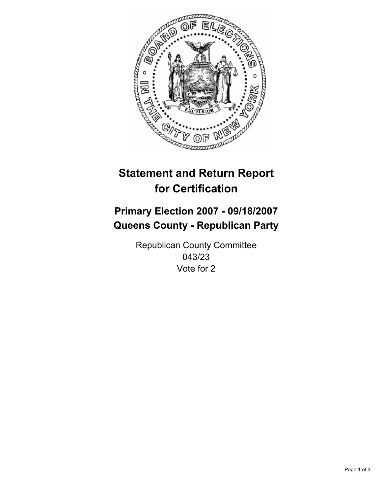

## **Primary Election 2007 - 09/18/2007 Queens County - Republican Party**

Republican County Committee 043/23 Vote for 2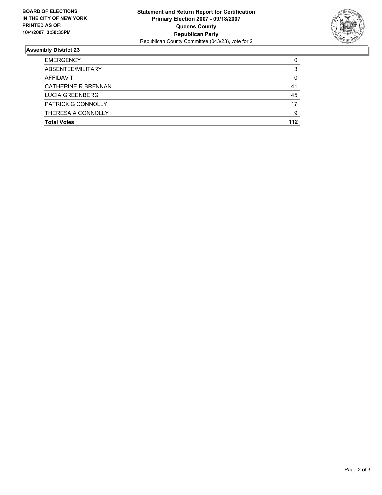

| ABSENTEE/MILITARY<br>AFFIDAVIT<br><b>CATHERINE R BRENNAN</b><br><b>LUCIA GREENBERG</b><br><b>PATRICK G CONNOLLY</b><br>THERESA A CONNOLLY | <b>EMERGENCY</b>   |     |
|-------------------------------------------------------------------------------------------------------------------------------------------|--------------------|-----|
|                                                                                                                                           |                    |     |
|                                                                                                                                           |                    |     |
|                                                                                                                                           |                    | 41  |
|                                                                                                                                           |                    | 45  |
|                                                                                                                                           |                    | 17  |
|                                                                                                                                           |                    | g   |
|                                                                                                                                           | <b>Total Votes</b> | 112 |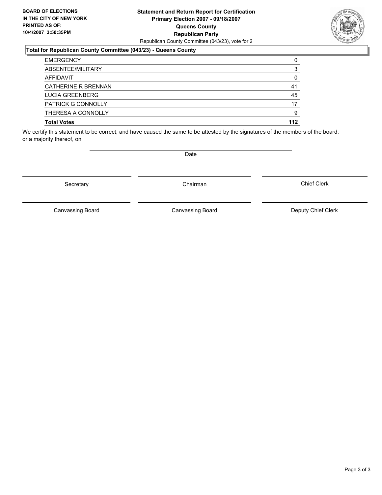## **Statement and Return Report for Certification Primary Election 2007 - 09/18/2007 Queens County Republican Party** Republican County Committee (043/23), vote for 2



### **Total for Republican County Committee (043/23) - Queens County**

| <b>EMERGENCY</b>           |     |
|----------------------------|-----|
| ABSENTEE/MILITARY          |     |
| AFFIDAVIT                  |     |
| <b>CATHERINE R BRENNAN</b> | 41  |
| LUCIA GREENBERG            | 45  |
| <b>PATRICK G CONNOLLY</b>  | 17  |
| THERESA A CONNOLLY         | g   |
| <b>Total Votes</b>         | 112 |

We certify this statement to be correct, and have caused the same to be attested by the signatures of the members of the board, or a majority thereof, on

Secretary **Chairman** 

Date

Chief Clerk

Canvassing Board

Canvassing Board **Canvassing Board** Canvassing Board **Deputy Chief Clerk**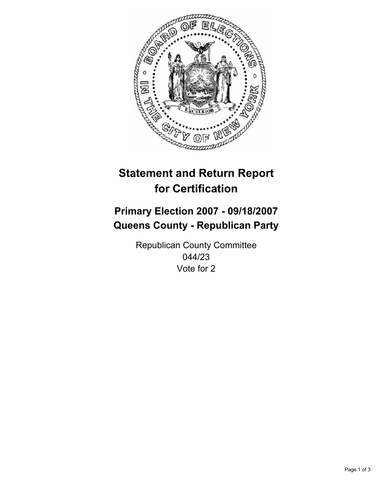

## **Primary Election 2007 - 09/18/2007 Queens County - Republican Party**

Republican County Committee 044/23 Vote for 2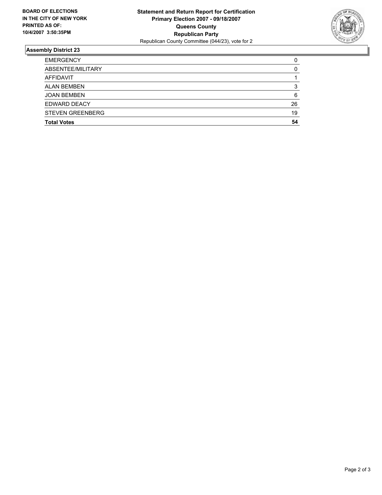

| <b>EMERGENCY</b>        |    |
|-------------------------|----|
| ABSENTEE/MILITARY       |    |
| AFFIDAVIT               |    |
| <b>ALAN BEMBEN</b>      |    |
| <b>JOAN BEMBEN</b>      | 6  |
| EDWARD DEACY            | 26 |
| <b>STEVEN GREENBERG</b> | 19 |
| <b>Total Votes</b>      | 54 |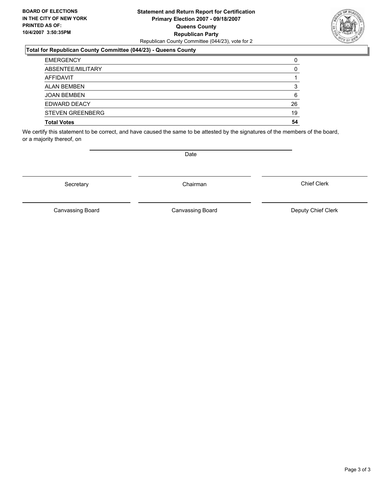## **Statement and Return Report for Certification Primary Election 2007 - 09/18/2007 Queens County Republican Party** Republican County Committee (044/23), vote for 2

## **Total for Republican County Committee (044/23) - Queens County**

| <b>EMERGENCY</b>        |    |
|-------------------------|----|
| ABSENTEE/MILITARY       |    |
| AFFIDAVIT               |    |
| <b>ALAN BEMBEN</b>      |    |
| <b>JOAN BEMBEN</b>      | 6  |
| EDWARD DEACY            | 26 |
| <b>STEVEN GREENBERG</b> | 19 |
| <b>Total Votes</b>      | 54 |

We certify this statement to be correct, and have caused the same to be attested by the signatures of the members of the board, or a majority thereof, on

Secretary **Chairman** 

Chief Clerk

Canvassing Board Canvassing Board Canvassing Board Canvassing Canvassing Board Deputy Chief Clerk

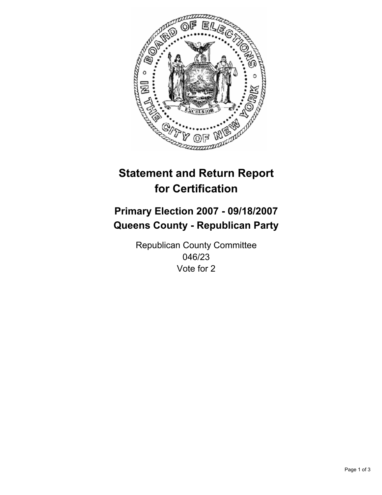

## **Primary Election 2007 - 09/18/2007 Queens County - Republican Party**

Republican County Committee 046/23 Vote for 2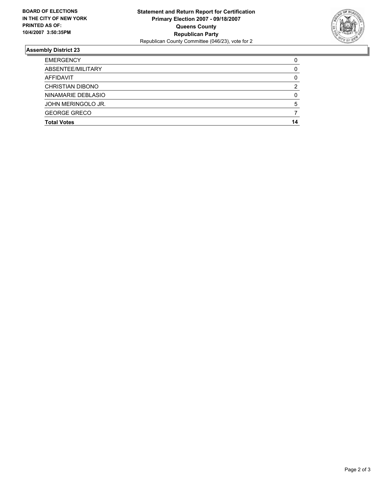

| <b>EMERGENCY</b>        |    |
|-------------------------|----|
| ABSENTEE/MILITARY       |    |
| AFFIDAVIT               |    |
| <b>CHRISTIAN DIBONO</b> |    |
| NINAMARIE DEBLASIO      |    |
| JOHN MERINGOLO JR.      |    |
| <b>GEORGE GRECO</b>     |    |
| <b>Total Votes</b>      | 14 |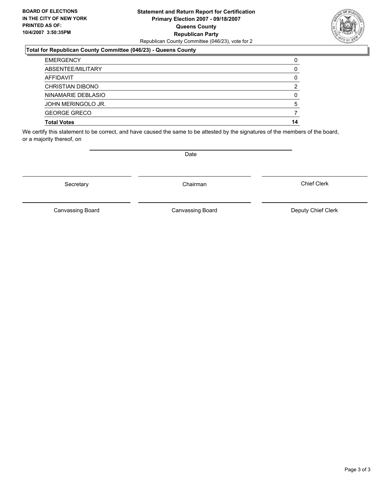## **Statement and Return Report for Certification Primary Election 2007 - 09/18/2007 Queens County Republican Party** Republican County Committee (046/23), vote for 2

## **Total for Republican County Committee (046/23) - Queens County**

| <b>EMERGENCY</b>        |  |
|-------------------------|--|
| ABSENTEE/MILITARY       |  |
| AFFIDAVIT               |  |
| <b>CHRISTIAN DIBONO</b> |  |
| NINAMARIE DEBLASIO      |  |
| JOHN MERINGOLO JR.      |  |
| <b>GEORGE GRECO</b>     |  |
| <b>Total Votes</b>      |  |

We certify this statement to be correct, and have caused the same to be attested by the signatures of the members of the board, or a majority thereof, on

Secretary **Chairman** 

Date

Chief Clerk

Canvassing Board

Canvassing Board **Canvassing Board** Canvassing Board **Deputy Chief Clerk**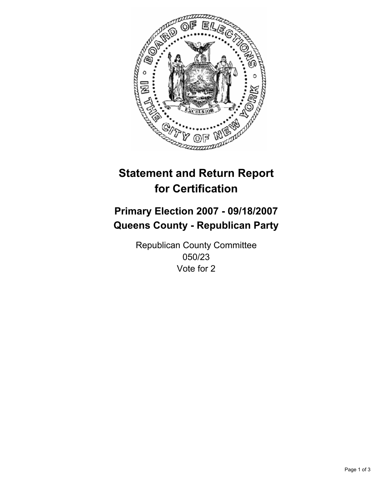

## **Primary Election 2007 - 09/18/2007 Queens County - Republican Party**

Republican County Committee 050/23 Vote for 2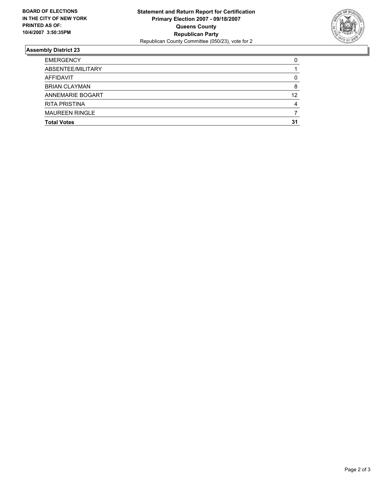

| <b>EMERGENCY</b>        |    |
|-------------------------|----|
| ABSENTEE/MILITARY       |    |
| AFFIDAVIT               |    |
| <b>BRIAN CLAYMAN</b>    |    |
| <b>ANNEMARIE BOGART</b> | 12 |
| <b>RITA PRISTINA</b>    |    |
| <b>MAUREEN RINGLE</b>   |    |
| <b>Total Votes</b>      | 31 |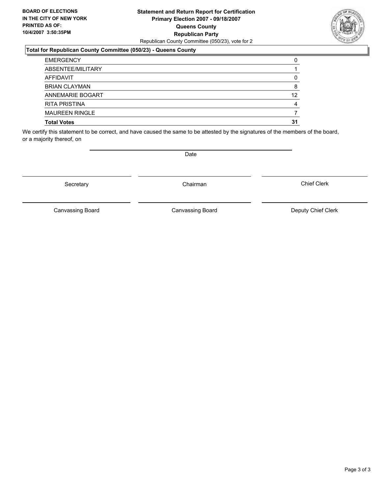## **Statement and Return Report for Certification Primary Election 2007 - 09/18/2007 Queens County Republican Party** Republican County Committee (050/23), vote for 2

## **Total for Republican County Committee (050/23) - Queens County**

| <b>EMERGENCY</b>        |    |
|-------------------------|----|
| ABSENTEE/MILITARY       |    |
| AFFIDAVIT               |    |
| <b>BRIAN CLAYMAN</b>    |    |
| <b>ANNEMARIE BOGART</b> | 12 |
| <b>RITA PRISTINA</b>    |    |
| <b>MAUREEN RINGLE</b>   |    |
| <b>Total Votes</b>      | 31 |

We certify this statement to be correct, and have caused the same to be attested by the signatures of the members of the board, or a majority thereof, on

Secretary **Chairman** 

Chief Clerk

Canvassing Board

Canvassing Board Canvassing Board Canvassing Canvassing Board Deputy Chief Clerk

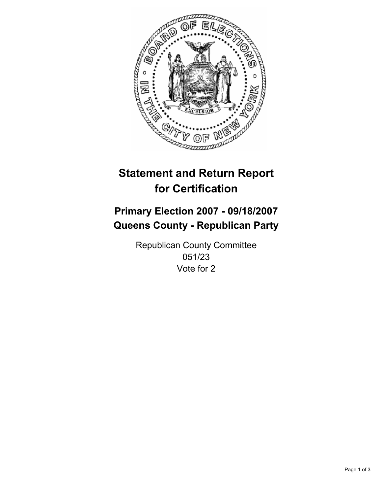

## **Primary Election 2007 - 09/18/2007 Queens County - Republican Party**

Republican County Committee 051/23 Vote for 2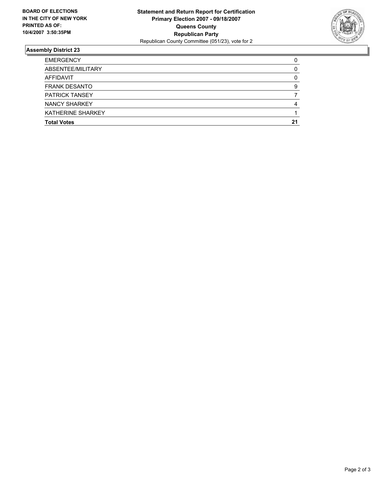

| <b>EMERGENCY</b>      |    |
|-----------------------|----|
| ABSENTEE/MILITARY     |    |
| AFFIDAVIT             |    |
| <b>FRANK DESANTO</b>  |    |
| <b>PATRICK TANSEY</b> |    |
| <b>NANCY SHARKEY</b>  |    |
| KATHERINE SHARKEY     |    |
| <b>Total Votes</b>    | 21 |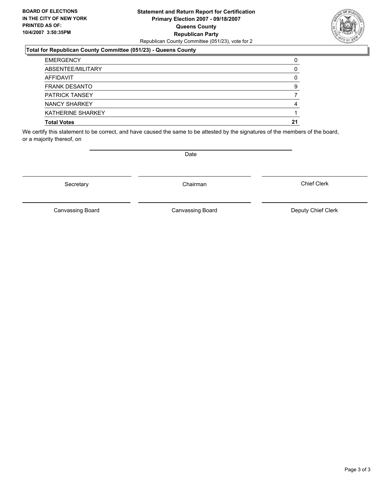## **Statement and Return Report for Certification Primary Election 2007 - 09/18/2007 Queens County Republican Party** Republican County Committee (051/23), vote for 2

## **Total for Republican County Committee (051/23) - Queens County**

| <b>EMERGENCY</b>         |    |
|--------------------------|----|
| ABSENTEE/MILITARY        |    |
| AFFIDAVIT                |    |
| <b>FRANK DESANTO</b>     |    |
| <b>PATRICK TANSEY</b>    |    |
| NANCY SHARKEY            |    |
| <b>KATHERINE SHARKEY</b> |    |
| <b>Total Votes</b>       | 21 |

We certify this statement to be correct, and have caused the same to be attested by the signatures of the members of the board, or a majority thereof, on

Secretary **Chairman** 

Canvassing Board Canvassing Board Canvassing Canvassing Board Deputy Chief Clerk

Chief Clerk

Canvassing Board

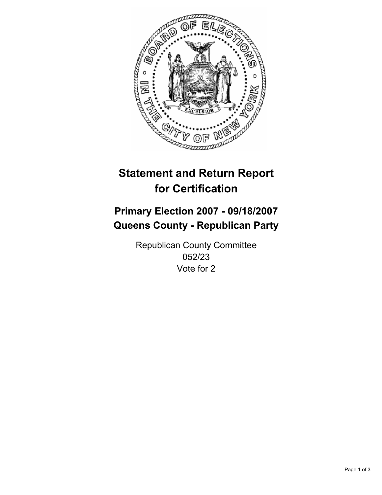

## **Primary Election 2007 - 09/18/2007 Queens County - Republican Party**

Republican County Committee 052/23 Vote for 2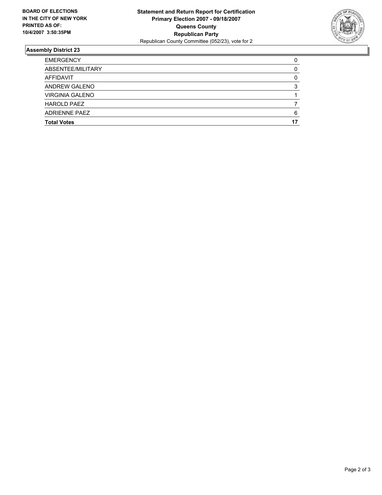

| <b>EMERGENCY</b>       |  |
|------------------------|--|
| ABSENTEE/MILITARY      |  |
| AFFIDAVIT              |  |
| <b>ANDREW GALENO</b>   |  |
| <b>VIRGINIA GALENO</b> |  |
| <b>HAROLD PAEZ</b>     |  |
| <b>ADRIENNE PAEZ</b>   |  |
| <b>Total Votes</b>     |  |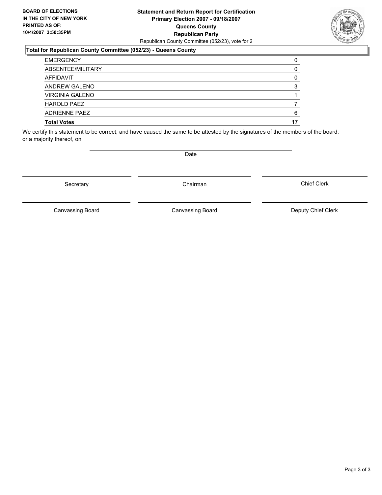## **Statement and Return Report for Certification Primary Election 2007 - 09/18/2007 Queens County Republican Party** Republican County Committee (052/23), vote for 2

## **Total for Republican County Committee (052/23) - Queens County**

| <b>EMERGENCY</b>       |  |
|------------------------|--|
| ABSENTEE/MILITARY      |  |
| AFFIDAVIT              |  |
| <b>ANDREW GALENO</b>   |  |
| <b>VIRGINIA GALENO</b> |  |
| <b>HAROLD PAEZ</b>     |  |
| ADRIFNNF PAFZ          |  |
| <b>Total Votes</b>     |  |

We certify this statement to be correct, and have caused the same to be attested by the signatures of the members of the board, or a majority thereof, on

Secretary **Chairman** 

Chief Clerk

Canvassing Board Canvassing Board Canvassing Board Canvassing Canvassing Board Deputy Chief Clerk

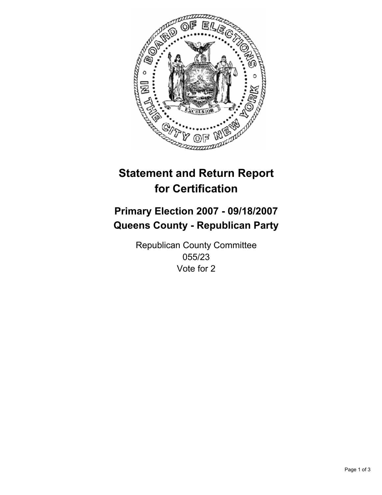

## **Primary Election 2007 - 09/18/2007 Queens County - Republican Party**

Republican County Committee 055/23 Vote for 2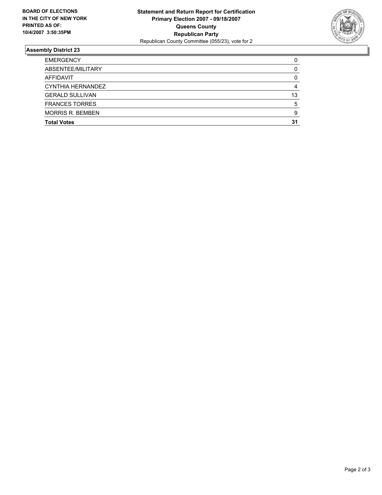

| <b>EMERGENCY</b>        |    |
|-------------------------|----|
| ABSENTEE/MILITARY       |    |
| AFFIDAVIT               |    |
| CYNTHIA HERNANDEZ       |    |
| <b>GERALD SULLIVAN</b>  | 13 |
| <b>FRANCES TORRES</b>   |    |
| <b>MORRIS R. BEMBEN</b> |    |
| <b>Total Votes</b>      | 31 |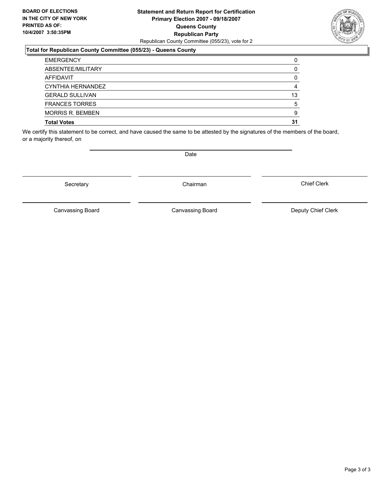## **Statement and Return Report for Certification Primary Election 2007 - 09/18/2007 Queens County Republican Party** Republican County Committee (055/23), vote for 2

## **Total for Republican County Committee (055/23) - Queens County**

| <b>EMERGENCY</b>        |    |
|-------------------------|----|
| ABSENTEE/MILITARY       |    |
| AFFIDAVIT               |    |
| CYNTHIA HERNANDEZ       |    |
| <b>GERALD SULLIVAN</b>  | 13 |
| <b>FRANCES TORRES</b>   |    |
| <b>MORRIS R. BEMBEN</b> |    |
| <b>Total Votes</b>      | 31 |

We certify this statement to be correct, and have caused the same to be attested by the signatures of the members of the board, or a majority thereof, on

Canvassing Board

Chief Clerk



Secretary **Chairman** 

Date

Canvassing Board Canvassing Board Canvassing Canvassing Board Deputy Chief Clerk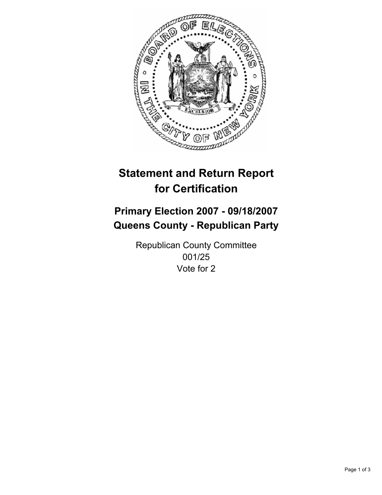

## **Primary Election 2007 - 09/18/2007 Queens County - Republican Party**

Republican County Committee 001/25 Vote for 2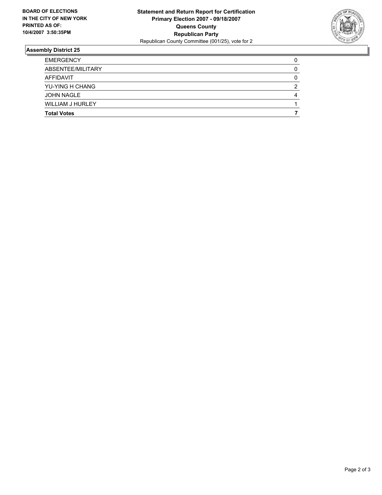

| <b>EMERGENCY</b>        |   |
|-------------------------|---|
| ABSENTEE/MILITARY       |   |
| AFFIDAVIT               |   |
| YU-YING H CHANG         | ◠ |
| JOHN NAGLE              |   |
| <b>WILLIAM J HURLEY</b> |   |
| <b>Total Votes</b>      |   |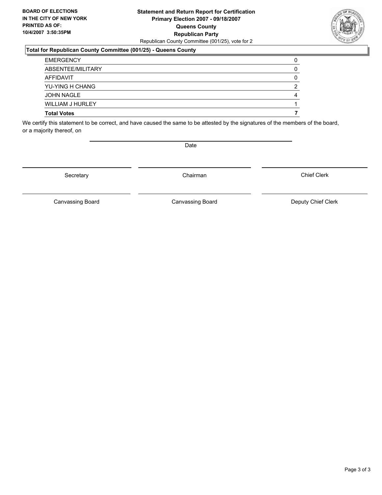## **Statement and Return Report for Certification Primary Election 2007 - 09/18/2007 Queens County Republican Party** Republican County Committee (001/25), vote for 2

### **Total for Republican County Committee (001/25) - Queens County**

| <b>EMERGENCY</b>        |  |
|-------------------------|--|
| ABSENTEE/MILITARY       |  |
| AFFIDAVIT               |  |
| YU-YING H CHANG         |  |
| <b>JOHN NAGLE</b>       |  |
| <b>WILLIAM J HURLEY</b> |  |
| <b>Total Votes</b>      |  |

We certify this statement to be correct, and have caused the same to be attested by the signatures of the members of the board, or a majority thereof, on

Secretary **Chairman** 

Canvassing Board **Canvassing Board** Canvassing Board **Deputy Chief Clerk** 

Canvassing Board

Chief Clerk

Page 3 of 3

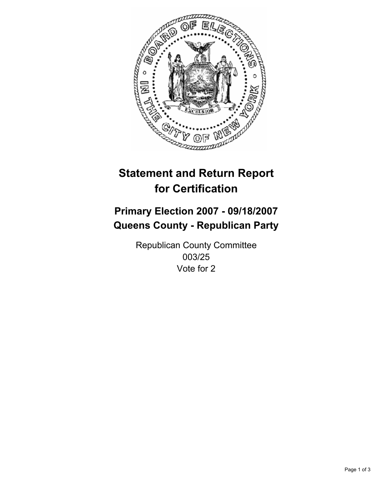

## **Primary Election 2007 - 09/18/2007 Queens County - Republican Party**

Republican County Committee 003/25 Vote for 2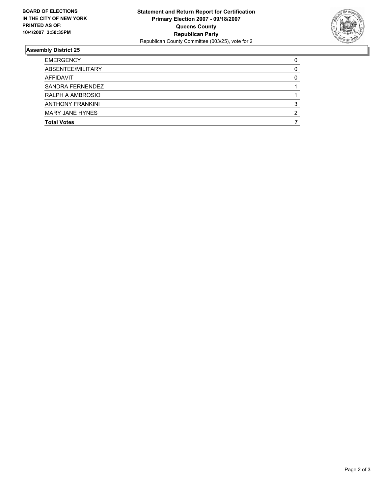

| <b>EMERGENCY</b>        |  |
|-------------------------|--|
| ABSENTEE/MILITARY       |  |
| AFFIDAVIT               |  |
| SANDRA FERNENDEZ        |  |
| RALPH A AMBROSIO        |  |
| <b>ANTHONY FRANKINI</b> |  |
| <b>MARY JANE HYNES</b>  |  |
| <b>Total Votes</b>      |  |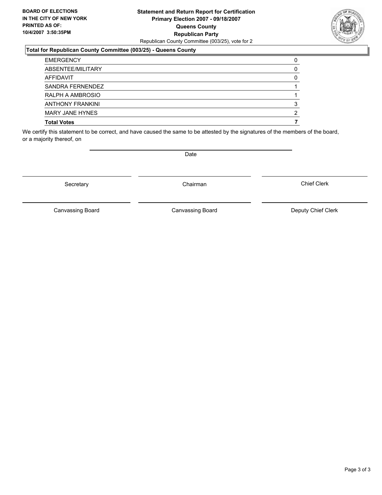#### **Statement and Return Report for Certification Primary Election 2007 - 09/18/2007 Queens County Republican Party** Republican County Committee (003/25), vote for 2

#### **Total for Republican County Committee (003/25) - Queens County**

| <b>EMERGENCY</b>        |   |
|-------------------------|---|
| ABSENTEE/MILITARY       |   |
| AFFIDAVIT               |   |
| SANDRA FERNENDEZ        |   |
| RALPH A AMBROSIO        |   |
| <b>ANTHONY FRANKINI</b> |   |
| MARY JANE HYNES         | ◠ |
| <b>Total Votes</b>      |   |

We certify this statement to be correct, and have caused the same to be attested by the signatures of the members of the board, or a majority thereof, on

Secretary **Chairman** 

Canvassing Board

Canvassing Board Canvassing Board Canvassing Canvassing Board Deputy Chief Clerk

Chief Clerk



Date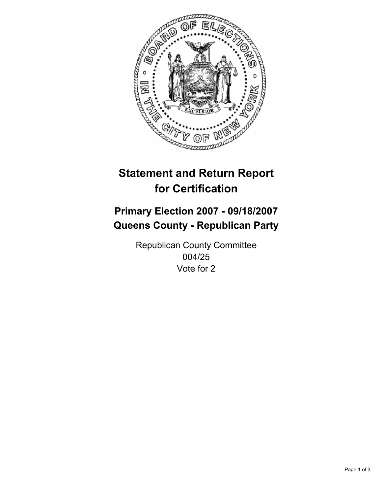

## **Primary Election 2007 - 09/18/2007 Queens County - Republican Party**

Republican County Committee 004/25 Vote for 2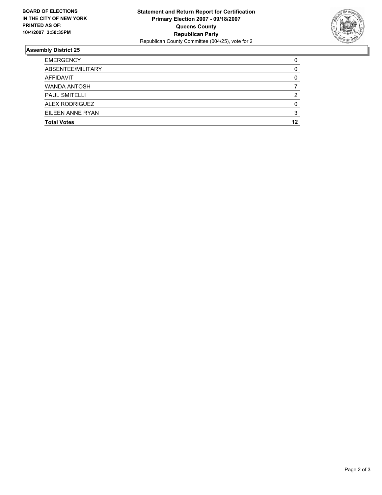

| <b>EMERGENCY</b>      |    |
|-----------------------|----|
| ABSENTEE/MILITARY     |    |
| AFFIDAVIT             |    |
| <b>WANDA ANTOSH</b>   |    |
| <b>PAUL SMITELLI</b>  |    |
| <b>ALEX RODRIGUEZ</b> |    |
| EILEEN ANNE RYAN      |    |
| <b>Total Votes</b>    | 12 |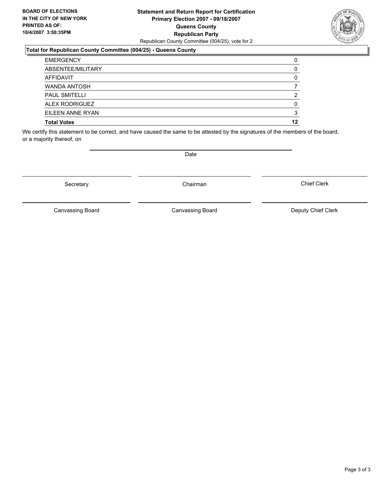#### **Statement and Return Report for Certification Primary Election 2007 - 09/18/2007 Queens County Republican Party** Republican County Committee (004/25), vote for 2

#### **Total for Republican County Committee (004/25) - Queens County**

| <b>EMERGENCY</b>      |    |
|-----------------------|----|
| ABSENTEE/MILITARY     |    |
| AFFIDAVIT             |    |
| <b>WANDA ANTOSH</b>   |    |
| <b>PAUL SMITELLI</b>  |    |
| <b>ALEX RODRIGUEZ</b> |    |
| EILEEN ANNE RYAN      |    |
| <b>Total Votes</b>    | 12 |

We certify this statement to be correct, and have caused the same to be attested by the signatures of the members of the board, or a majority thereof, on

Secretary **Chairman** 

Canvassing Board **Canvassing Board** Canvassing Board **Deputy Chief Clerk** 

Chief Clerk

Canvassing Board



Date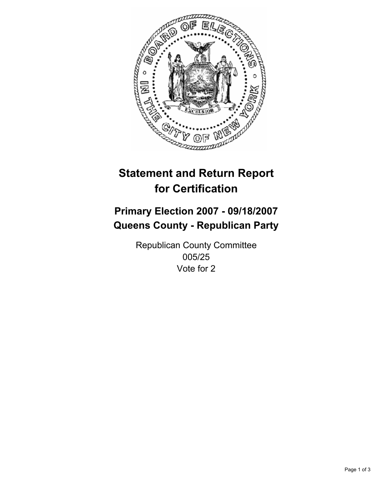

## **Primary Election 2007 - 09/18/2007 Queens County - Republican Party**

Republican County Committee 005/25 Vote for 2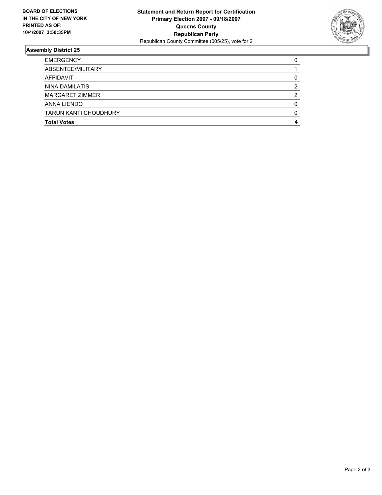

| <b>TARUN KANTI CHOUDHURY</b> |  |
|------------------------------|--|
| ANNA LIENDO                  |  |
| MARGARET ZIMMER              |  |
| NINA DAMILATIS               |  |
| AFFIDAVIT                    |  |
| ABSENTEE/MILITARY            |  |
| <b>EMERGENCY</b>             |  |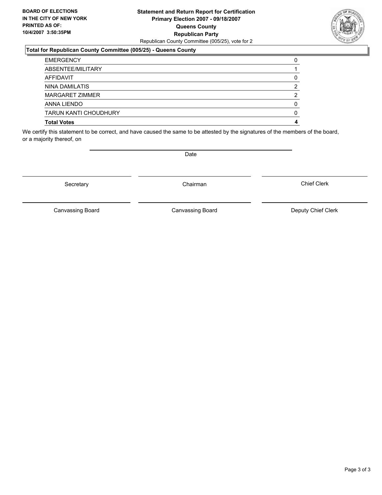#### **Statement and Return Report for Certification Primary Election 2007 - 09/18/2007 Queens County Republican Party** Republican County Committee (005/25), vote for 2

#### **Total for Republican County Committee (005/25) - Queens County**

| <b>EMERGENCY</b>             |  |
|------------------------------|--|
| ABSENTEE/MILITARY            |  |
| AFFIDAVIT                    |  |
| NINA DAMILATIS               |  |
| MARGARET ZIMMER              |  |
| ANNA LIENDO                  |  |
| <b>TARUN KANTI CHOUDHURY</b> |  |
| <b>Total Votes</b>           |  |

We certify this statement to be correct, and have caused the same to be attested by the signatures of the members of the board, or a majority thereof, on

Secretary **Chairman** 

Canvassing Board

Date

Chief Clerk



Canvassing Board Canvassing Board Canvassing Canvassing Board Deputy Chief Clerk

Page 3 of 3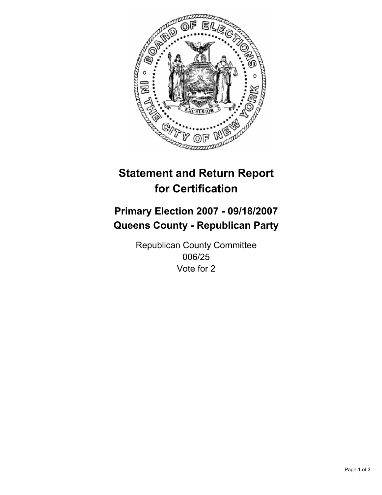

## **Primary Election 2007 - 09/18/2007 Queens County - Republican Party**

Republican County Committee 006/25 Vote for 2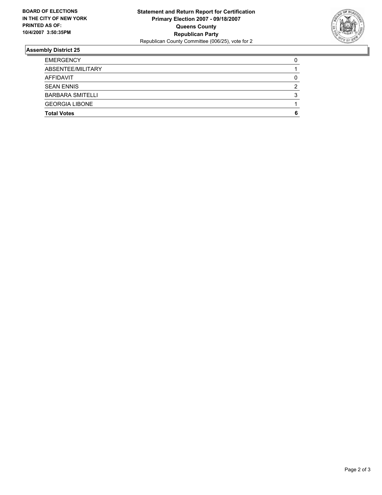

| <b>Total Votes</b>      |  |
|-------------------------|--|
| <b>GEORGIA LIBONE</b>   |  |
| <b>BARBARA SMITELLI</b> |  |
| <b>SEAN ENNIS</b>       |  |
| AFFIDAVIT               |  |
| ABSENTEE/MILITARY       |  |
| <b>EMERGENCY</b>        |  |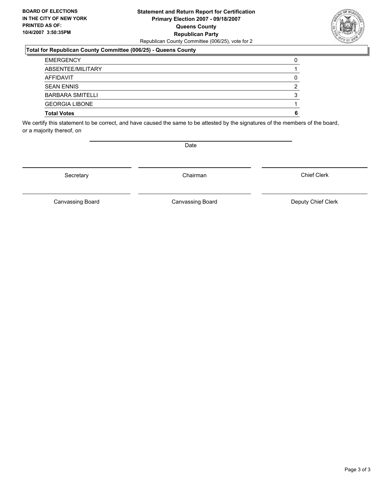#### **Statement and Return Report for Certification Primary Election 2007 - 09/18/2007 Queens County Republican Party** Republican County Committee (006/25), vote for 2

#### **Total for Republican County Committee (006/25) - Queens County**

| <b>EMERGENCY</b>        |  |
|-------------------------|--|
| ABSENTEE/MILITARY       |  |
| AFFIDAVIT               |  |
| <b>SEAN ENNIS</b>       |  |
| <b>BARBARA SMITELLI</b> |  |
| <b>GEORGIA LIBONE</b>   |  |
| <b>Total Votes</b>      |  |

We certify this statement to be correct, and have caused the same to be attested by the signatures of the members of the board, or a majority thereof, on

Secretary **Chairman** 

Chief Clerk

Canvassing Board **Canvassing Board** Canvassing Board **Deputy Chief Clerk** 

Canvassing Board



Date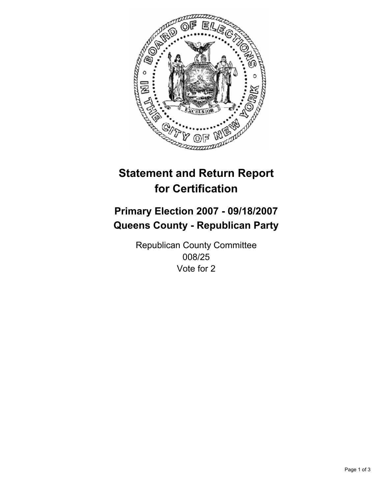

## **Primary Election 2007 - 09/18/2007 Queens County - Republican Party**

Republican County Committee 008/25 Vote for 2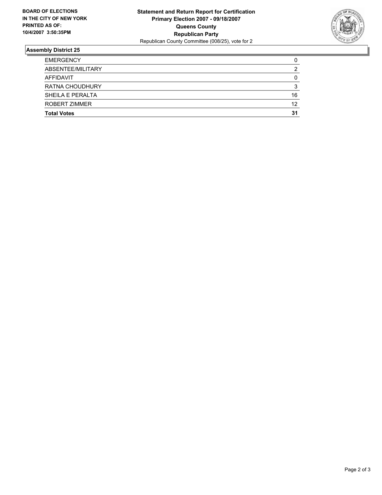

| <b>Total Votes</b>     | 31 |
|------------------------|----|
| ROBERT ZIMMER          | 12 |
| SHEILA E PERALTA       | 16 |
| <b>RATNA CHOUDHURY</b> |    |
| AFFIDAVIT              |    |
| ABSENTEE/MILITARY      |    |
| <b>EMERGENCY</b>       |    |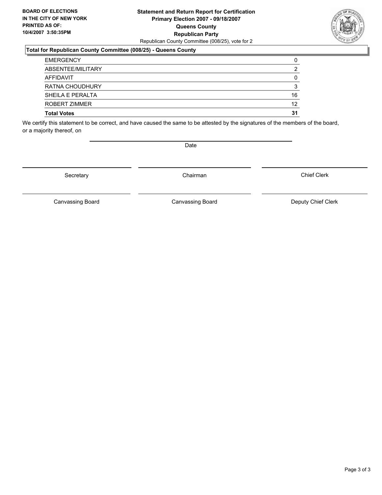#### **Statement and Return Report for Certification Primary Election 2007 - 09/18/2007 Queens County Republican Party** Republican County Committee (008/25), vote for 2

#### **Total for Republican County Committee (008/25) - Queens County**

| <b>EMERGENCY</b>   |    |
|--------------------|----|
| ABSENTEE/MILITARY  |    |
| AFFIDAVIT          |    |
| RATNA CHOUDHURY    |    |
| SHEILA E PERALTA   | 16 |
| ROBERT ZIMMER      | 12 |
| <b>Total Votes</b> | 31 |

We certify this statement to be correct, and have caused the same to be attested by the signatures of the members of the board, or a majority thereof, on

Date

Secretary **Chairman** 

Chief Clerk

Canvassing Board **Canvassing Board** Canvassing Board **Deputy Chief Clerk** 

Canvassing Board

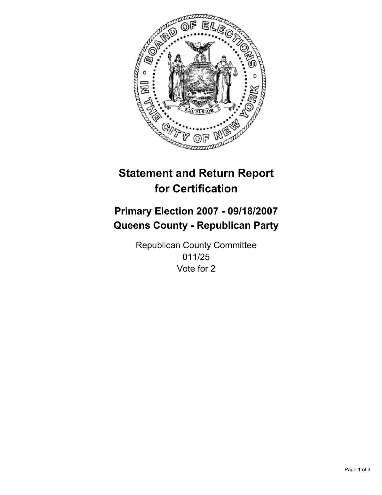

## **Primary Election 2007 - 09/18/2007 Queens County - Republican Party**

Republican County Committee 011/25 Vote for 2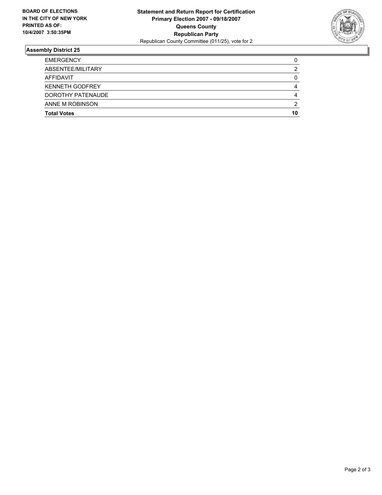

| <b>EMERGENCY</b>       |    |
|------------------------|----|
| ABSENTEE/MILITARY      |    |
| AFFIDAVIT              |    |
| <b>KENNETH GODFREY</b> |    |
| DOROTHY PATENAUDE      |    |
| ANNE M ROBINSON        | ◠  |
| <b>Total Votes</b>     | 10 |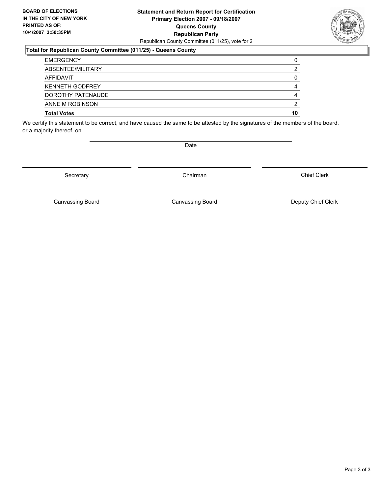#### **Statement and Return Report for Certification Primary Election 2007 - 09/18/2007 Queens County Republican Party** Republican County Committee (011/25), vote for 2

#### **Total for Republican County Committee (011/25) - Queens County**

| <b>EMERGENCY</b>       |    |
|------------------------|----|
| ABSENTEE/MILITARY      |    |
| AFFIDAVIT              |    |
| <b>KENNETH GODFREY</b> |    |
| DOROTHY PATENAUDE      |    |
| ANNE M ROBINSON        | c  |
| <b>Total Votes</b>     | 10 |

We certify this statement to be correct, and have caused the same to be attested by the signatures of the members of the board, or a majority thereof, on

Secretary **Chairman** 

Date

Chief Clerk

Canvassing Board **Canvassing Board** Canvassing Board **Deputy Chief Clerk** 

Canvassing Board

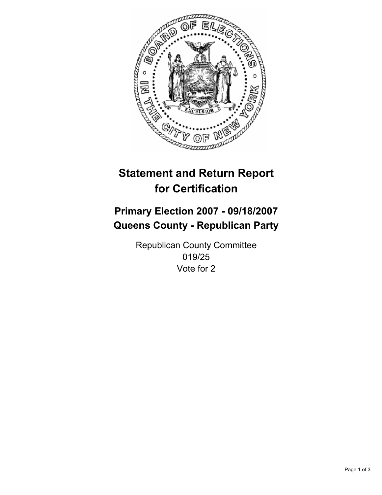

## **Primary Election 2007 - 09/18/2007 Queens County - Republican Party**

Republican County Committee 019/25 Vote for 2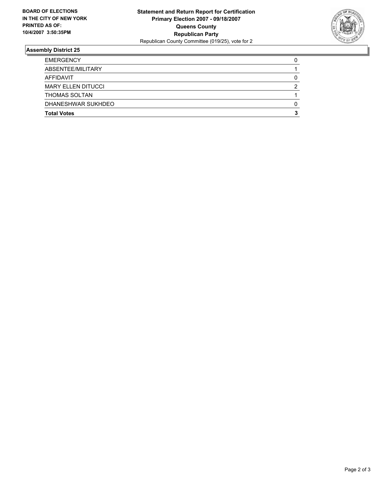

| <b>EMERGENCY</b>          |  |
|---------------------------|--|
| ABSENTEE/MILITARY         |  |
| AFFIDAVIT                 |  |
| <b>MARY ELLEN DITUCCI</b> |  |
| THOMAS SOLTAN             |  |
| DHANESHWAR SUKHDEO        |  |
| <b>Total Votes</b>        |  |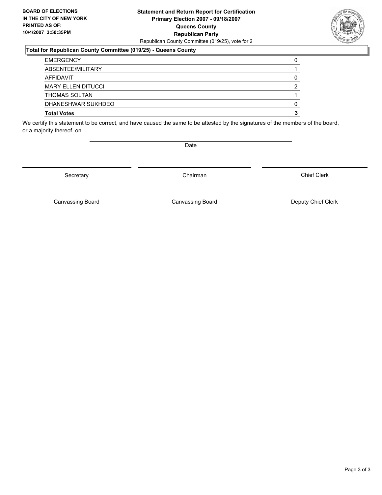#### **Statement and Return Report for Certification Primary Election 2007 - 09/18/2007 Queens County Republican Party** Republican County Committee (019/25), vote for 2

#### **Total for Republican County Committee (019/25) - Queens County**

| <b>Total Votes</b>        |  |
|---------------------------|--|
| DHANESHWAR SUKHDEO        |  |
| <b>THOMAS SOLTAN</b>      |  |
| <b>MARY ELLEN DITUCCI</b> |  |
| AFFIDAVIT                 |  |
| ABSENTEE/MILITARY         |  |
| <b>EMERGENCY</b>          |  |

We certify this statement to be correct, and have caused the same to be attested by the signatures of the members of the board, or a majority thereof, on

Secretary **Chairman** 

Chief Clerk

Canvassing Board **Canvassing Board** Canvassing Board **Deputy Chief Clerk** 

Canvassing Board



Date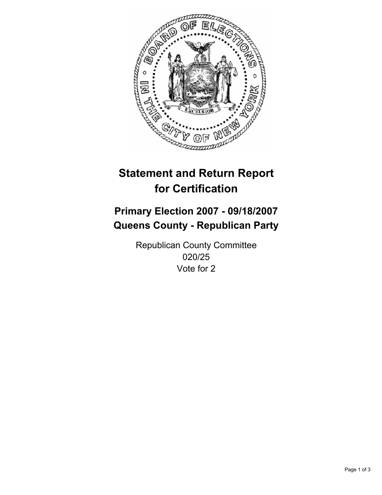

## **Primary Election 2007 - 09/18/2007 Queens County - Republican Party**

Republican County Committee 020/25 Vote for 2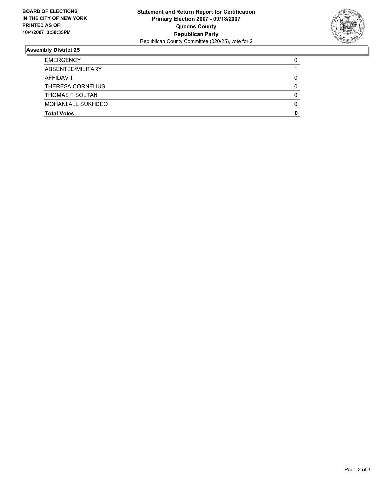

| <b>EMERGENCY</b>         |  |
|--------------------------|--|
| ABSENTEE/MILITARY        |  |
| <b>AFFIDAVIT</b>         |  |
| THERESA CORNELIUS        |  |
| <b>THOMAS F SOLTAN</b>   |  |
| <b>MOHANLALL SUKHDEO</b> |  |
| <b>Total Votes</b>       |  |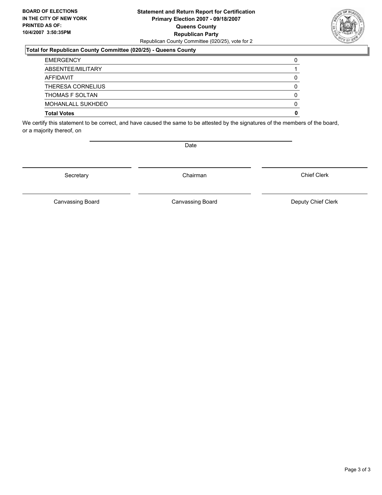#### **Statement and Return Report for Certification Primary Election 2007 - 09/18/2007 Queens County Republican Party** Republican County Committee (020/25), vote for 2

#### **Total for Republican County Committee (020/25) - Queens County**

| <b>EMERGENCY</b>         |  |
|--------------------------|--|
| ABSENTEE/MILITARY        |  |
| AFFIDAVIT                |  |
| <b>THERESA CORNELIUS</b> |  |
| THOMAS F SOLTAN          |  |
| MOHANLALL SUKHDEO        |  |
| <b>Total Votes</b>       |  |

We certify this statement to be correct, and have caused the same to be attested by the signatures of the members of the board, or a majority thereof, on

Secretary **Chairman** 

Chief Clerk

Canvassing Board **Canvassing Board** Canvassing Board **Deputy Chief Clerk** 

Canvassing Board



Date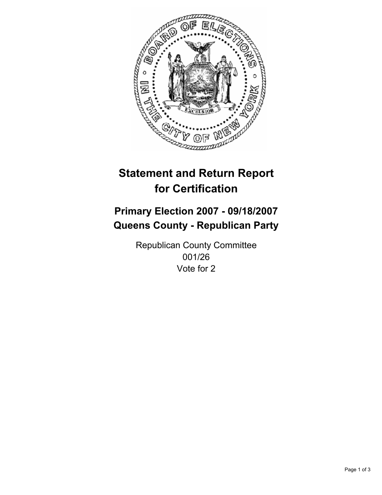

## **Primary Election 2007 - 09/18/2007 Queens County - Republican Party**

Republican County Committee 001/26 Vote for 2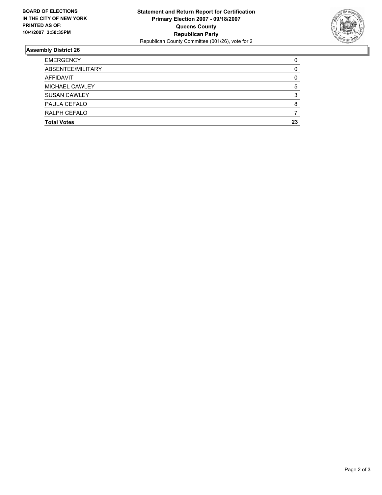

| <b>EMERGENCY</b>      |    |
|-----------------------|----|
| ABSENTEE/MILITARY     |    |
| <b>AFFIDAVIT</b>      |    |
| <b>MICHAEL CAWLEY</b> |    |
| <b>SUSAN CAWLEY</b>   |    |
| PAULA CEFALO          |    |
| RALPH CEFALO          |    |
| <b>Total Votes</b>    | 23 |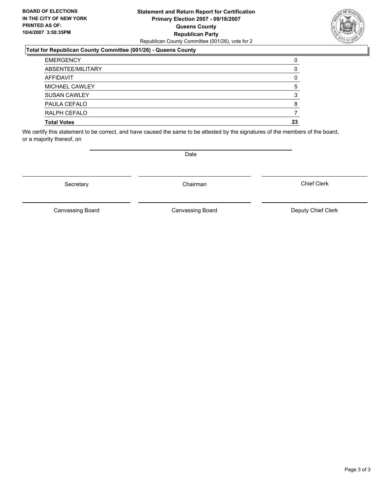#### **Statement and Return Report for Certification Primary Election 2007 - 09/18/2007 Queens County Republican Party** Republican County Committee (001/26), vote for 2

#### **Total for Republican County Committee (001/26) - Queens County**

| <b>Total Votes</b>  | 23 |
|---------------------|----|
| RALPH CEFALO        |    |
| PAULA CEFALO        |    |
| <b>SUSAN CAWLEY</b> |    |
| MICHAEL CAWLEY      |    |
| AFFIDAVIT           |    |
| ABSENTEE/MILITARY   |    |
| <b>EMERGENCY</b>    |    |

We certify this statement to be correct, and have caused the same to be attested by the signatures of the members of the board, or a majority thereof, on

Date

Canvassing Board Canvassing Board Canvassing Canvassing Board Deputy Chief Clerk

Chief Clerk

Canvassing Board



Secretary **Chairman**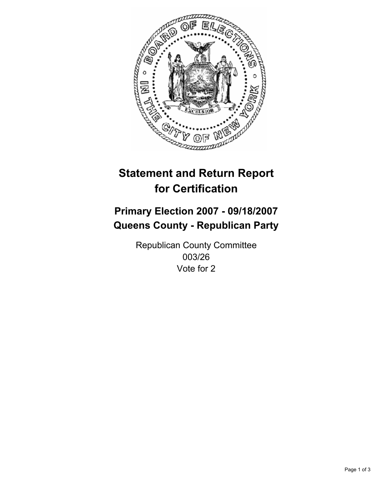

## **Primary Election 2007 - 09/18/2007 Queens County - Republican Party**

Republican County Committee 003/26 Vote for 2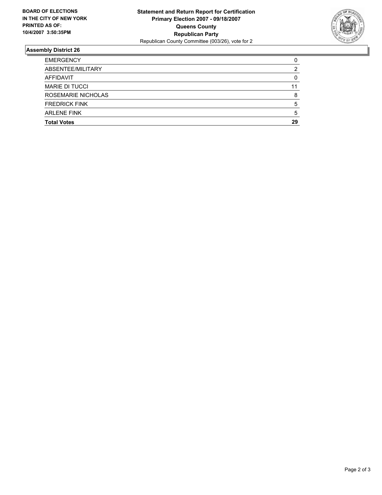

| <b>EMERGENCY</b>      |    |
|-----------------------|----|
| ABSENTEE/MILITARY     |    |
| AFFIDAVIT             |    |
| <b>MARIE DI TUCCI</b> |    |
| ROSEMARIE NICHOLAS    |    |
| <b>FREDRICK FINK</b>  |    |
| <b>ARLENE FINK</b>    |    |
| <b>Total Votes</b>    | 29 |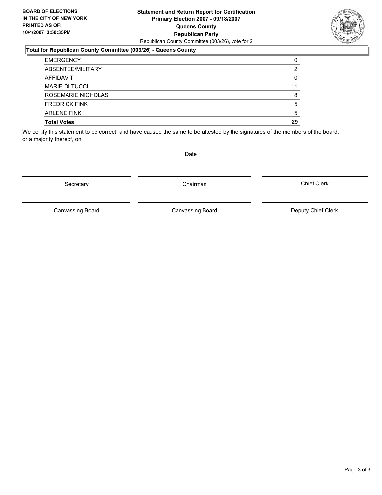#### **Statement and Return Report for Certification Primary Election 2007 - 09/18/2007 Queens County Republican Party** Republican County Committee (003/26), vote for 2

#### **Total for Republican County Committee (003/26) - Queens County**

| <b>EMERGENCY</b>      |    |
|-----------------------|----|
| ABSENTEE/MILITARY     |    |
| AFFIDAVIT             |    |
| <b>MARIE DI TUCCI</b> |    |
| ROSEMARIE NICHOLAS    |    |
| <b>FREDRICK FINK</b>  |    |
| <b>ARLENE FINK</b>    |    |
| <b>Total Votes</b>    | 29 |

We certify this statement to be correct, and have caused the same to be attested by the signatures of the members of the board, or a majority thereof, on

Secretary **Chairman** 

Date

Chief Clerk

Canvassing Board

Canvassing Board **Canvassing Board** Canvassing Board **Deputy Chief Clerk**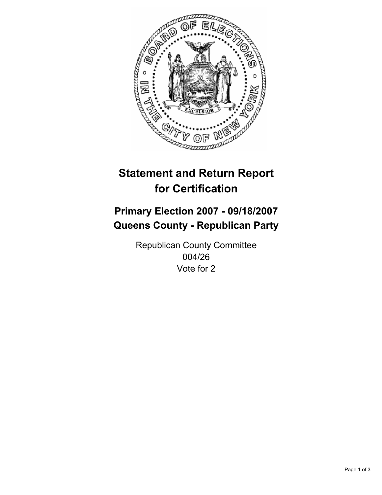

## **Primary Election 2007 - 09/18/2007 Queens County - Republican Party**

Republican County Committee 004/26 Vote for 2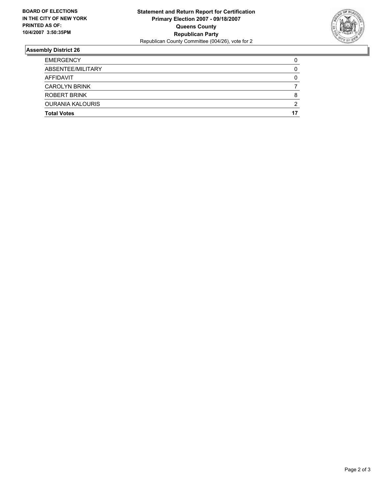

| <b>EMERGENCY</b>        |   |
|-------------------------|---|
| ABSENTEE/MILITARY       |   |
| AFFIDAVIT               |   |
| <b>CAROLYN BRINK</b>    |   |
| ROBERT BRINK            |   |
| <b>OURANIA KALOURIS</b> | ≏ |
| <b>Total Votes</b>      |   |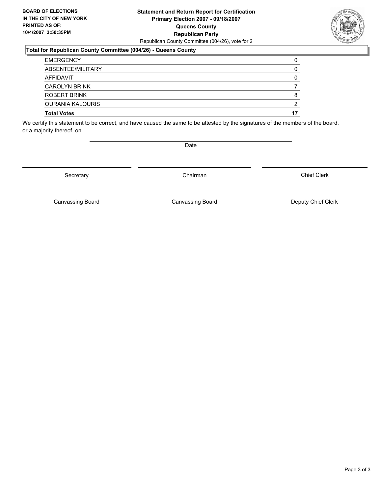#### **Statement and Return Report for Certification Primary Election 2007 - 09/18/2007 Queens County Republican Party** Republican County Committee (004/26), vote for 2

#### **Total for Republican County Committee (004/26) - Queens County**

| <b>Total Votes</b>      |  |
|-------------------------|--|
| <b>OURANIA KALOURIS</b> |  |
| ROBERT BRINK            |  |
| <b>CAROLYN BRINK</b>    |  |
| AFFIDAVIT               |  |
| ABSENTEE/MILITARY       |  |
| <b>EMERGENCY</b>        |  |

We certify this statement to be correct, and have caused the same to be attested by the signatures of the members of the board, or a majority thereof, on

Secretary **Chairman** 

Chief Clerk

Canvassing Board **Canvassing Board** Canvassing Board **Deputy Chief Clerk** 

Canvassing Board



Date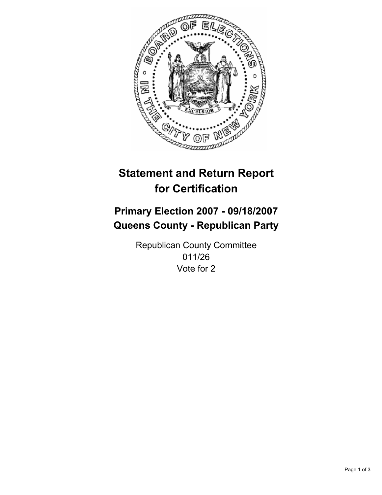

## **Primary Election 2007 - 09/18/2007 Queens County - Republican Party**

Republican County Committee 011/26 Vote for 2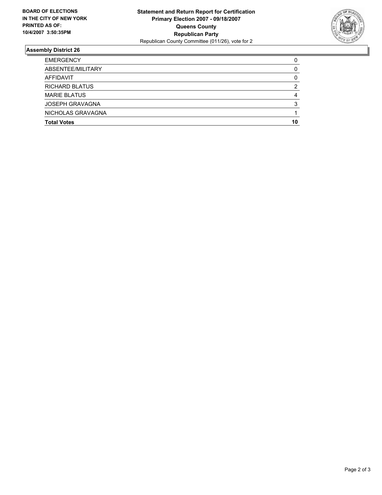

| <b>EMERGENCY</b>       |    |
|------------------------|----|
| ABSENTEE/MILITARY      |    |
| AFFIDAVIT              |    |
| <b>RICHARD BLATUS</b>  |    |
| <b>MARIE BLATUS</b>    |    |
| <b>JOSEPH GRAVAGNA</b> |    |
| NICHOLAS GRAVAGNA      |    |
| <b>Total Votes</b>     | 10 |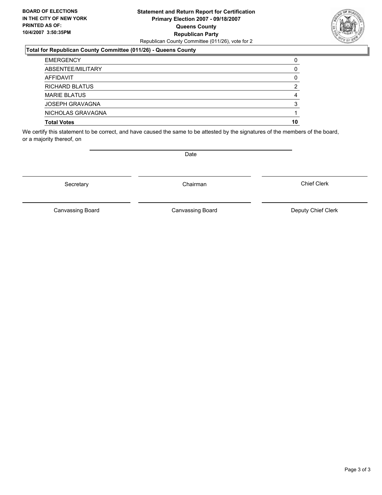#### **Statement and Return Report for Certification Primary Election 2007 - 09/18/2007 Queens County Republican Party** Republican County Committee (011/26), vote for 2

#### **Total for Republican County Committee (011/26) - Queens County**

| <b>EMERGENCY</b>       |    |
|------------------------|----|
| ABSENTEE/MILITARY      |    |
| AFFIDAVIT              |    |
| <b>RICHARD BLATUS</b>  |    |
| <b>MARIE BLATUS</b>    |    |
| <b>JOSEPH GRAVAGNA</b> |    |
| NICHOLAS GRAVAGNA      |    |
| <b>Total Votes</b>     | 10 |

We certify this statement to be correct, and have caused the same to be attested by the signatures of the members of the board, or a majority thereof, on

Canvassing Board

Canvassing Board Canvassing Board Canvassing Canvassing Board Deputy Chief Clerk

Chief Clerk

Page 3 of 3



Secretary **Chairman** 

Date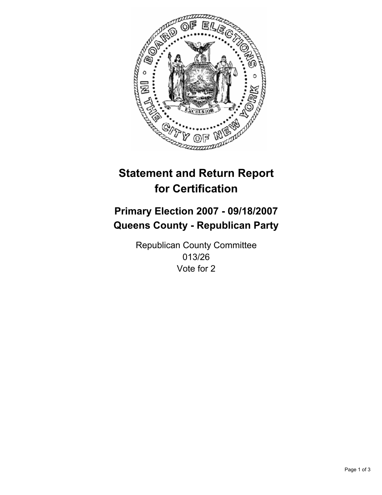

# **Primary Election 2007 - 09/18/2007 Queens County - Republican Party**

Republican County Committee 013/26 Vote for 2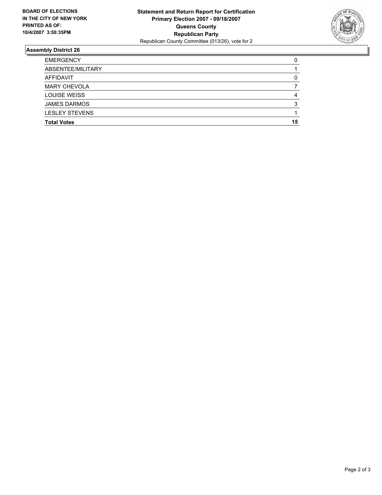

| <b>EMERGENCY</b>      |    |
|-----------------------|----|
| ABSENTEE/MILITARY     |    |
| AFFIDAVIT             |    |
| <b>MARY CHEVOLA</b>   |    |
| <b>LOUISE WEISS</b>   |    |
| <b>JAMES DARMOS</b>   |    |
| <b>LESLEY STEVENS</b> |    |
| <b>Total Votes</b>    | 15 |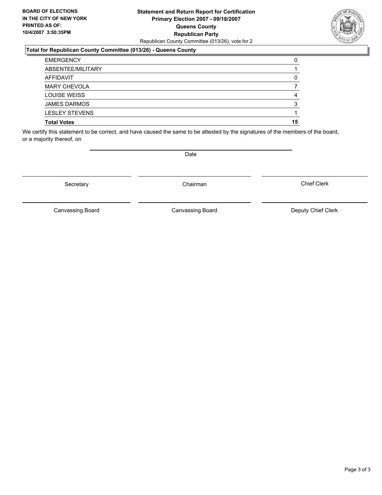### **Statement and Return Report for Certification Primary Election 2007 - 09/18/2007 Queens County Republican Party** Republican County Committee (013/26), vote for 2

### **Total for Republican County Committee (013/26) - Queens County**

| <b>EMERGENCY</b>      |    |
|-----------------------|----|
| ABSENTEE/MILITARY     |    |
| AFFIDAVIT             |    |
| <b>MARY CHEVOLA</b>   |    |
| <b>LOUISE WEISS</b>   |    |
| <b>JAMES DARMOS</b>   |    |
| <b>LESLEY STEVENS</b> |    |
| <b>Total Votes</b>    | 15 |

We certify this statement to be correct, and have caused the same to be attested by the signatures of the members of the board, or a majority thereof, on

Secretary **Chairman** 

Canvassing Board

Canvassing Board Canvassing Board Canvassing Canvassing Board Deputy Chief Clerk

Chief Clerk

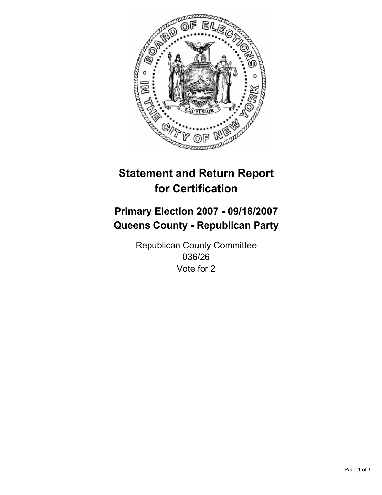

# **Primary Election 2007 - 09/18/2007 Queens County - Republican Party**

Republican County Committee 036/26 Vote for 2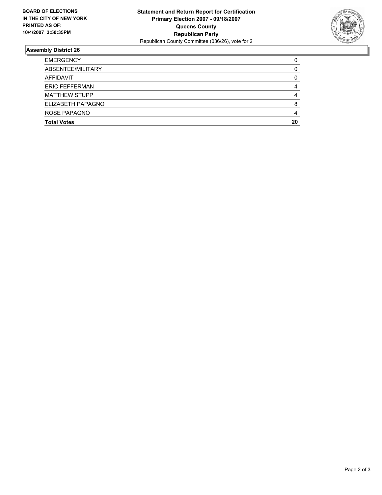

| <b>Total Votes</b>    | 20 |
|-----------------------|----|
| ROSE PAPAGNO          |    |
| ELIZABETH PAPAGNO     |    |
| <b>MATTHEW STUPP</b>  |    |
| <b>ERIC FEFFERMAN</b> |    |
| AFFIDAVIT             |    |
| ABSENTEE/MILITARY     |    |
| <b>EMERGENCY</b>      |    |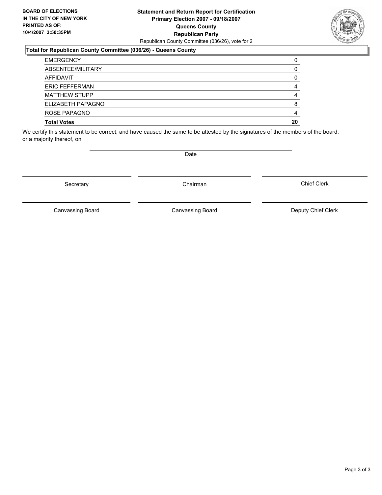### **Statement and Return Report for Certification Primary Election 2007 - 09/18/2007 Queens County Republican Party** Republican County Committee (036/26), vote for 2

### **Total for Republican County Committee (036/26) - Queens County**

| <b>EMERGENCY</b>      |    |
|-----------------------|----|
| ABSENTEE/MILITARY     |    |
| AFFIDAVIT             |    |
| <b>ERIC FEFFERMAN</b> |    |
| <b>MATTHEW STUPP</b>  |    |
| ELIZABETH PAPAGNO     |    |
| ROSE PAPAGNO          |    |
| <b>Total Votes</b>    | 20 |

We certify this statement to be correct, and have caused the same to be attested by the signatures of the members of the board, or a majority thereof, on

Secretary **Chairman** 

Canvassing Board

Canvassing Board Canvassing Board Canvassing Canvassing Board Deputy Chief Clerk

Chief Clerk

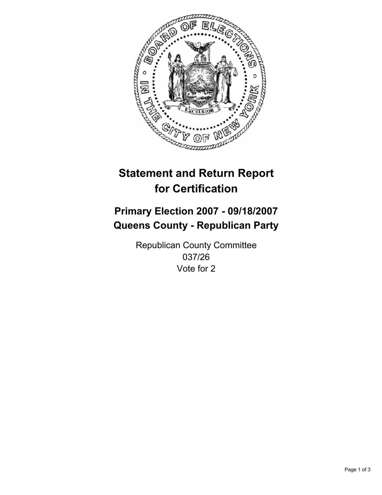

# **Primary Election 2007 - 09/18/2007 Queens County - Republican Party**

Republican County Committee 037/26 Vote for 2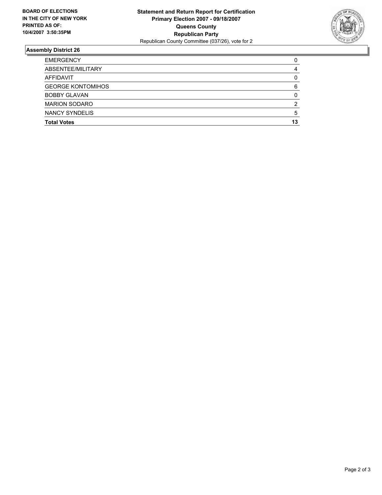

| <b>EMERGENCY</b>         |    |
|--------------------------|----|
| ABSENTEE/MILITARY        |    |
| AFFIDAVIT                |    |
| <b>GEORGE KONTOMIHOS</b> |    |
| <b>BOBBY GLAVAN</b>      |    |
| <b>MARION SODARO</b>     |    |
| <b>NANCY SYNDELIS</b>    |    |
| <b>Total Votes</b>       | 13 |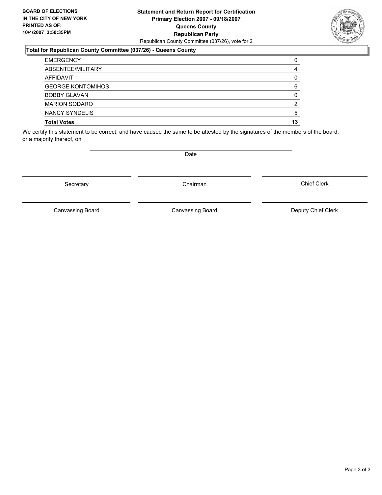### **Statement and Return Report for Certification Primary Election 2007 - 09/18/2007 Queens County Republican Party** Republican County Committee (037/26), vote for 2

## **Total for Republican County Committee (037/26) - Queens County**

| <b>EMERGENCY</b>         |    |
|--------------------------|----|
| ABSENTEE/MILITARY        |    |
| AFFIDAVIT                |    |
| <b>GEORGE KONTOMIHOS</b> | 6  |
| <b>BOBBY GLAVAN</b>      |    |
| <b>MARION SODARO</b>     |    |
| NANCY SYNDELIS           | 5  |
| <b>Total Votes</b>       | 13 |

We certify this statement to be correct, and have caused the same to be attested by the signatures of the members of the board, or a majority thereof, on

Secretary **Chairman** 

Canvassing Board

Chief Clerk

Canvassing Board Canvassing Board Canvassing Canvassing Board Deputy Chief Clerk

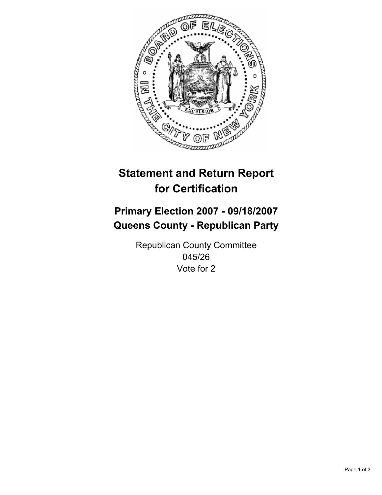

# **Primary Election 2007 - 09/18/2007 Queens County - Republican Party**

Republican County Committee 045/26 Vote for 2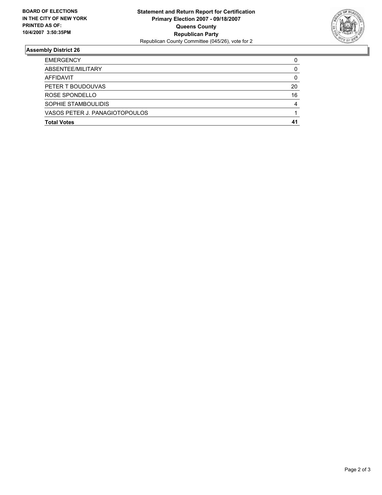

| <b>EMERGENCY</b>               |    |
|--------------------------------|----|
| ABSENTEE/MILITARY              |    |
| AFFIDAVIT                      |    |
| PETER T BOUDOUVAS              | 20 |
| ROSE SPONDELLO                 | 16 |
| SOPHIE STAMBOULIDIS            |    |
| VASOS PETER J. PANAGIOTOPOULOS |    |
| <b>Total Votes</b>             |    |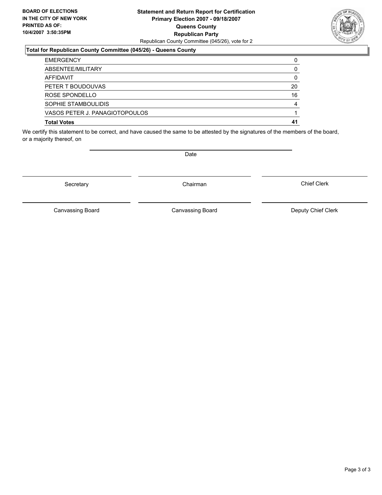### **Statement and Return Report for Certification Primary Election 2007 - 09/18/2007 Queens County Republican Party** Republican County Committee (045/26), vote for 2

## **Total for Republican County Committee (045/26) - Queens County**

| <b>EMERGENCY</b>               |    |
|--------------------------------|----|
| ABSENTEE/MILITARY              |    |
| AFFIDAVIT                      |    |
| PETER T BOUDOUVAS              | 20 |
| ROSE SPONDELLO                 | 16 |
| SOPHIE STAMBOULIDIS            |    |
| VASOS PETER J. PANAGIOTOPOULOS |    |
| <b>Total Votes</b>             | 41 |

We certify this statement to be correct, and have caused the same to be attested by the signatures of the members of the board, or a majority thereof, on

Secretary **Chairman** 

Canvassing Board Canvassing Board Canvassing Canvassing Board Deputy Chief Clerk

Chief Clerk

Canvassing Board

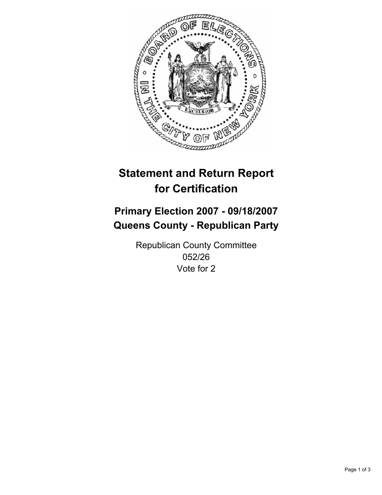

# **Primary Election 2007 - 09/18/2007 Queens County - Republican Party**

Republican County Committee 052/26 Vote for 2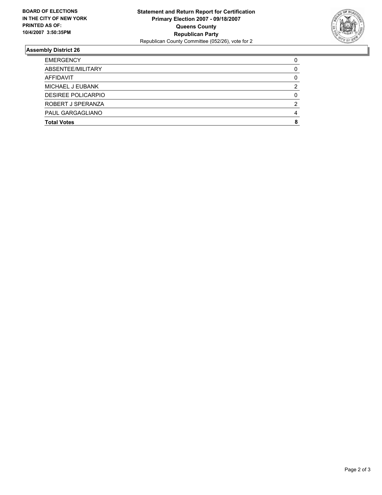

| <b>EMERGENCY</b>   |  |
|--------------------|--|
| ABSENTEE/MILITARY  |  |
| AFFIDAVIT          |  |
| MICHAEL J EUBANK   |  |
| DESIREE POLICARPIO |  |
| ROBERT J SPERANZA  |  |
| PAUL GARGAGLIANO   |  |
| <b>Total Votes</b> |  |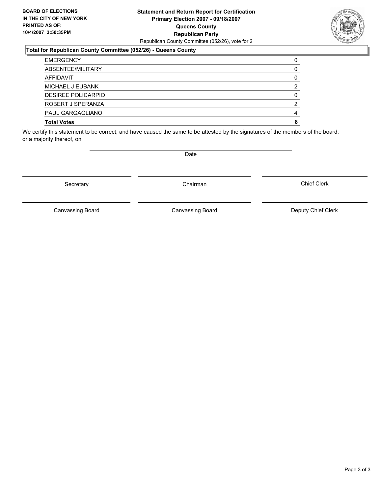### **Statement and Return Report for Certification Primary Election 2007 - 09/18/2007 Queens County Republican Party** Republican County Committee (052/26), vote for 2

### **Total for Republican County Committee (052/26) - Queens County**

| <b>EMERGENCY</b>   |  |
|--------------------|--|
| ABSENTEE/MILITARY  |  |
| AFFIDAVIT          |  |
| MICHAEL J EUBANK   |  |
| DESIREE POLICARPIO |  |
| ROBERT J SPERANZA  |  |
| PAUL GARGAGLIANO   |  |
| <b>Total Votes</b> |  |

We certify this statement to be correct, and have caused the same to be attested by the signatures of the members of the board, or a majority thereof, on

Secretary **Chairman** 

Canvassing Board

Canvassing Board Canvassing Board Canvassing Canvassing Board Deputy Chief Clerk

Chief Clerk

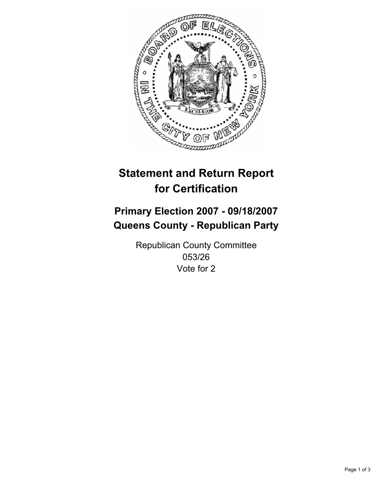

# **Primary Election 2007 - 09/18/2007 Queens County - Republican Party**

Republican County Committee 053/26 Vote for 2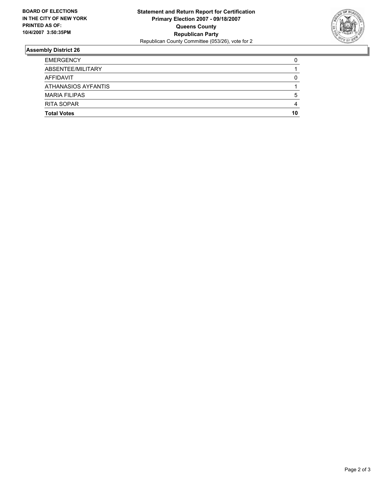

| <b>EMERGENCY</b>     |    |
|----------------------|----|
| ABSENTEE/MILITARY    |    |
| AFFIDAVIT            |    |
| ATHANASIOS AYFANTIS  |    |
| <b>MARIA FILIPAS</b> |    |
| <b>RITA SOPAR</b>    |    |
| <b>Total Votes</b>   | 10 |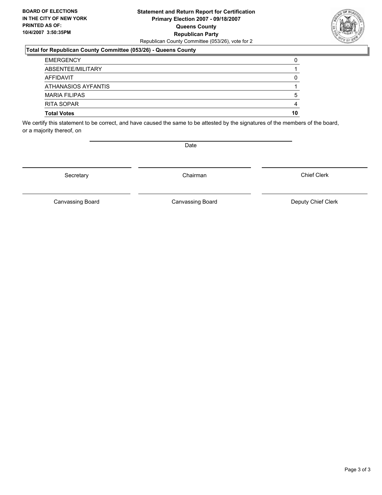### **Statement and Return Report for Certification Primary Election 2007 - 09/18/2007 Queens County Republican Party** Republican County Committee (053/26), vote for 2

### **Total for Republican County Committee (053/26) - Queens County**

| <b>EMERGENCY</b>     |    |
|----------------------|----|
| ABSENTEE/MILITARY    |    |
| AFFIDAVIT            |    |
| ATHANASIOS AYFANTIS  |    |
| <b>MARIA FILIPAS</b> |    |
| <b>RITA SOPAR</b>    |    |
| <b>Total Votes</b>   | 10 |

We certify this statement to be correct, and have caused the same to be attested by the signatures of the members of the board, or a majority thereof, on

Secretary **Chairman** 

Chief Clerk

Canvassing Board **Canvassing Board** Canvassing Board **Deputy Chief Clerk** 

Canvassing Board

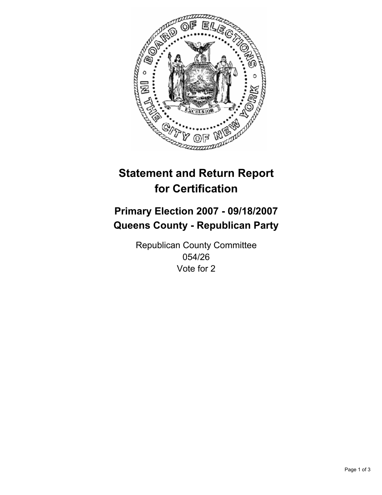

# **Primary Election 2007 - 09/18/2007 Queens County - Republican Party**

Republican County Committee 054/26 Vote for 2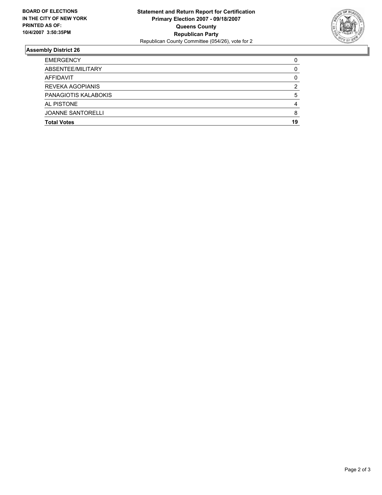

| <b>EMERGENCY</b>         |    |
|--------------------------|----|
| ABSENTEE/MILITARY        |    |
| AFFIDAVIT                |    |
| <b>REVEKA AGOPIANIS</b>  |    |
| PANAGIOTIS KALABOKIS     |    |
| AL PISTONE               |    |
| <b>JOANNE SANTORELLI</b> |    |
| <b>Total Votes</b>       | 19 |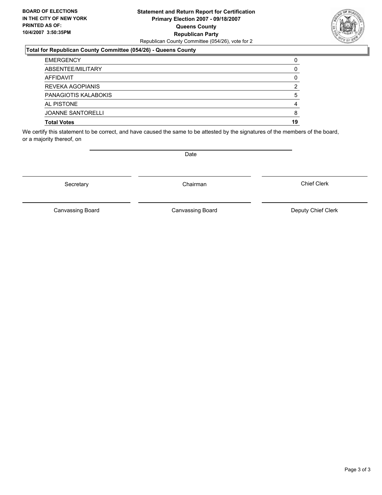### **Statement and Return Report for Certification Primary Election 2007 - 09/18/2007 Queens County Republican Party** Republican County Committee (054/26), vote for 2



#### **Total for Republican County Committee (054/26) - Queens County**

| <b>EMERGENCY</b>         |    |
|--------------------------|----|
| ABSENTEE/MILITARY        |    |
| AFFIDAVIT                |    |
| <b>REVEKA AGOPIANIS</b>  |    |
| PANAGIOTIS KALABOKIS     |    |
| AL PISTONE               |    |
| <b>JOANNE SANTORELLI</b> |    |
| <b>Total Votes</b>       | 19 |

We certify this statement to be correct, and have caused the same to be attested by the signatures of the members of the board, or a majority thereof, on

Secretary **Chairman** 

Date

Chief Clerk

Canvassing Board

Canvassing Board **Canvassing Board** Canvassing Board **Deputy Chief Clerk**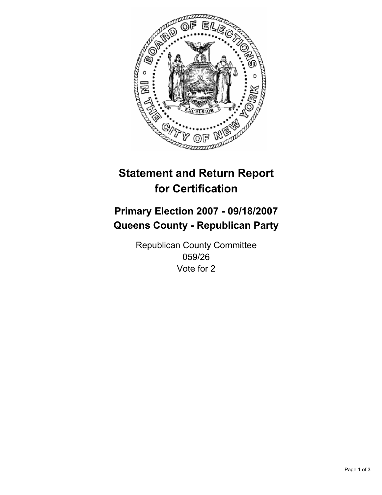

# **Primary Election 2007 - 09/18/2007 Queens County - Republican Party**

Republican County Committee 059/26 Vote for 2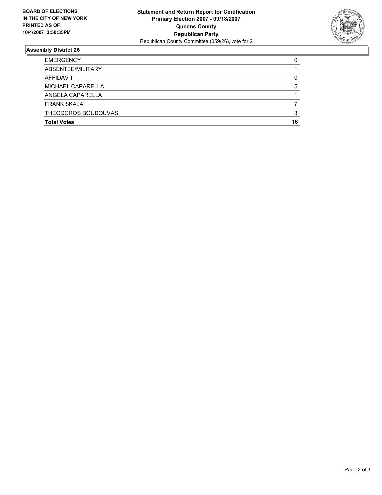

| <b>Total Votes</b>  | 16 |
|---------------------|----|
| THEODOROS BOUDOUVAS |    |
| <b>FRANK SKALA</b>  |    |
| ANGELA CAPARELLA    |    |
| MICHAEL CAPARELLA   |    |
| AFFIDAVIT           |    |
| ABSENTEE/MILITARY   |    |
| <b>EMERGENCY</b>    |    |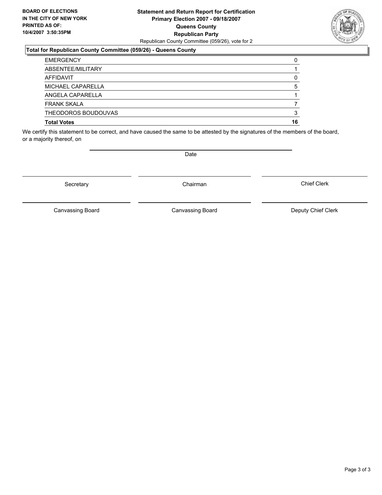### **Statement and Return Report for Certification Primary Election 2007 - 09/18/2007 Queens County Republican Party** Republican County Committee (059/26), vote for 2

### **Total for Republican County Committee (059/26) - Queens County**

| <b>EMERGENCY</b>    |    |
|---------------------|----|
| ABSENTEE/MILITARY   |    |
| AFFIDAVIT           |    |
| MICHAEL CAPARELLA   |    |
| ANGELA CAPARELLA    |    |
| <b>FRANK SKALA</b>  |    |
| THEODOROS BOUDOUVAS |    |
| <b>Total Votes</b>  | 16 |

We certify this statement to be correct, and have caused the same to be attested by the signatures of the members of the board, or a majority thereof, on

Secretary **Chairman** 

Canvassing Board

Canvassing Board Canvassing Board Canvassing Canvassing Board Deputy Chief Clerk

Chief Clerk

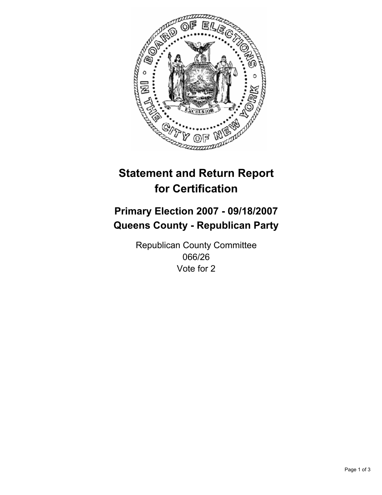

# **Primary Election 2007 - 09/18/2007 Queens County - Republican Party**

Republican County Committee 066/26 Vote for 2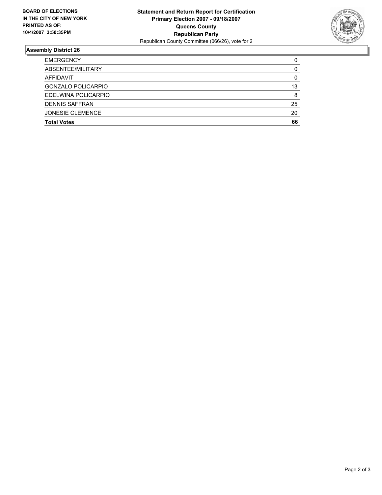

| <b>EMERGENCY</b>        |    |
|-------------------------|----|
| ABSENTEE/MILITARY       |    |
| AFFIDAVIT               |    |
| GONZALO POLICARPIO      | 13 |
| EDELWINA POLICARPIO     | 8  |
| <b>DENNIS SAFFRAN</b>   | 25 |
| <b>JONESIE CLEMENCE</b> | 20 |
| <b>Total Votes</b>      | 66 |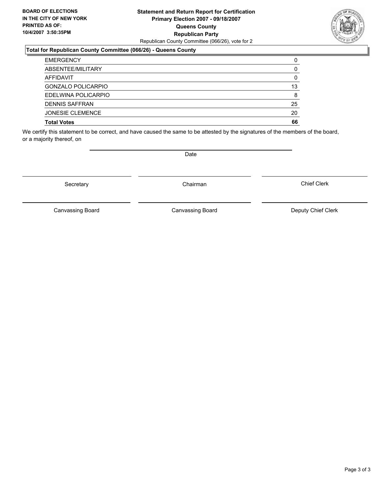### **Statement and Return Report for Certification Primary Election 2007 - 09/18/2007 Queens County Republican Party** Republican County Committee (066/26), vote for 2



#### **Total for Republican County Committee (066/26) - Queens County**

| <b>EMERGENCY</b>          |    |
|---------------------------|----|
| ABSENTEE/MILITARY         |    |
| AFFIDAVIT                 |    |
| <b>GONZALO POLICARPIO</b> | 13 |
| EDELWINA POLICARPIO       |    |
| <b>DENNIS SAFFRAN</b>     | 25 |
| <b>JONESIE CLEMENCE</b>   | 20 |
| <b>Total Votes</b>        | 66 |

We certify this statement to be correct, and have caused the same to be attested by the signatures of the members of the board, or a majority thereof, on

Secretary **Chairman** 

Date

Chief Clerk

Canvassing Board

Canvassing Board Canvassing Board Canvassing Canvassing Board Deputy Chief Clerk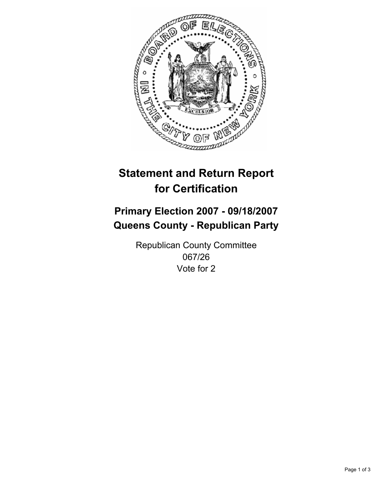

# **Primary Election 2007 - 09/18/2007 Queens County - Republican Party**

Republican County Committee 067/26 Vote for 2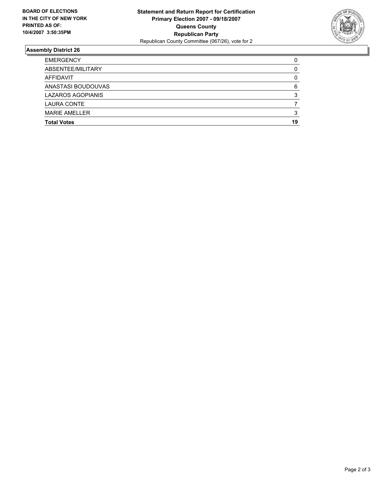

| <b>Total Votes</b>       | 19 |
|--------------------------|----|
| <b>MARIE AMELLER</b>     |    |
| <b>LAURA CONTE</b>       |    |
| <b>LAZAROS AGOPIANIS</b> |    |
| ANASTASI BOUDOUVAS       |    |
| AFFIDAVIT                |    |
| ABSENTEE/MILITARY        |    |
| <b>EMERGENCY</b>         |    |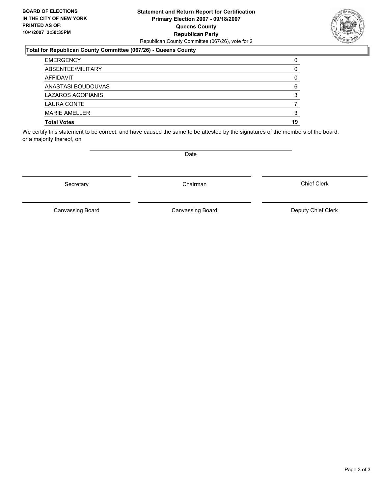### **Statement and Return Report for Certification Primary Election 2007 - 09/18/2007 Queens County Republican Party** Republican County Committee (067/26), vote for 2

### **Total for Republican County Committee (067/26) - Queens County**

| <b>EMERGENCY</b>         |    |
|--------------------------|----|
| ABSENTEE/MILITARY        |    |
| AFFIDAVIT                |    |
| ANASTASI BOUDOUVAS       |    |
| <b>LAZAROS AGOPIANIS</b> |    |
| <b>LAURA CONTE</b>       |    |
| <b>MARIE AMELLER</b>     |    |
| <b>Total Votes</b>       | 19 |

We certify this statement to be correct, and have caused the same to be attested by the signatures of the members of the board, or a majority thereof, on

Secretary **Chairman** 

Canvassing Board

Canvassing Board Canvassing Board Canvassing Canvassing Board Deputy Chief Clerk

Chief Clerk

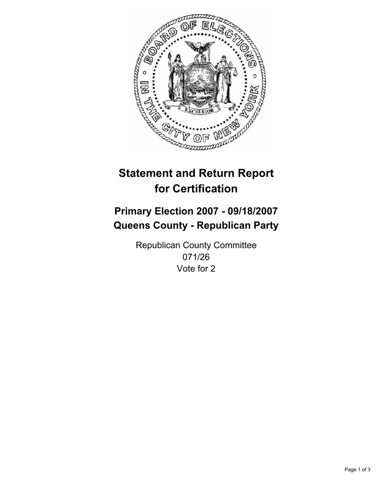

# **Primary Election 2007 - 09/18/2007 Queens County - Republican Party**

Republican County Committee 071/26 Vote for 2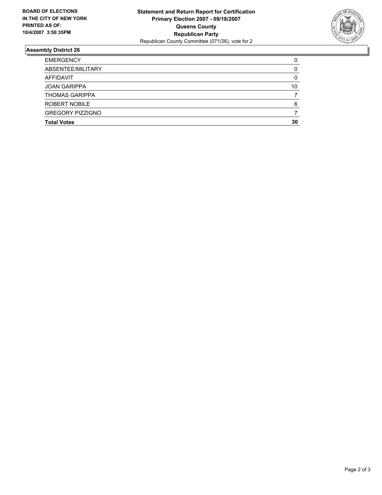

| 10 |
|----|
|    |
|    |
|    |
| 30 |
|    |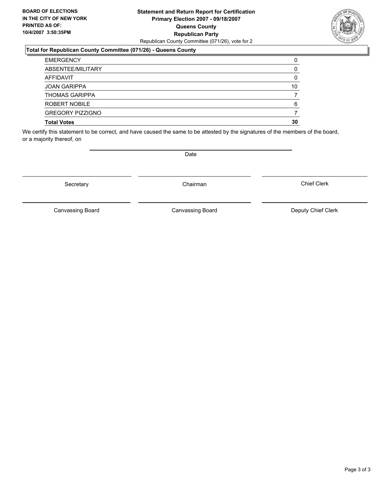### **Statement and Return Report for Certification Primary Election 2007 - 09/18/2007 Queens County Republican Party** Republican County Committee (071/26), vote for 2

### **Total for Republican County Committee (071/26) - Queens County**

| <b>EMERGENCY</b>        |    |
|-------------------------|----|
| ABSENTEE/MILITARY       |    |
| AFFIDAVIT               |    |
| <b>JOAN GARIPPA</b>     | 10 |
| <b>THOMAS GARIPPA</b>   |    |
| ROBERT NOBILE           | 6  |
| <b>GREGORY PIZZIGNO</b> |    |
| <b>Total Votes</b>      | 30 |

We certify this statement to be correct, and have caused the same to be attested by the signatures of the members of the board, or a majority thereof, on

Canvassing Board

Chief Clerk





Date

Secretary **Chairman** 

Canvassing Board Canvassing Board Canvassing Canvassing Board Deputy Chief Clerk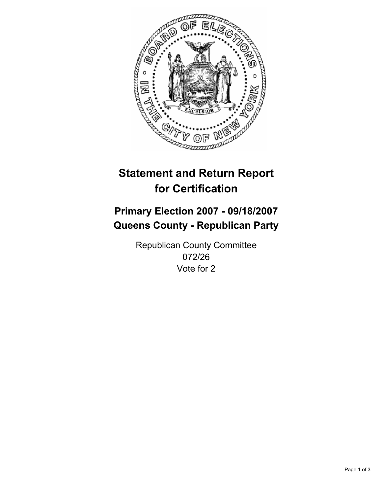

# **Primary Election 2007 - 09/18/2007 Queens County - Republican Party**

Republican County Committee 072/26 Vote for 2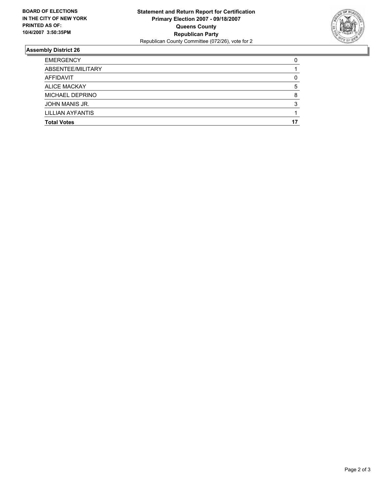

| <b>EMERGENCY</b>        |  |
|-------------------------|--|
| ABSENTEE/MILITARY       |  |
| AFFIDAVIT               |  |
| <b>ALICE MACKAY</b>     |  |
| MICHAEL DEPRINO         |  |
| JOHN MANIS JR.          |  |
| <b>LILLIAN AYFANTIS</b> |  |
| <b>Total Votes</b>      |  |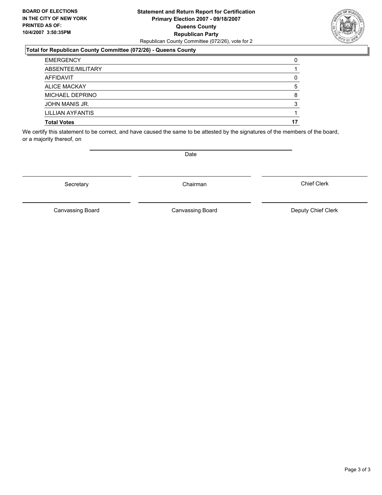### **Statement and Return Report for Certification Primary Election 2007 - 09/18/2007 Queens County Republican Party** Republican County Committee (072/26), vote for 2

### **Total for Republican County Committee (072/26) - Queens County**

| <b>Total Votes</b> |  |
|--------------------|--|
| LILLIAN AYFANTIS   |  |
| JOHN MANIS JR.     |  |
| MICHAEL DEPRINO    |  |
| ALICE MACKAY       |  |
| AFFIDAVIT          |  |
| ABSENTEE/MILITARY  |  |
| <b>EMERGENCY</b>   |  |

We certify this statement to be correct, and have caused the same to be attested by the signatures of the members of the board, or a majority thereof, on

Secretary **Chairman** 

Canvassing Board Canvassing Board Canvassing Canvassing Board Deputy Chief Clerk

Chief Clerk

Canvassing Board

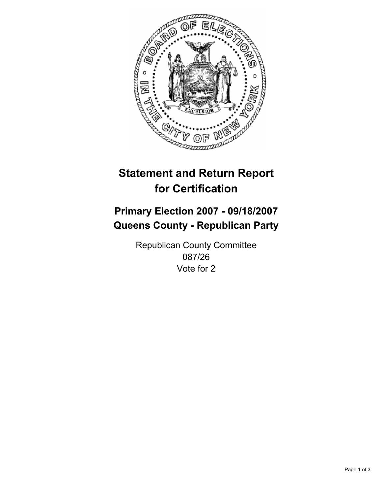

# **Primary Election 2007 - 09/18/2007 Queens County - Republican Party**

Republican County Committee 087/26 Vote for 2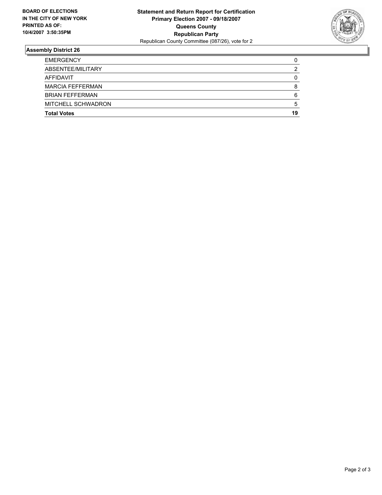

| <b>Total Votes</b>        | 19 |
|---------------------------|----|
| <b>MITCHELL SCHWADRON</b> | :  |
| <b>BRIAN FEFFERMAN</b>    | 6  |
| <b>MARCIA FEFFERMAN</b>   |    |
| AFFIDAVIT                 |    |
| ABSENTEE/MILITARY         |    |
| <b>EMERGENCY</b>          |    |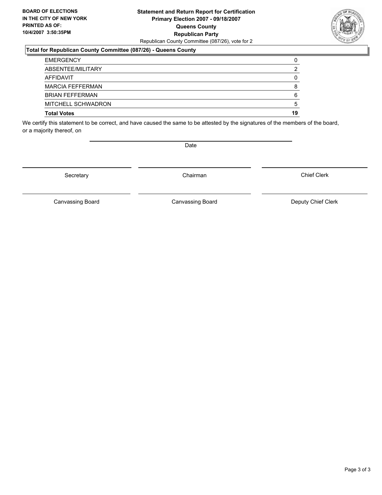### **Statement and Return Report for Certification Primary Election 2007 - 09/18/2007 Queens County Republican Party** Republican County Committee (087/26), vote for 2

### **Total for Republican County Committee (087/26) - Queens County**

| <b>EMERGENCY</b>        |    |
|-------------------------|----|
| ABSENTEE/MILITARY       |    |
| AFFIDAVIT               |    |
| <b>MARCIA FEFFERMAN</b> |    |
| <b>BRIAN FEFFERMAN</b>  | 6  |
| MITCHELL SCHWADRON      | ∽  |
| <b>Total Votes</b>      | 19 |

We certify this statement to be correct, and have caused the same to be attested by the signatures of the members of the board, or a majority thereof, on

Secretary **Chairman** 

Chief Clerk

Canvassing Board **Canvassing Board** Canvassing Board **Deputy Chief Clerk** 

Canvassing Board



Date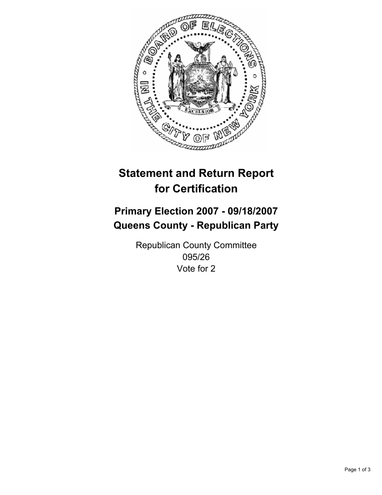

# **Primary Election 2007 - 09/18/2007 Queens County - Republican Party**

Republican County Committee 095/26 Vote for 2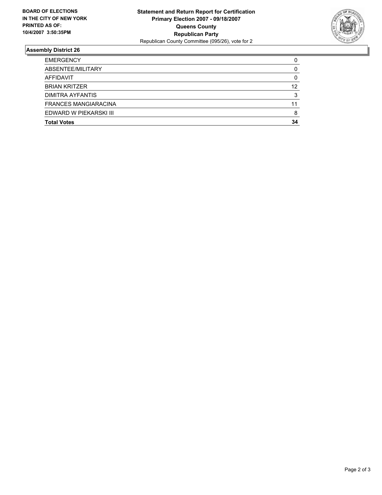

| <b>EMERGENCY</b>            |    |
|-----------------------------|----|
| ABSENTEE/MILITARY           |    |
| AFFIDAVIT                   |    |
| <b>BRIAN KRITZER</b>        | 12 |
| DIMITRA AYFANTIS            |    |
| <b>FRANCES MANGIARACINA</b> | 11 |
| EDWARD W PIEKARSKI III      |    |
| <b>Total Votes</b>          | 34 |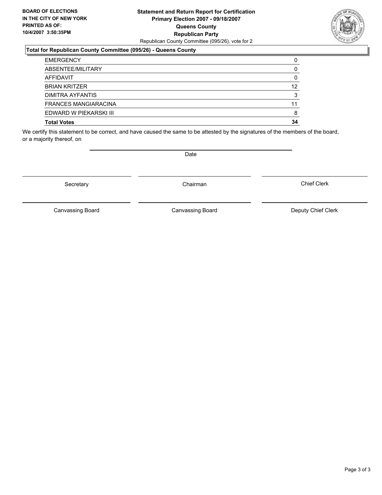### **Statement and Return Report for Certification Primary Election 2007 - 09/18/2007 Queens County Republican Party** Republican County Committee (095/26), vote for 2

### **Total for Republican County Committee (095/26) - Queens County**

| <b>EMERGENCY</b>            |    |
|-----------------------------|----|
| ABSENTEE/MILITARY           |    |
| AFFIDAVIT                   |    |
| <b>BRIAN KRITZER</b>        | 12 |
| DIMITRA AYFANTIS            |    |
| <b>FRANCES MANGIARACINA</b> | 11 |
| EDWARD W PIEKARSKI III      |    |
| <b>Total Votes</b>          | 34 |

We certify this statement to be correct, and have caused the same to be attested by the signatures of the members of the board, or a majority thereof, on

Canvassing Board

Canvassing Board Canvassing Board Canvassing Canvassing Board Deputy Chief Clerk

Chief Clerk



Secretary **Chairman** 

Date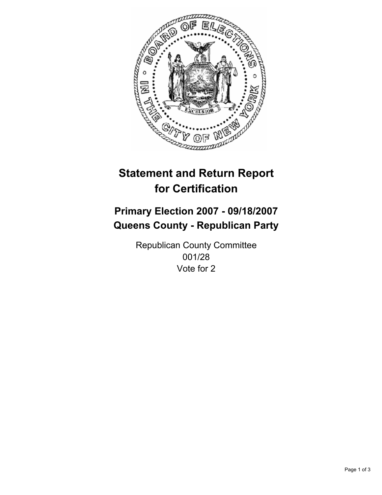

# **Primary Election 2007 - 09/18/2007 Queens County - Republican Party**

Republican County Committee 001/28 Vote for 2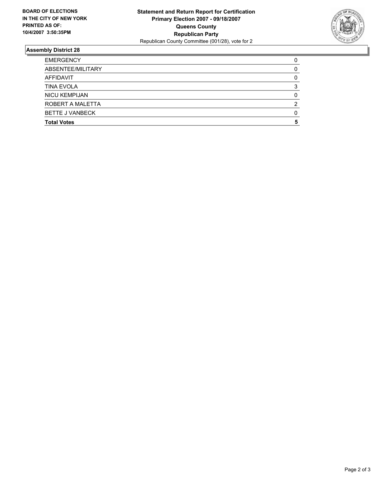

| <b>EMERGENCY</b>       |  |
|------------------------|--|
| ABSENTEE/MILITARY      |  |
| AFFIDAVIT              |  |
| <b>TINA EVOLA</b>      |  |
| <b>NICU KEMPIJAN</b>   |  |
| ROBERT A MALETTA       |  |
| <b>BETTE J VANBECK</b> |  |
| <b>Total Votes</b>     |  |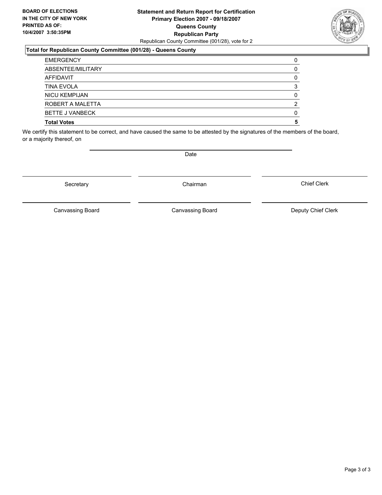### **Statement and Return Report for Certification Primary Election 2007 - 09/18/2007 Queens County Republican Party** Republican County Committee (001/28), vote for 2

### **Total for Republican County Committee (001/28) - Queens County**

| <b>EMERGENCY</b>       |  |
|------------------------|--|
| ABSENTEE/MILITARY      |  |
| AFFIDAVIT              |  |
| <b>TINA EVOLA</b>      |  |
| <b>NICU KEMPIJAN</b>   |  |
| ROBERT A MALETTA       |  |
| <b>BETTE J VANBECK</b> |  |
| <b>Total Votes</b>     |  |

We certify this statement to be correct, and have caused the same to be attested by the signatures of the members of the board, or a majority thereof, on

Canvassing Board

Date

Canvassing Board Canvassing Board Canvassing Canvassing Board Deputy Chief Clerk

Chief Clerk



Secretary **Chairman**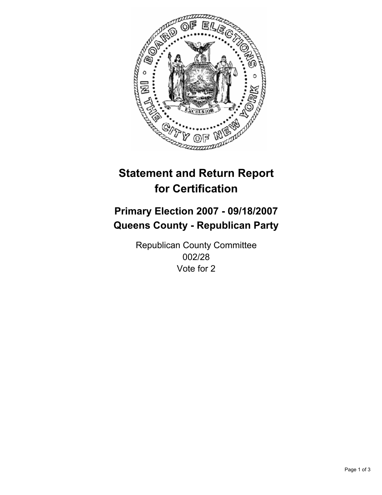

# **Primary Election 2007 - 09/18/2007 Queens County - Republican Party**

Republican County Committee 002/28 Vote for 2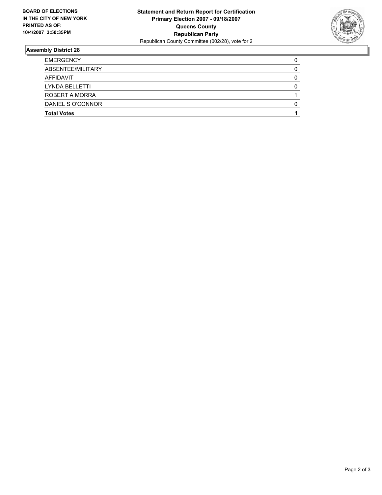

| <b>EMERGENCY</b>   |  |
|--------------------|--|
| ABSENTEE/MILITARY  |  |
| AFFIDAVIT          |  |
| LYNDA BELLETTI     |  |
| ROBERT A MORRA     |  |
| DANIEL S O'CONNOR  |  |
| <b>Total Votes</b> |  |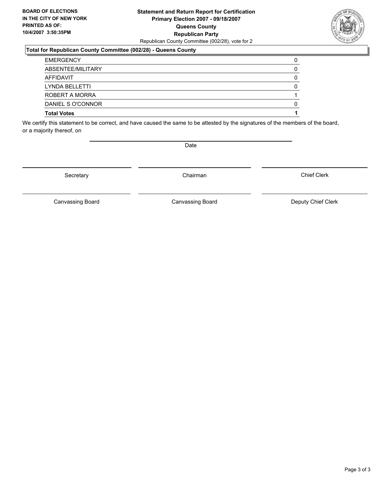### **Statement and Return Report for Certification Primary Election 2007 - 09/18/2007 Queens County Republican Party** Republican County Committee (002/28), vote for 2

### **Total for Republican County Committee (002/28) - Queens County**

| <b>Total Votes</b> |  |
|--------------------|--|
| DANIEL S O'CONNOR  |  |
| ROBERT A MORRA     |  |
| LYNDA BELLETTI     |  |
| AFFIDAVIT          |  |
| ABSENTEE/MILITARY  |  |
| <b>EMERGENCY</b>   |  |

We certify this statement to be correct, and have caused the same to be attested by the signatures of the members of the board, or a majority thereof, on

Secretary **Chairman** 

Chief Clerk

Canvassing Board **Canvassing Board** Canvassing Board **Deputy Chief Clerk** 

Canvassing Board



Date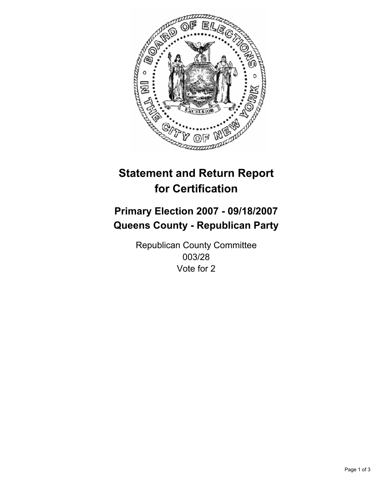

# **Primary Election 2007 - 09/18/2007 Queens County - Republican Party**

Republican County Committee 003/28 Vote for 2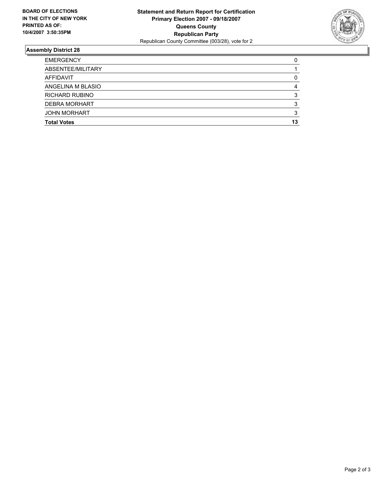

| <b>EMERGENCY</b>      |    |
|-----------------------|----|
| ABSENTEE/MILITARY     |    |
| AFFIDAVIT             |    |
| ANGELINA M BLASIO     |    |
| <b>RICHARD RUBINO</b> |    |
| <b>DEBRA MORHART</b>  |    |
| <b>JOHN MORHART</b>   |    |
| <b>Total Votes</b>    | 13 |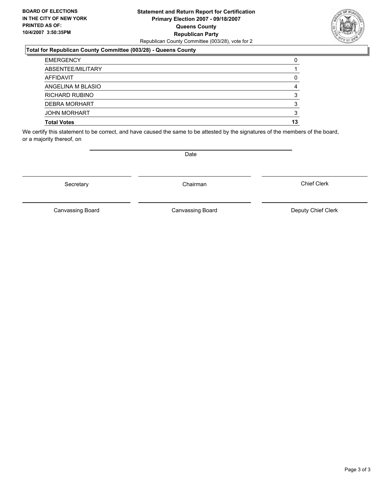### **Statement and Return Report for Certification Primary Election 2007 - 09/18/2007 Queens County Republican Party** Republican County Committee (003/28), vote for 2

### **Total for Republican County Committee (003/28) - Queens County**

| <b>EMERGENCY</b>      |    |
|-----------------------|----|
| ABSENTEE/MILITARY     |    |
| AFFIDAVIT             |    |
| ANGELINA M BLASIO     |    |
| <b>RICHARD RUBINO</b> |    |
| <b>DEBRA MORHART</b>  |    |
| <b>JOHN MORHART</b>   |    |
| <b>Total Votes</b>    | 13 |

We certify this statement to be correct, and have caused the same to be attested by the signatures of the members of the board, or a majority thereof, on

Secretary **Chairman** 

Canvassing Board Canvassing Board Canvassing Canvassing Board Deputy Chief Clerk

Chief Clerk

Canvassing Board



Date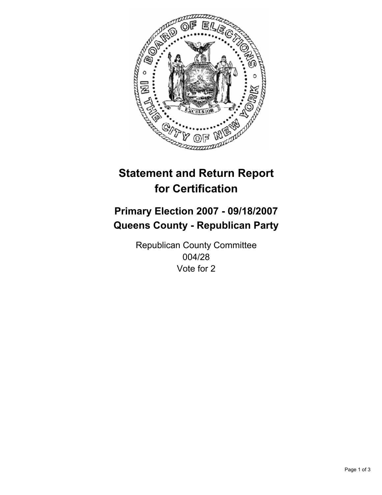

# **Primary Election 2007 - 09/18/2007 Queens County - Republican Party**

Republican County Committee 004/28 Vote for 2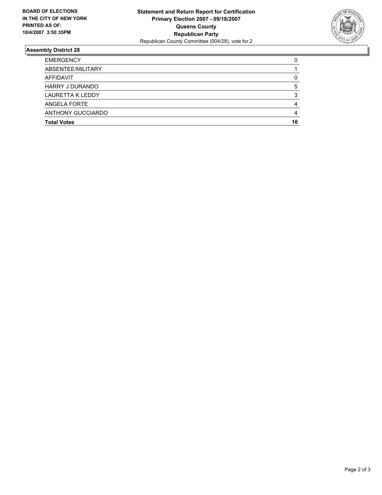

| <b>EMERGENCY</b>        |    |
|-------------------------|----|
| ABSENTEE/MILITARY       |    |
| AFFIDAVIT               |    |
| <b>HARRY J DURANDO</b>  |    |
| <b>LAURETTA K LEDDY</b> |    |
| ANGELA FORTE            |    |
| ANTHONY GUCCIARDO       |    |
| <b>Total Votes</b>      | 16 |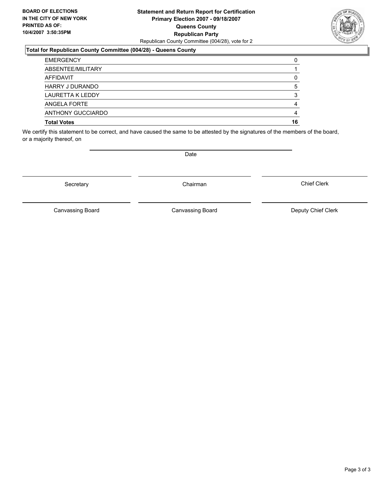### **Statement and Return Report for Certification Primary Election 2007 - 09/18/2007 Queens County Republican Party** Republican County Committee (004/28), vote for 2

### **Total for Republican County Committee (004/28) - Queens County**

| <b>EMERGENCY</b>   |    |
|--------------------|----|
| ABSENTEE/MILITARY  |    |
| AFFIDAVIT          |    |
| HARRY J DURANDO    |    |
| LAURETTA K LEDDY   |    |
| ANGELA FORTE       |    |
| ANTHONY GUCCIARDO  |    |
| <b>Total Votes</b> | 16 |

We certify this statement to be correct, and have caused the same to be attested by the signatures of the members of the board, or a majority thereof, on

Date

Canvassing Board

Canvassing Board Canvassing Board Canvassing Canvassing Board Deputy Chief Clerk

Chief Clerk

Page 3 of 3



Secretary **Chairman**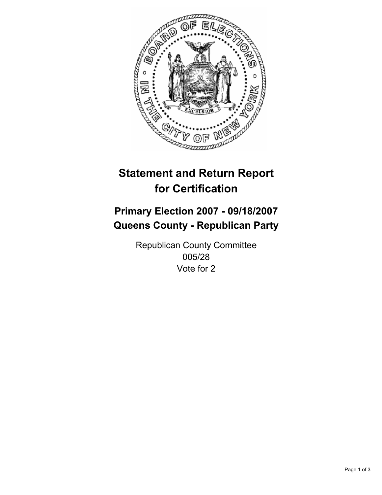

# **Primary Election 2007 - 09/18/2007 Queens County - Republican Party**

Republican County Committee 005/28 Vote for 2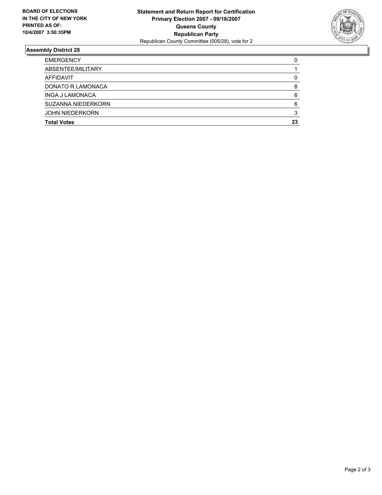

| <b>Total Votes</b>     | 23 |
|------------------------|----|
| <b>JOHN NIEDERKORN</b> |    |
| SUZANNA NIEDERKORN     |    |
| INGA J LAMONACA        |    |
| DONATO R LAMONACA      |    |
| AFFIDAVIT              |    |
| ABSENTEE/MILITARY      |    |
| <b>EMERGENCY</b>       |    |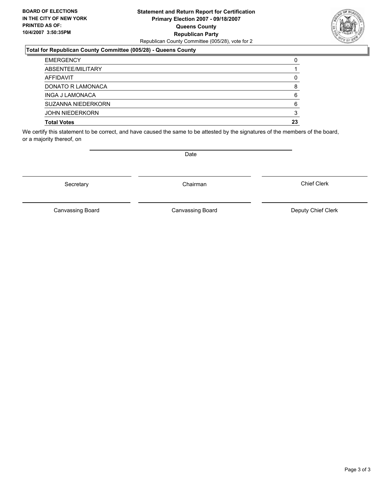### **Statement and Return Report for Certification Primary Election 2007 - 09/18/2007 Queens County Republican Party** Republican County Committee (005/28), vote for 2



#### **Total for Republican County Committee (005/28) - Queens County**

| <b>EMERGENCY</b>       |    |
|------------------------|----|
| ABSENTEE/MILITARY      |    |
| AFFIDAVIT              |    |
| DONATO R LAMONACA      |    |
| <b>INGA J LAMONACA</b> |    |
| SUZANNA NIEDERKORN     |    |
| <b>JOHN NIEDERKORN</b> |    |
| <b>Total Votes</b>     | 23 |

We certify this statement to be correct, and have caused the same to be attested by the signatures of the members of the board, or a majority thereof, on

Secretary **Chairman** 

Date

Chief Clerk

Canvassing Board

Canvassing Board Canvassing Board Canvassing Canvassing Board Deputy Chief Clerk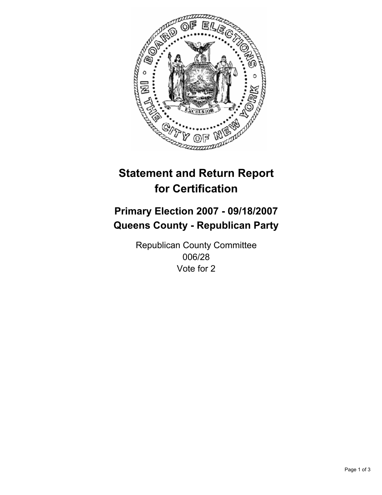

# **Primary Election 2007 - 09/18/2007 Queens County - Republican Party**

Republican County Committee 006/28 Vote for 2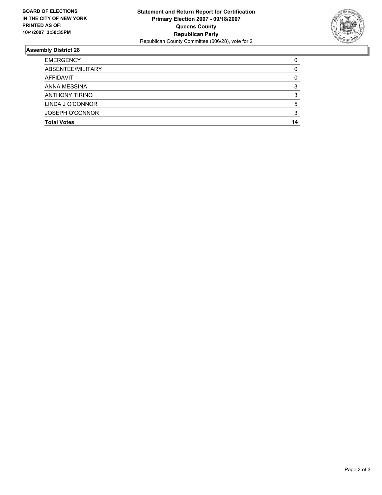

| <b>EMERGENCY</b>       |    |
|------------------------|----|
| ABSENTEE/MILITARY      |    |
| AFFIDAVIT              |    |
| ANNA MESSINA           |    |
| <b>ANTHONY TIRINO</b>  |    |
| LINDA J O'CONNOR       |    |
| <b>JOSEPH O'CONNOR</b> |    |
| <b>Total Votes</b>     | 14 |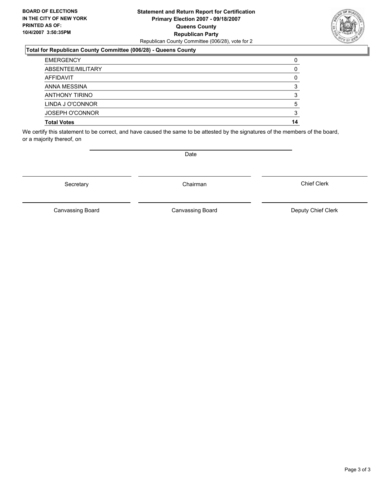### **Statement and Return Report for Certification Primary Election 2007 - 09/18/2007 Queens County Republican Party** Republican County Committee (006/28), vote for 2

### **Total for Republican County Committee (006/28) - Queens County**

| <b>EMERGENCY</b>       |    |
|------------------------|----|
| ABSENTEE/MILITARY      |    |
| AFFIDAVIT              |    |
| ANNA MESSINA           |    |
| <b>ANTHONY TIRINO</b>  |    |
| LINDA J O'CONNOR       |    |
| <b>JOSEPH O'CONNOR</b> |    |
| <b>Total Votes</b>     | 14 |

We certify this statement to be correct, and have caused the same to be attested by the signatures of the members of the board, or a majority thereof, on

Date

Secretary **Chairman** 

Canvassing Board Canvassing Board Canvassing Canvassing Board Deputy Chief Clerk

Chief Clerk

Canvassing Board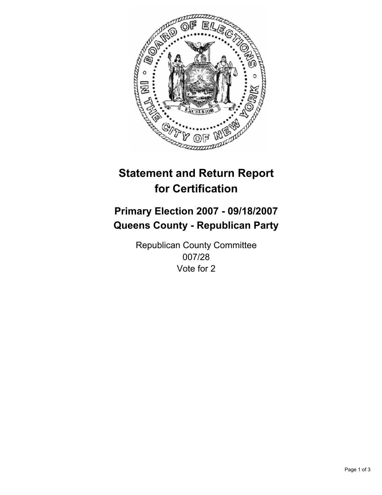

# **Primary Election 2007 - 09/18/2007 Queens County - Republican Party**

Republican County Committee 007/28 Vote for 2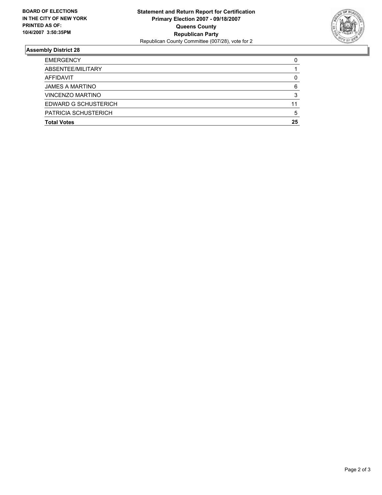

| <b>Total Votes</b>          | 25 |
|-----------------------------|----|
| <b>PATRICIA SCHUSTERICH</b> |    |
| <b>EDWARD G SCHUSTERICH</b> | 11 |
| VINCENZO MARTINO            |    |
| <b>JAMES A MARTINO</b>      |    |
| AFFIDAVIT                   |    |
| ABSENTEE/MILITARY           |    |
| <b>EMERGENCY</b>            |    |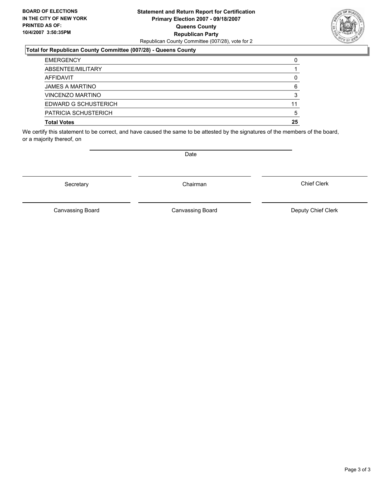### **Statement and Return Report for Certification Primary Election 2007 - 09/18/2007 Queens County Republican Party** Republican County Committee (007/28), vote for 2



#### **Total for Republican County Committee (007/28) - Queens County**

| <b>EMERGENCY</b>            |    |
|-----------------------------|----|
| ABSENTEE/MILITARY           |    |
| AFFIDAVIT                   |    |
| <b>JAMES A MARTINO</b>      | 6  |
| <b>VINCENZO MARTINO</b>     |    |
| EDWARD G SCHUSTERICH        |    |
| <b>PATRICIA SCHUSTERICH</b> |    |
| <b>Total Votes</b>          | 25 |

We certify this statement to be correct, and have caused the same to be attested by the signatures of the members of the board, or a majority thereof, on

Secretary **Chairman** 

Date

Chief Clerk

Canvassing Board

Canvassing Board Canvassing Board Canvassing Canvassing Board Deputy Chief Clerk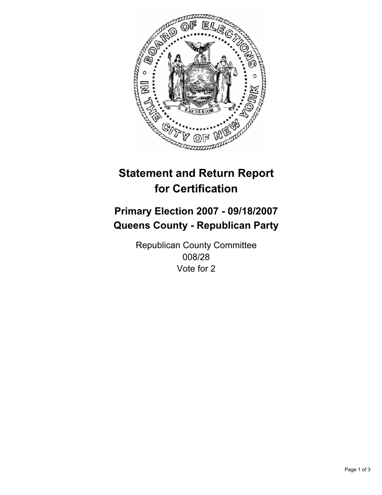

# **Primary Election 2007 - 09/18/2007 Queens County - Republican Party**

Republican County Committee 008/28 Vote for 2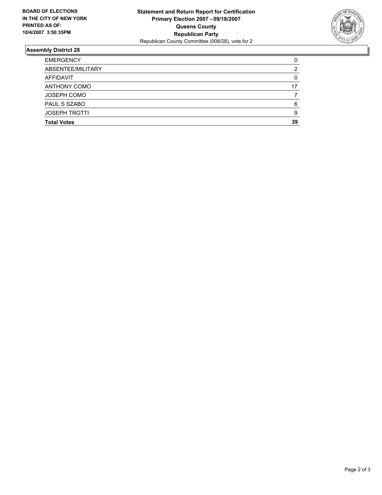

| <b>EMERGENCY</b>     |    |
|----------------------|----|
| ABSENTEE/MILITARY    |    |
| AFFIDAVIT            |    |
| <b>ANTHONY COMO</b>  |    |
| <b>JOSEPH COMO</b>   |    |
| PAUL S SZABO         |    |
| <b>JOSEPH TROTTI</b> |    |
| <b>Total Votes</b>   | 39 |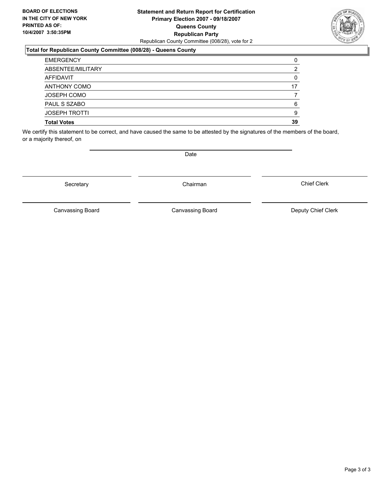### **Statement and Return Report for Certification Primary Election 2007 - 09/18/2007 Queens County Republican Party** Republican County Committee (008/28), vote for 2

### **Total for Republican County Committee (008/28) - Queens County**

| <b>EMERGENCY</b>     |    |
|----------------------|----|
| ABSENTEE/MILITARY    |    |
| AFFIDAVIT            |    |
| <b>ANTHONY COMO</b>  |    |
| <b>JOSEPH COMO</b>   |    |
| PAUL S SZABO         |    |
| <b>JOSEPH TROTTI</b> |    |
| <b>Total Votes</b>   | 39 |

We certify this statement to be correct, and have caused the same to be attested by the signatures of the members of the board, or a majority thereof, on

Date

Secretary **Chairman** 

Canvassing Board

Canvassing Board Canvassing Board Canvassing Canvassing Board Deputy Chief Clerk

Chief Clerk

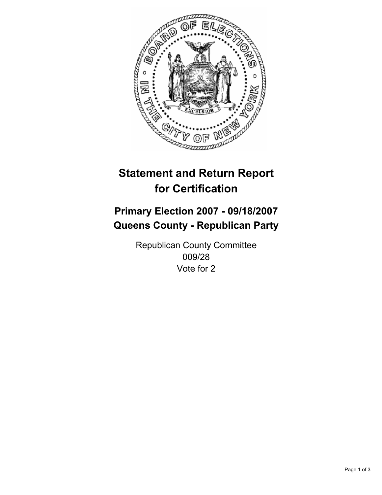

# **Primary Election 2007 - 09/18/2007 Queens County - Republican Party**

Republican County Committee 009/28 Vote for 2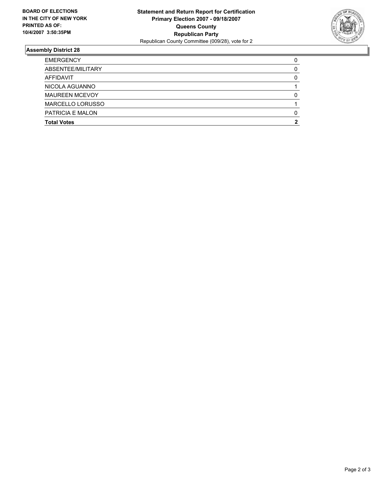

| <b>EMERGENCY</b>      |  |
|-----------------------|--|
| ABSENTEE/MILITARY     |  |
| AFFIDAVIT             |  |
| NICOLA AGUANNO        |  |
| <b>MAUREEN MCEVOY</b> |  |
| MARCELLO LORUSSO      |  |
| PATRICIA E MALON      |  |
| <b>Total Votes</b>    |  |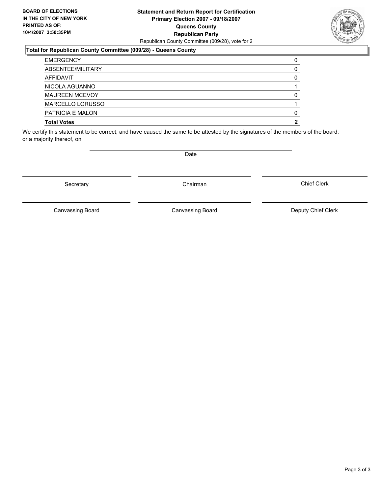### **Statement and Return Report for Certification Primary Election 2007 - 09/18/2007 Queens County Republican Party** Republican County Committee (009/28), vote for 2

### **Total for Republican County Committee (009/28) - Queens County**

| <b>EMERGENCY</b>      |  |
|-----------------------|--|
| ABSENTEE/MILITARY     |  |
| AFFIDAVIT             |  |
| NICOLA AGUANNO        |  |
| <b>MAUREEN MCEVOY</b> |  |
| MARCELLO LORUSSO      |  |
| PATRICIA E MALON      |  |
| <b>Total Votes</b>    |  |

We certify this statement to be correct, and have caused the same to be attested by the signatures of the members of the board, or a majority thereof, on

Secretary **Chairman** 

Canvassing Board

Canvassing Board Canvassing Board Canvassing Canvassing Board Deputy Chief Clerk

Chief Clerk



Date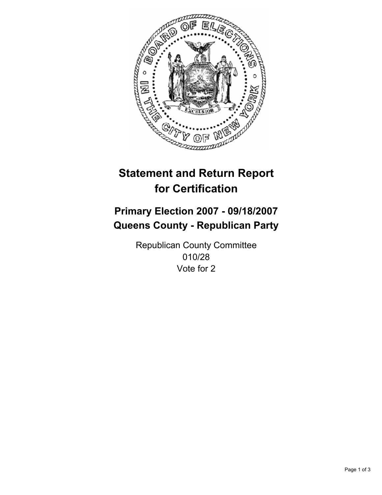

# **Primary Election 2007 - 09/18/2007 Queens County - Republican Party**

Republican County Committee 010/28 Vote for 2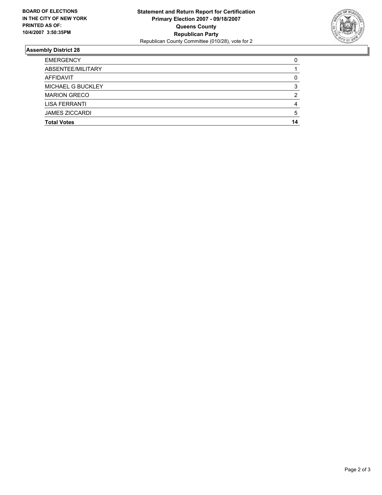

| <b>EMERGENCY</b>         |    |
|--------------------------|----|
| ABSENTEE/MILITARY        |    |
| AFFIDAVIT                |    |
| <b>MICHAEL G BUCKLEY</b> |    |
| <b>MARION GRECO</b>      |    |
| <b>LISA FERRANTI</b>     |    |
| <b>JAMES ZICCARDI</b>    |    |
| <b>Total Votes</b>       | 14 |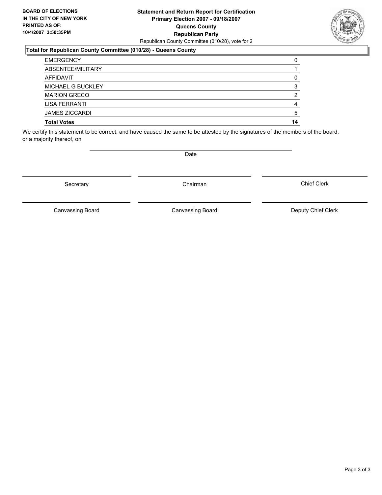### **Statement and Return Report for Certification Primary Election 2007 - 09/18/2007 Queens County Republican Party** Republican County Committee (010/28), vote for 2

### **Total for Republican County Committee (010/28) - Queens County**

| <b>EMERGENCY</b>         |    |
|--------------------------|----|
| ABSENTEE/MILITARY        |    |
| AFFIDAVIT                |    |
| <b>MICHAEL G BUCKLEY</b> |    |
| <b>MARION GRECO</b>      |    |
| LISA FERRANTI            |    |
| <b>JAMES ZICCARDI</b>    |    |
| <b>Total Votes</b>       | 14 |

We certify this statement to be correct, and have caused the same to be attested by the signatures of the members of the board, or a majority thereof, on

Secretary **Chairman** 

Canvassing Board

Canvassing Board Canvassing Board Canvassing Canvassing Board Deputy Chief Clerk

Chief Clerk

Page 3 of 3

Date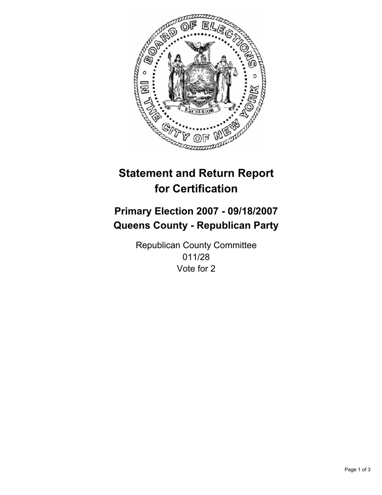

## **Primary Election 2007 - 09/18/2007 Queens County - Republican Party**

Republican County Committee 011/28 Vote for 2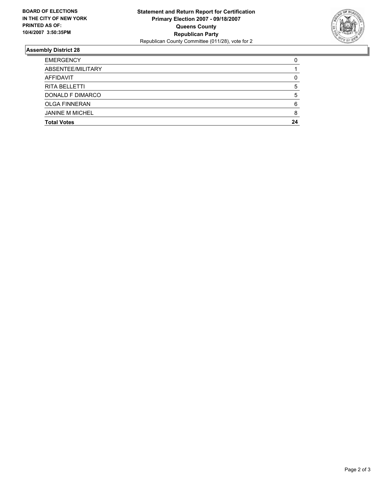

| <b>EMERGENCY</b>       |    |
|------------------------|----|
| ABSENTEE/MILITARY      |    |
| AFFIDAVIT              |    |
| <b>RITA BELLETTI</b>   |    |
| DONALD F DIMARCO       |    |
| <b>OLGA FINNERAN</b>   |    |
| <b>JANINE M MICHEL</b> |    |
| <b>Total Votes</b>     | 24 |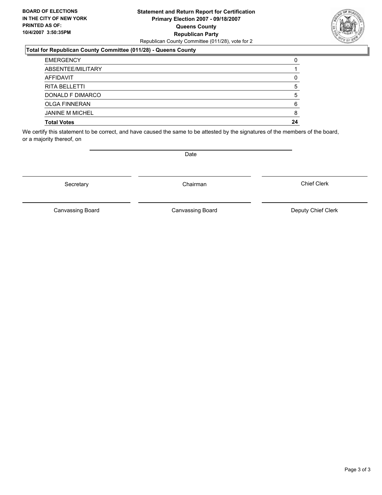#### **Statement and Return Report for Certification Primary Election 2007 - 09/18/2007 Queens County Republican Party** Republican County Committee (011/28), vote for 2

#### **Total for Republican County Committee (011/28) - Queens County**

| <b>EMERGENCY</b>       |    |
|------------------------|----|
| ABSENTEE/MILITARY      |    |
| AFFIDAVIT              |    |
| <b>RITA BELLETTI</b>   |    |
| DONALD F DIMARCO       |    |
| <b>OLGA FINNERAN</b>   |    |
| <b>JANINE M MICHEL</b> |    |
| <b>Total Votes</b>     | 24 |

We certify this statement to be correct, and have caused the same to be attested by the signatures of the members of the board, or a majority thereof, on

Canvassing Board

Canvassing Board Canvassing Board Canvassing Canvassing Board Deputy Chief Clerk

Chief Clerk



Date

Secretary **Chairman**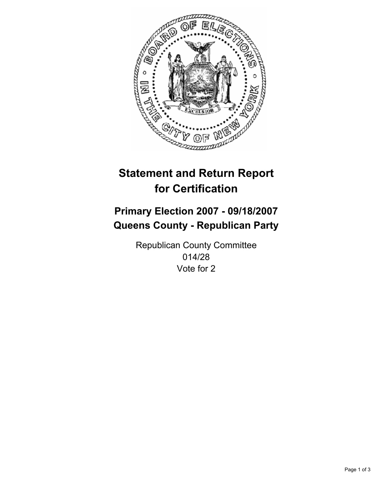

## **Primary Election 2007 - 09/18/2007 Queens County - Republican Party**

Republican County Committee 014/28 Vote for 2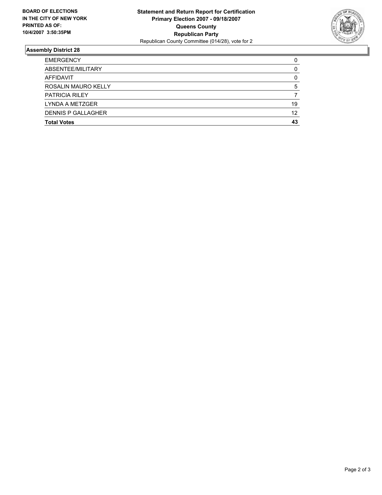

| 19 |
|----|
| 12 |
| 43 |
|    |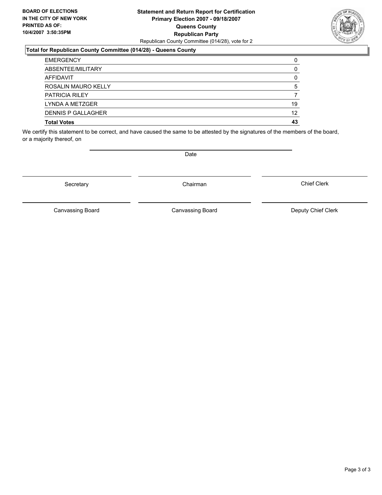#### **Statement and Return Report for Certification Primary Election 2007 - 09/18/2007 Queens County Republican Party** Republican County Committee (014/28), vote for 2

#### **Total for Republican County Committee (014/28) - Queens County**

| <b>EMERGENCY</b>          |    |
|---------------------------|----|
| ABSENTEE/MILITARY         |    |
| AFFIDAVIT                 |    |
| ROSALIN MAURO KELLY       | 5  |
| <b>PATRICIA RILEY</b>     |    |
| LYNDA A METZGER           | 19 |
| <b>DENNIS P GALLAGHER</b> | 12 |
| <b>Total Votes</b>        | 43 |

We certify this statement to be correct, and have caused the same to be attested by the signatures of the members of the board, or a majority thereof, on

Date

Secretary **Chairman** 

Canvassing Board

Canvassing Board Canvassing Board Canvassing Canvassing Board Deputy Chief Clerk

Chief Clerk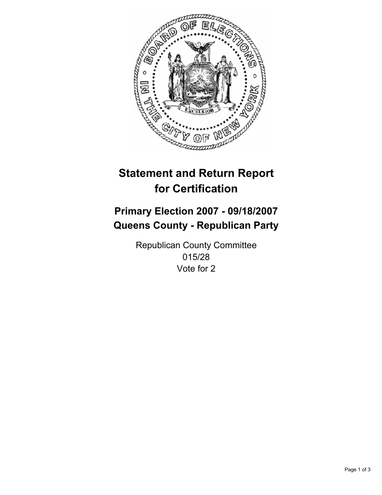

## **Primary Election 2007 - 09/18/2007 Queens County - Republican Party**

Republican County Committee 015/28 Vote for 2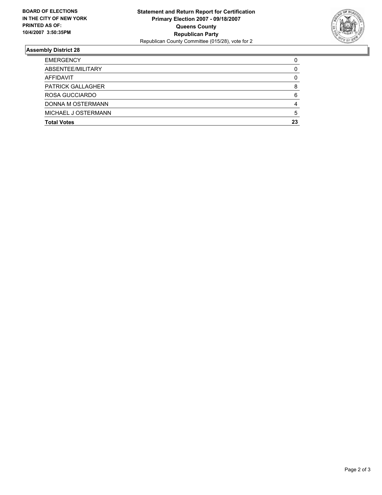

| <b>EMERGENCY</b>         |    |
|--------------------------|----|
| ABSENTEE/MILITARY        |    |
| AFFIDAVIT                |    |
| <b>PATRICK GALLAGHER</b> |    |
| ROSA GUCCIARDO           |    |
| DONNA M OSTERMANN        |    |
| MICHAEL J OSTERMANN      |    |
| <b>Total Votes</b>       | 23 |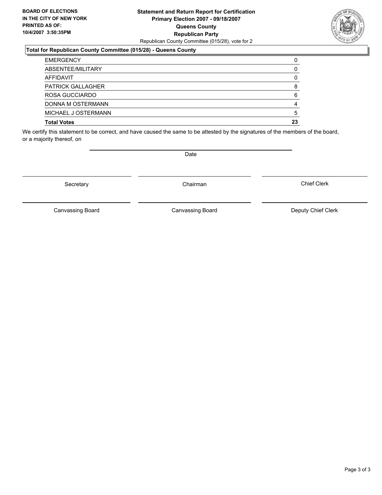#### **Statement and Return Report for Certification Primary Election 2007 - 09/18/2007 Queens County Republican Party** Republican County Committee (015/28), vote for 2



#### **Total for Republican County Committee (015/28) - Queens County**

| <b>EMERGENCY</b>         |    |
|--------------------------|----|
| ABSENTEE/MILITARY        |    |
| AFFIDAVIT                |    |
| <b>PATRICK GALLAGHER</b> |    |
| ROSA GUCCIARDO           |    |
| DONNA M OSTERMANN        |    |
| MICHAEL J OSTERMANN      |    |
| <b>Total Votes</b>       | 23 |

We certify this statement to be correct, and have caused the same to be attested by the signatures of the members of the board, or a majority thereof, on

Secretary **Chairman** 

Date

Chief Clerk

Canvassing Board

Canvassing Board Canvassing Board Canvassing Canvassing Board Deputy Chief Clerk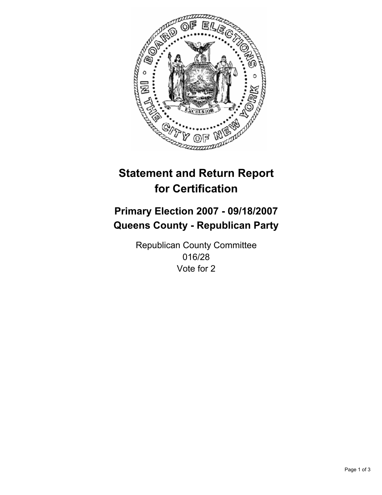

## **Primary Election 2007 - 09/18/2007 Queens County - Republican Party**

Republican County Committee 016/28 Vote for 2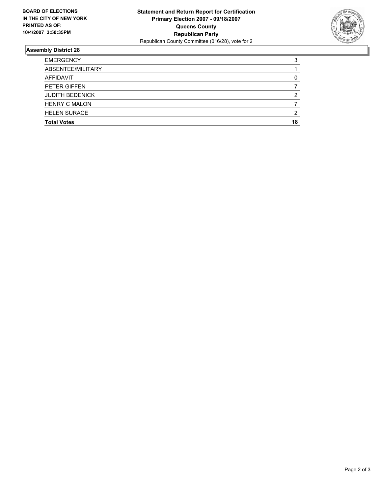

| <b>EMERGENCY</b>       | ,  |
|------------------------|----|
| ABSENTEE/MILITARY      |    |
| AFFIDAVIT              |    |
| PETER GIFFEN           |    |
| <b>JUDITH BEDENICK</b> |    |
| <b>HENRY C MALON</b>   |    |
| <b>HELEN SURACE</b>    | ◠  |
| <b>Total Votes</b>     | 18 |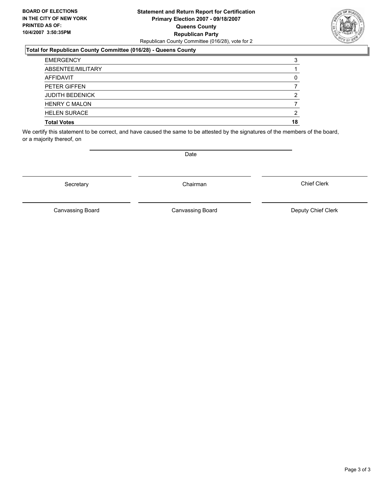#### **Statement and Return Report for Certification Primary Election 2007 - 09/18/2007 Queens County Republican Party** Republican County Committee (016/28), vote for 2

#### **Total for Republican County Committee (016/28) - Queens County**

| <b>EMERGENCY</b>       |    |
|------------------------|----|
| ABSENTEE/MILITARY      |    |
| AFFIDAVIT              |    |
| PETER GIFFEN           |    |
| <b>JUDITH BEDENICK</b> |    |
| <b>HENRY C MALON</b>   |    |
| <b>HELEN SURACE</b>    | ◠  |
| <b>Total Votes</b>     | 18 |

We certify this statement to be correct, and have caused the same to be attested by the signatures of the members of the board, or a majority thereof, on

Secretary **Chairman** 

Canvassing Board

Canvassing Board Canvassing Board Canvassing Canvassing Board Deputy Chief Clerk

Chief Clerk



Date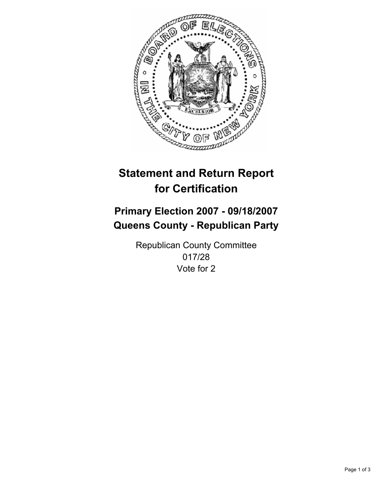

## **Primary Election 2007 - 09/18/2007 Queens County - Republican Party**

Republican County Committee 017/28 Vote for 2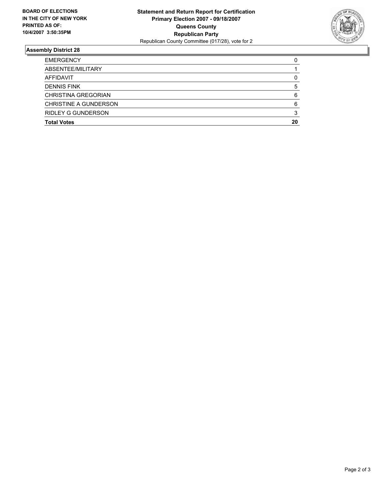

| <b>Total Votes</b>           | 20 |
|------------------------------|----|
| <b>RIDLEY G GUNDERSON</b>    |    |
| <b>CHRISTINE A GUNDERSON</b> |    |
| <b>CHRISTINA GREGORIAN</b>   |    |
| <b>DENNIS FINK</b>           |    |
| AFFIDAVIT                    |    |
| ABSENTEE/MILITARY            |    |
| <b>EMERGENCY</b>             |    |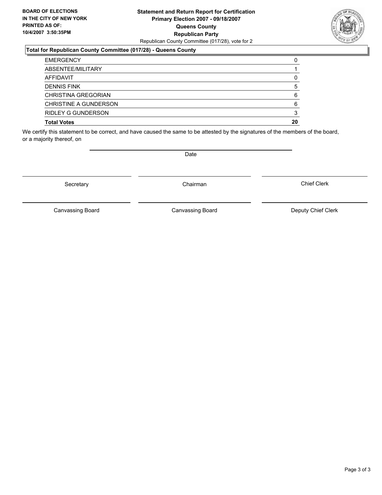#### **Statement and Return Report for Certification Primary Election 2007 - 09/18/2007 Queens County Republican Party** Republican County Committee (017/28), vote for 2



#### **Total for Republican County Committee (017/28) - Queens County**

| <b>EMERGENCY</b>          |    |
|---------------------------|----|
| ABSENTEE/MILITARY         |    |
| AFFIDAVIT                 |    |
| <b>DENNIS FINK</b>        |    |
| CHRISTINA GREGORIAN       | n  |
| CHRISTINE A GUNDERSON     |    |
| <b>RIDLEY G GUNDERSON</b> |    |
| <b>Total Votes</b>        | 20 |

We certify this statement to be correct, and have caused the same to be attested by the signatures of the members of the board, or a majority thereof, on

Secretary **Chairman** 

Date

Chief Clerk

Canvassing Board

Canvassing Board **Canvassing Board** Canvassing Board **Deputy Chief Clerk**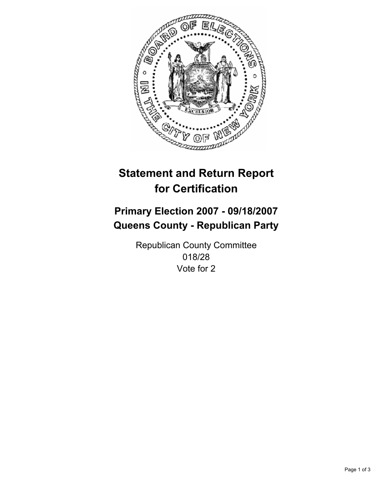

## **Primary Election 2007 - 09/18/2007 Queens County - Republican Party**

Republican County Committee 018/28 Vote for 2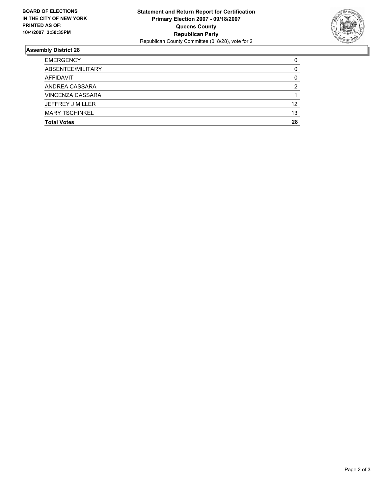

| <b>EMERGENCY</b>        |    |
|-------------------------|----|
| ABSENTEE/MILITARY       |    |
| AFFIDAVIT               |    |
| ANDREA CASSARA          |    |
| <b>VINCENZA CASSARA</b> |    |
| <b>JEFFREY J MILLER</b> | 12 |
| <b>MARY TSCHINKEL</b>   | 13 |
| <b>Total Votes</b>      | 28 |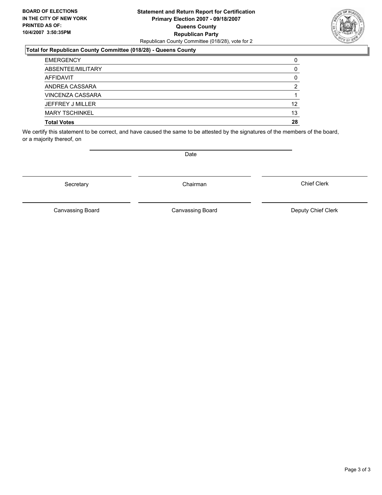#### **Statement and Return Report for Certification Primary Election 2007 - 09/18/2007 Queens County Republican Party** Republican County Committee (018/28), vote for 2

#### **Total for Republican County Committee (018/28) - Queens County**

| <b>EMERGENCY</b>        |    |
|-------------------------|----|
| ABSENTEE/MILITARY       |    |
| AFFIDAVIT               |    |
| ANDREA CASSARA          |    |
| <b>VINCENZA CASSARA</b> |    |
| JEFFREY J MILLER        | 12 |
| <b>MARY TSCHINKEL</b>   | 13 |
| <b>Total Votes</b>      | 28 |

We certify this statement to be correct, and have caused the same to be attested by the signatures of the members of the board, or a majority thereof, on

Secretary **Chairman** 

Chief Clerk

Canvassing Board



Canvassing Board Canvassing Board Canvassing Canvassing Board Deputy Chief Clerk

Date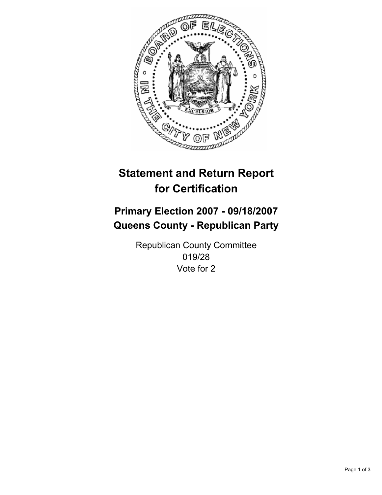

## **Primary Election 2007 - 09/18/2007 Queens County - Republican Party**

Republican County Committee 019/28 Vote for 2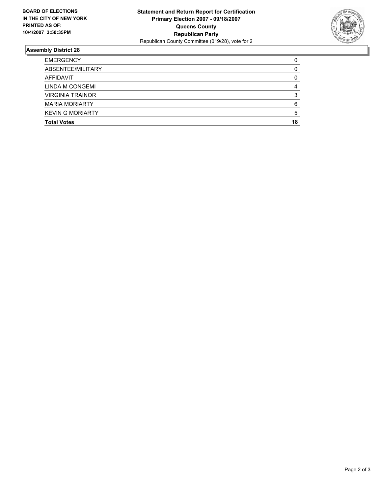

| <b>EMERGENCY</b>        |    |
|-------------------------|----|
| ABSENTEE/MILITARY       |    |
| AFFIDAVIT               |    |
| LINDA M CONGEMI         |    |
| <b>VIRGINIA TRAINOR</b> |    |
| <b>MARIA MORIARTY</b>   |    |
| <b>KEVIN G MORIARTY</b> |    |
| <b>Total Votes</b>      | 18 |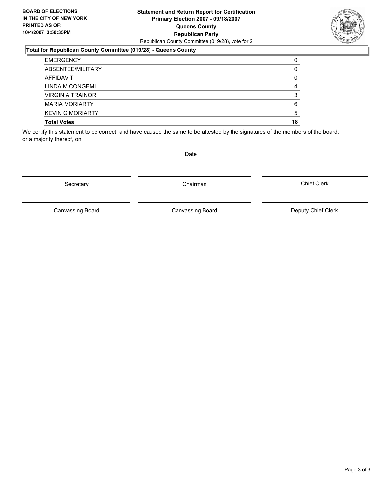#### **Statement and Return Report for Certification Primary Election 2007 - 09/18/2007 Queens County Republican Party** Republican County Committee (019/28), vote for 2

#### **Total for Republican County Committee (019/28) - Queens County**

| <b>EMERGENCY</b>        |    |
|-------------------------|----|
| ABSENTEE/MILITARY       |    |
| AFFIDAVIT               |    |
| LINDA M CONGEMI         |    |
| <b>VIRGINIA TRAINOR</b> |    |
| <b>MARIA MORIARTY</b>   |    |
| <b>KEVIN G MORIARTY</b> |    |
| <b>Total Votes</b>      | 18 |

We certify this statement to be correct, and have caused the same to be attested by the signatures of the members of the board, or a majority thereof, on

Date

Canvassing Board

Canvassing Board Canvassing Board Canvassing Canvassing Board Deputy Chief Clerk

Chief Clerk



Secretary **Chairman**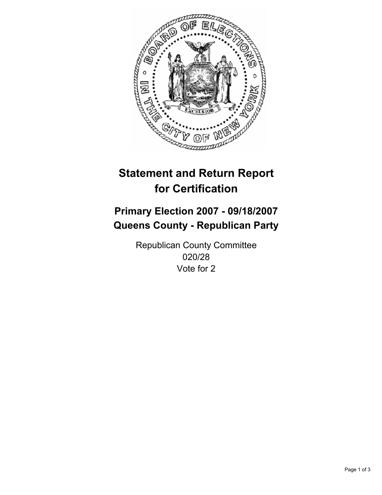

## **Primary Election 2007 - 09/18/2007 Queens County - Republican Party**

Republican County Committee 020/28 Vote for 2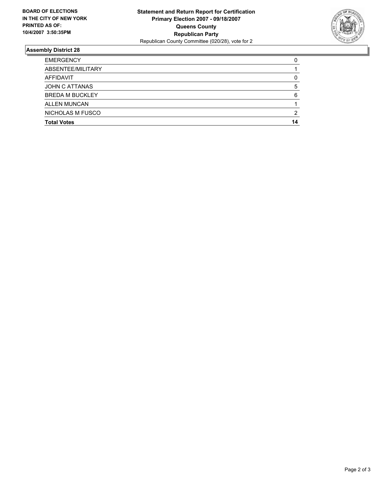

| <b>EMERGENCY</b>       |    |
|------------------------|----|
| ABSENTEE/MILITARY      |    |
| AFFIDAVIT              |    |
| JOHN C ATTANAS         |    |
| <b>BREDA M BUCKLEY</b> |    |
| <b>ALLEN MUNCAN</b>    |    |
| NICHOLAS M FUSCO       |    |
| <b>Total Votes</b>     | 14 |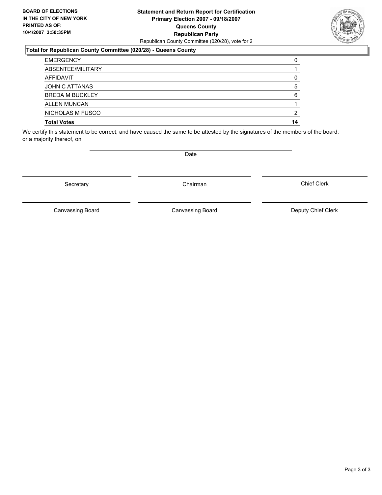#### **Statement and Return Report for Certification Primary Election 2007 - 09/18/2007 Queens County Republican Party** Republican County Committee (020/28), vote for 2

#### **Total for Republican County Committee (020/28) - Queens County**

| <b>EMERGENCY</b>       |    |
|------------------------|----|
| ABSENTEE/MILITARY      |    |
| AFFIDAVIT              |    |
| JOHN C ATTANAS         |    |
| <b>BREDA M BUCKLEY</b> |    |
| <b>ALLEN MUNCAN</b>    |    |
| NICHOLAS M FUSCO       | ◠  |
| <b>Total Votes</b>     | 14 |

We certify this statement to be correct, and have caused the same to be attested by the signatures of the members of the board, or a majority thereof, on

Secretary **Chairman** 

Canvassing Board

Date

Canvassing Board Canvassing Board Canvassing Canvassing Board Deputy Chief Clerk

Chief Clerk

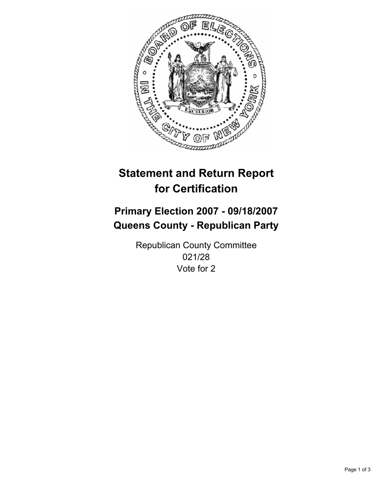

## **Primary Election 2007 - 09/18/2007 Queens County - Republican Party**

Republican County Committee 021/28 Vote for 2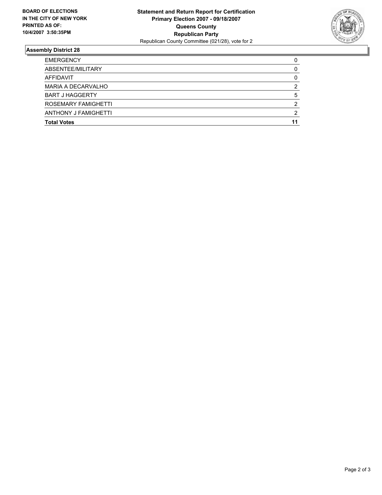

| <b>EMERGENCY</b>       |  |
|------------------------|--|
| ABSENTEE/MILITARY      |  |
| AFFIDAVIT              |  |
| MARIA A DECARVALHO     |  |
| <b>BART J HAGGERTY</b> |  |
| ROSEMARY FAMIGHETTI    |  |
| ANTHONY J FAMIGHETTI   |  |
| <b>Total Votes</b>     |  |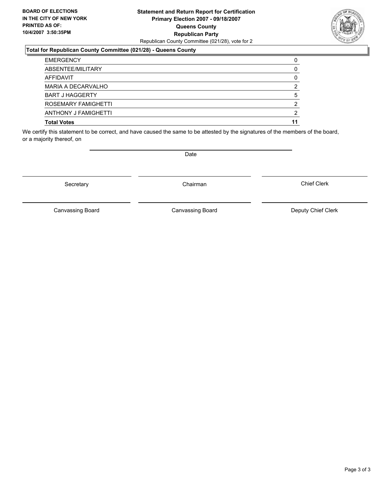#### **Statement and Return Report for Certification Primary Election 2007 - 09/18/2007 Queens County Republican Party** Republican County Committee (021/28), vote for 2

#### **Total for Republican County Committee (021/28) - Queens County**

| <b>EMERGENCY</b>       |   |
|------------------------|---|
| ABSENTEE/MILITARY      |   |
| AFFIDAVIT              |   |
| MARIA A DECARVALHO     |   |
| <b>BART J HAGGERTY</b> |   |
| ROSEMARY FAMIGHETTI    | ◠ |
| ANTHONY J FAMIGHETTI   |   |
| <b>Total Votes</b>     |   |

We certify this statement to be correct, and have caused the same to be attested by the signatures of the members of the board, or a majority thereof, on

Secretary **Chairman** 

Date

Chief Clerk

Canvassing Board

Canvassing Board **Canvassing Board** Canvassing Board **Deputy Chief Clerk**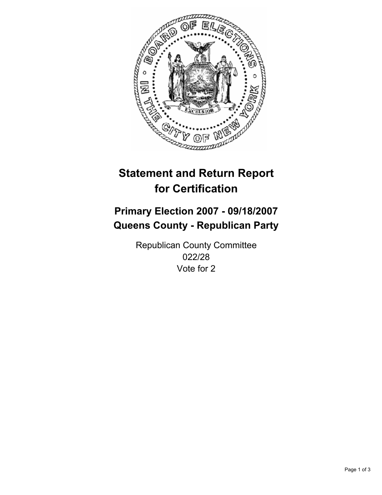

## **Primary Election 2007 - 09/18/2007 Queens County - Republican Party**

Republican County Committee 022/28 Vote for 2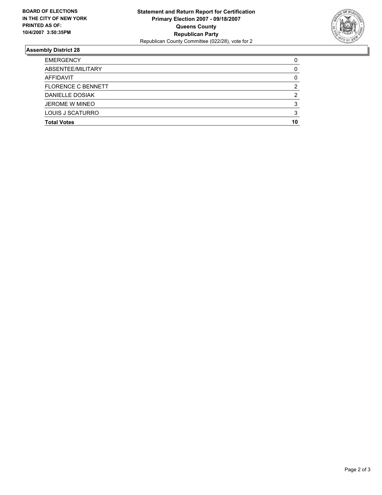

| <b>EMERGENCY</b>          |    |
|---------------------------|----|
| ABSENTEE/MILITARY         |    |
| AFFIDAVIT                 |    |
| <b>FLORENCE C BENNETT</b> |    |
| DANIELLE DOSIAK           |    |
| <b>JEROME W MINEO</b>     |    |
| LOUIS J SCATURRO          |    |
| <b>Total Votes</b>        | 10 |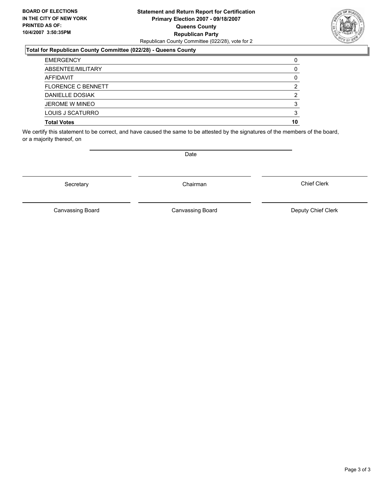#### **Statement and Return Report for Certification Primary Election 2007 - 09/18/2007 Queens County Republican Party** Republican County Committee (022/28), vote for 2

#### **Total for Republican County Committee (022/28) - Queens County**

| <b>EMERGENCY</b>          |    |
|---------------------------|----|
| ABSENTEE/MILITARY         |    |
| AFFIDAVIT                 |    |
| <b>FLORENCE C BENNETT</b> |    |
| DANIELLE DOSIAK           |    |
| <b>JEROME W MINEO</b>     |    |
| LOUIS J SCATURRO          |    |
| <b>Total Votes</b>        | 10 |

We certify this statement to be correct, and have caused the same to be attested by the signatures of the members of the board, or a majority thereof, on

Secretary **Chairman** 

Canvassing Board

Date

Chief Clerk



Canvassing Board Canvassing Board Canvassing Canvassing Board Deputy Chief Clerk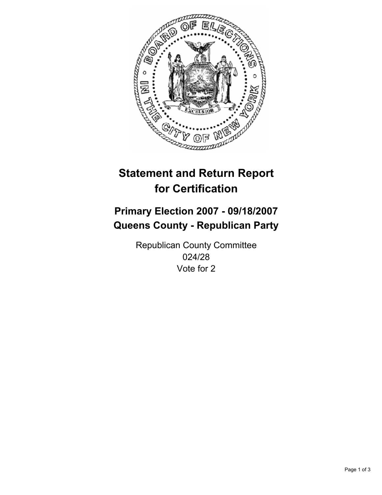

## **Primary Election 2007 - 09/18/2007 Queens County - Republican Party**

Republican County Committee 024/28 Vote for 2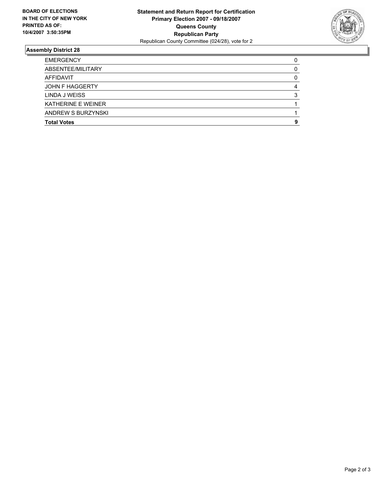

| <b>EMERGENCY</b>          |  |
|---------------------------|--|
| ABSENTEE/MILITARY         |  |
| AFFIDAVIT                 |  |
| JOHN F HAGGERTY           |  |
| LINDA J WEISS             |  |
| <b>KATHERINE E WEINER</b> |  |
| ANDREW S BURZYNSKI        |  |
| <b>Total Votes</b>        |  |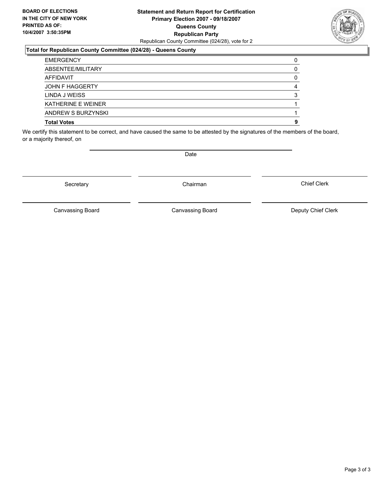#### **Statement and Return Report for Certification Primary Election 2007 - 09/18/2007 Queens County Republican Party** Republican County Committee (024/28), vote for 2

### **Total for Republican County Committee (024/28) - Queens County**

| <b>EMERGENCY</b>          |  |
|---------------------------|--|
| ABSENTEE/MILITARY         |  |
| AFFIDAVIT                 |  |
| JOHN F HAGGERTY           |  |
| LINDA J WEISS             |  |
| <b>KATHERINE E WEINER</b> |  |
| ANDREW S BURZYNSKI        |  |
| <b>Total Votes</b>        |  |

We certify this statement to be correct, and have caused the same to be attested by the signatures of the members of the board, or a majority thereof, on

Secretary **Chairman** 

Date

Chief Clerk

Canvassing Board

Canvassing Board Canvassing Board Canvassing Canvassing Board Deputy Chief Clerk

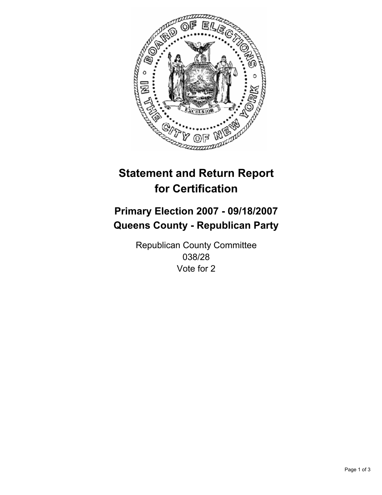

## **Primary Election 2007 - 09/18/2007 Queens County - Republican Party**

Republican County Committee 038/28 Vote for 2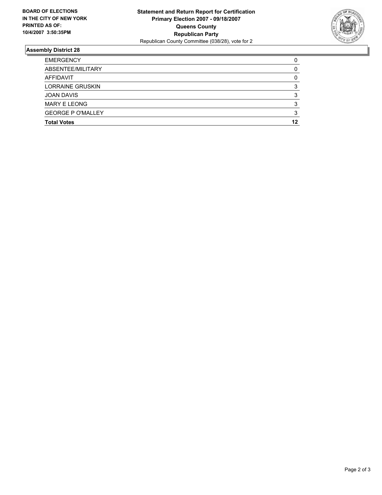

| <b>EMERGENCY</b>         |    |
|--------------------------|----|
| ABSENTEE/MILITARY        |    |
| AFFIDAVIT                |    |
| <b>LORRAINE GRUSKIN</b>  |    |
| <b>JOAN DAVIS</b>        |    |
| <b>MARY E LEONG</b>      |    |
| <b>GEORGE P O'MALLEY</b> |    |
| <b>Total Votes</b>       | 12 |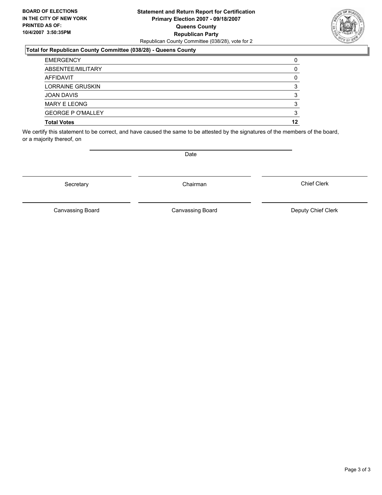#### **Statement and Return Report for Certification Primary Election 2007 - 09/18/2007 Queens County Republican Party** Republican County Committee (038/28), vote for 2

#### **Total for Republican County Committee (038/28) - Queens County**

| <b>EMERGENCY</b>         |    |
|--------------------------|----|
| ABSENTEE/MILITARY        |    |
| AFFIDAVIT                |    |
| <b>LORRAINE GRUSKIN</b>  |    |
| <b>JOAN DAVIS</b>        |    |
| <b>MARY E LEONG</b>      |    |
| <b>GEORGE P O'MALLEY</b> |    |
| <b>Total Votes</b>       | 12 |

We certify this statement to be correct, and have caused the same to be attested by the signatures of the members of the board, or a majority thereof, on

Secretary **Chairman** 

Canvassing Board

Chief Clerk



Date

Canvassing Board Canvassing Board Canvassing Canvassing Board Deputy Chief Clerk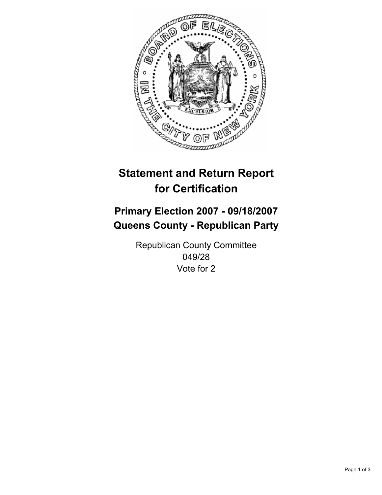

## **Primary Election 2007 - 09/18/2007 Queens County - Republican Party**

Republican County Committee 049/28 Vote for 2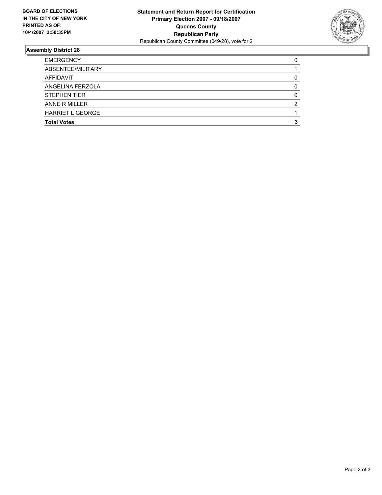

| <b>EMERGENCY</b>    |  |
|---------------------|--|
| ABSENTEE/MILITARY   |  |
| AFFIDAVIT           |  |
| ANGELINA FERZOLA    |  |
| <b>STEPHEN TIER</b> |  |
| ANNE R MILLER       |  |
| HARRIET L GEORGE    |  |
| <b>Total Votes</b>  |  |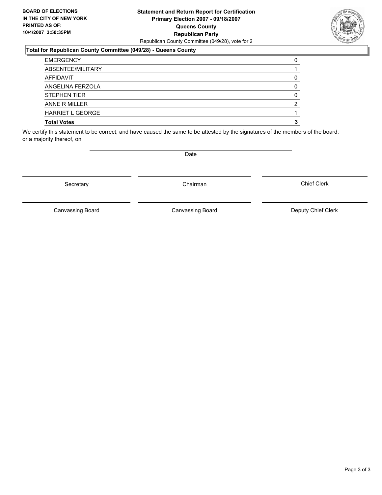### **Statement and Return Report for Certification Primary Election 2007 - 09/18/2007 Queens County Republican Party** Republican County Committee (049/28), vote for 2

### **Total for Republican County Committee (049/28) - Queens County**

| <b>EMERGENCY</b>        |  |
|-------------------------|--|
| ABSENTEE/MILITARY       |  |
| AFFIDAVIT               |  |
| ANGELINA FERZOLA        |  |
| <b>STEPHEN TIER</b>     |  |
| ANNE R MILLER           |  |
| <b>HARRIET L GEORGE</b> |  |
| <b>Total Votes</b>      |  |

We certify this statement to be correct, and have caused the same to be attested by the signatures of the members of the board, or a majority thereof, on

Secretary **Chairman** 

Canvassing Board

Canvassing Board Canvassing Board Canvassing Canvassing Board Deputy Chief Clerk

Chief Clerk

Date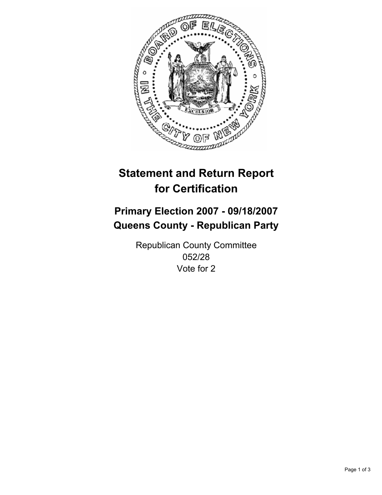

## **Primary Election 2007 - 09/18/2007 Queens County - Republican Party**

Republican County Committee 052/28 Vote for 2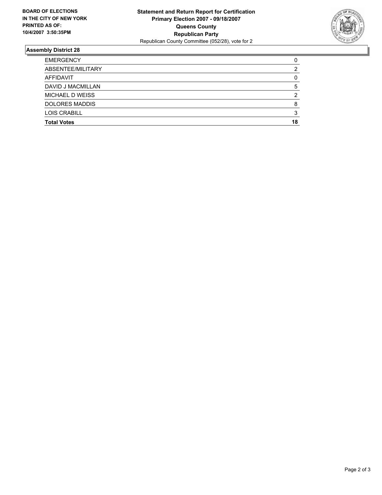

| <b>Total Votes</b>    | 18 |
|-----------------------|----|
| <b>LOIS CRABILL</b>   |    |
| <b>DOLORES MADDIS</b> |    |
| MICHAEL D WEISS       |    |
| DAVID J MACMILLAN     |    |
| AFFIDAVIT             |    |
| ABSENTEE/MILITARY     |    |
| <b>EMERGENCY</b>      |    |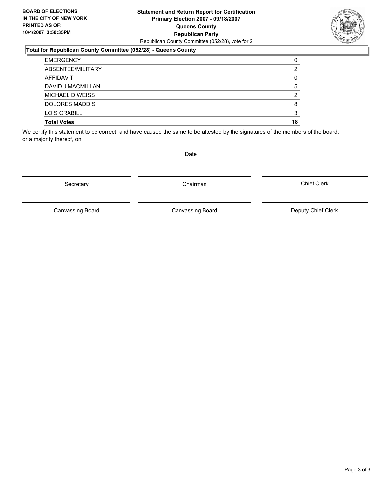### **Statement and Return Report for Certification Primary Election 2007 - 09/18/2007 Queens County Republican Party** Republican County Committee (052/28), vote for 2

### **Total for Republican County Committee (052/28) - Queens County**

| <b>EMERGENCY</b>      |    |
|-----------------------|----|
| ABSENTEE/MILITARY     |    |
| AFFIDAVIT             |    |
| DAVID J MACMILLAN     |    |
| MICHAEL D WEISS       |    |
| <b>DOLORES MADDIS</b> |    |
| LOIS CRABILL          |    |
| <b>Total Votes</b>    | 18 |

We certify this statement to be correct, and have caused the same to be attested by the signatures of the members of the board, or a majority thereof, on

Secretary **Chairman** 

Chief Clerk

Canvassing Board



Date

Canvassing Board **Canvassing Board** Canvassing Board **Deputy Chief Clerk**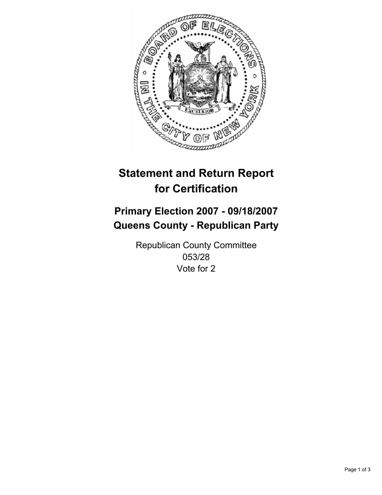

## **Primary Election 2007 - 09/18/2007 Queens County - Republican Party**

Republican County Committee 053/28 Vote for 2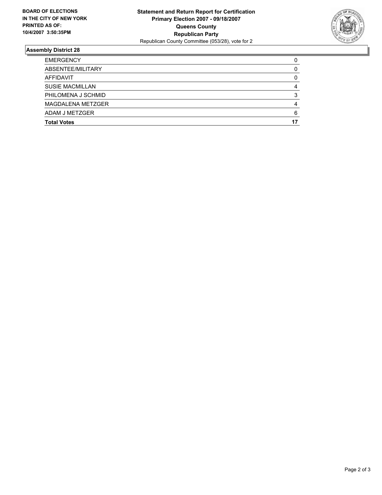

| <b>EMERGENCY</b>       |  |
|------------------------|--|
| ABSENTEE/MILITARY      |  |
| AFFIDAVIT              |  |
| <b>SUSIE MACMILLAN</b> |  |
| PHILOMENA J SCHMID     |  |
| MAGDALENA METZGER      |  |
| ADAM J METZGER         |  |
| <b>Total Votes</b>     |  |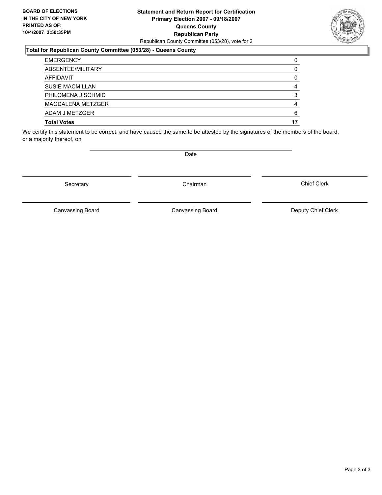### **Statement and Return Report for Certification Primary Election 2007 - 09/18/2007 Queens County Republican Party** Republican County Committee (053/28), vote for 2



#### **Total for Republican County Committee (053/28) - Queens County**

| <b>EMERGENCY</b>       |    |
|------------------------|----|
| ABSENTEE/MILITARY      |    |
| AFFIDAVIT              |    |
| <b>SUSIE MACMILLAN</b> |    |
| PHILOMENA J SCHMID     |    |
| MAGDALENA METZGER      |    |
| ADAM J METZGER         | 6  |
| <b>Total Votes</b>     | 17 |

We certify this statement to be correct, and have caused the same to be attested by the signatures of the members of the board, or a majority thereof, on

Secretary **Chairman** 

Date

Chief Clerk

Canvassing Board

Canvassing Board **Canvassing Board** Canvassing Board **Deputy Chief Clerk**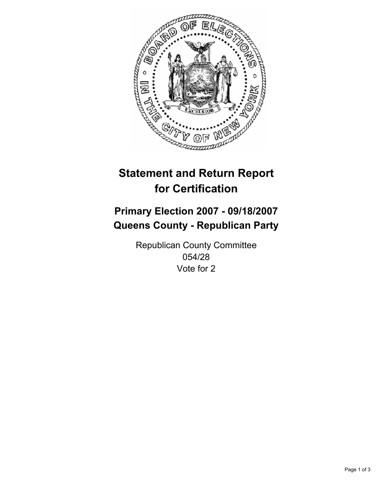

## **Primary Election 2007 - 09/18/2007 Queens County - Republican Party**

Republican County Committee 054/28 Vote for 2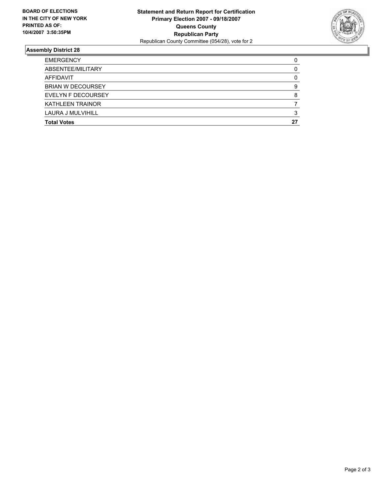

| <b>EMERGENCY</b>         |    |
|--------------------------|----|
| ABSENTEE/MILITARY        |    |
| AFFIDAVIT                |    |
| <b>BRIAN W DECOURSEY</b> |    |
| EVELYN F DECOURSEY       |    |
| <b>KATHLEEN TRAINOR</b>  |    |
| LAURA J MULVIHILL        |    |
| <b>Total Votes</b>       | 27 |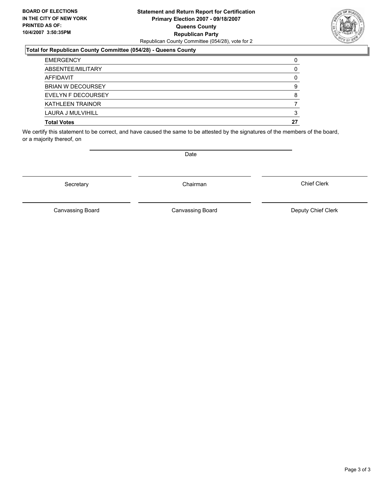### **Statement and Return Report for Certification Primary Election 2007 - 09/18/2007 Queens County Republican Party** Republican County Committee (054/28), vote for 2



#### **Total for Republican County Committee (054/28) - Queens County**

| <b>EMERGENCY</b>         |    |
|--------------------------|----|
| ABSENTEE/MILITARY        |    |
| AFFIDAVIT                |    |
| <b>BRIAN W DECOURSEY</b> |    |
| EVELYN F DECOURSEY       |    |
| <b>KATHLEEN TRAINOR</b>  |    |
| LAURA J MULVIHILL        |    |
| <b>Total Votes</b>       | 27 |

We certify this statement to be correct, and have caused the same to be attested by the signatures of the members of the board, or a majority thereof, on

Secretary **Chairman** 

Date

Chief Clerk

Canvassing Board

Canvassing Board **Canvassing Board** Canvassing Board **Deputy Chief Clerk**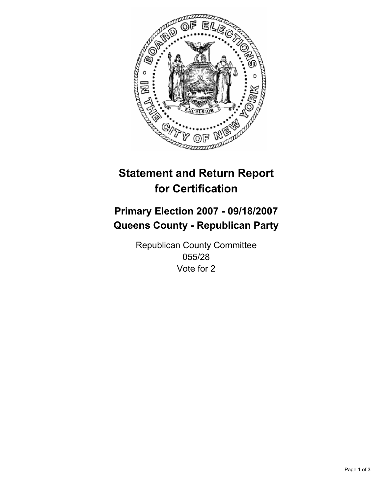

## **Primary Election 2007 - 09/18/2007 Queens County - Republican Party**

Republican County Committee 055/28 Vote for 2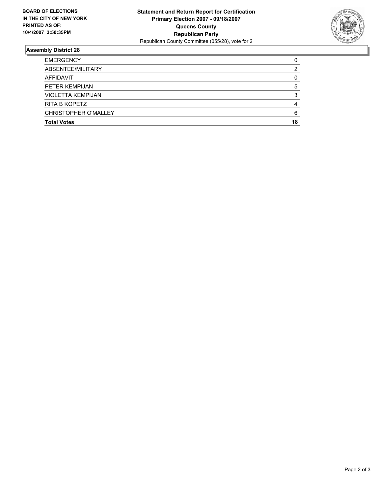

| <b>CHRISTOPHER O'MALLEY</b> |  |
|-----------------------------|--|
| <b>RITA B KOPETZ</b>        |  |
| <b>VIOLETTA KEMPIJAN</b>    |  |
| PETER KEMPIJAN              |  |
| AFFIDAVIT                   |  |
| ABSENTEE/MILITARY           |  |
| <b>EMERGENCY</b>            |  |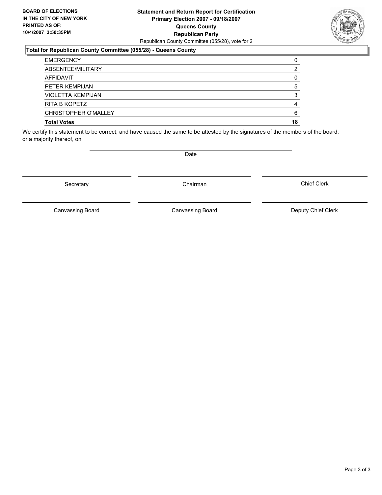### **Statement and Return Report for Certification Primary Election 2007 - 09/18/2007 Queens County Republican Party** Republican County Committee (055/28), vote for 2

### **Total for Republican County Committee (055/28) - Queens County**

| <b>EMERGENCY</b>         |    |
|--------------------------|----|
| ABSENTEE/MILITARY        |    |
| AFFIDAVIT                |    |
| PETER KEMPIJAN           |    |
| <b>VIOLETTA KEMPIJAN</b> |    |
| RITA B KOPETZ            |    |
| CHRISTOPHER O'MALLEY     |    |
| <b>Total Votes</b>       | 18 |

We certify this statement to be correct, and have caused the same to be attested by the signatures of the members of the board, or a majority thereof, on

Date

Secretary **Chairman** 

Canvassing Board

Canvassing Board Canvassing Board Canvassing Canvassing Board Deputy Chief Clerk

Chief Clerk

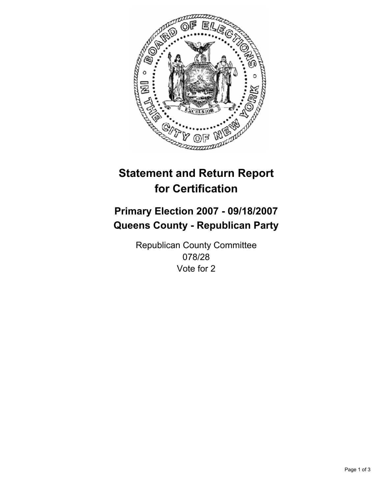

## **Primary Election 2007 - 09/18/2007 Queens County - Republican Party**

Republican County Committee 078/28 Vote for 2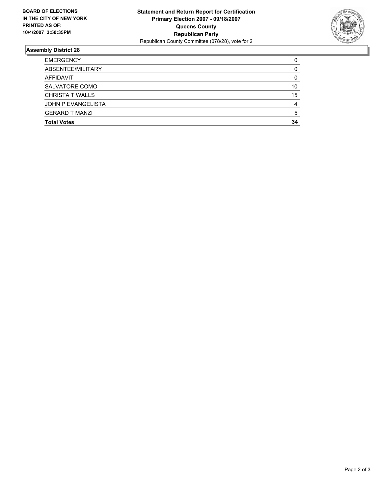

| <b>EMERGENCY</b>          |    |
|---------------------------|----|
| ABSENTEE/MILITARY         |    |
| AFFIDAVIT                 |    |
| SALVATORE COMO            | 10 |
| <b>CHRISTA T WALLS</b>    | 15 |
| <b>JOHN P EVANGELISTA</b> |    |
| <b>GERARD T MANZI</b>     |    |
| <b>Total Votes</b>        | 34 |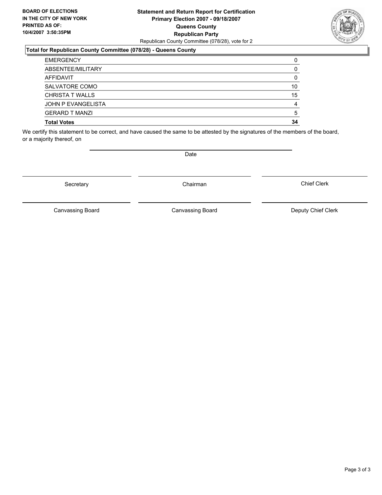### **Statement and Return Report for Certification Primary Election 2007 - 09/18/2007 Queens County Republican Party** Republican County Committee (078/28), vote for 2

### **Total for Republican County Committee (078/28) - Queens County**

| <b>EMERGENCY</b>       |    |
|------------------------|----|
| ABSENTEE/MILITARY      |    |
| AFFIDAVIT              |    |
| SALVATORE COMO         | 10 |
| <b>CHRISTA T WALLS</b> | 15 |
| JOHN P EVANGELISTA     |    |
| <b>GERARD T MANZI</b>  | 5  |
| <b>Total Votes</b>     | 34 |

We certify this statement to be correct, and have caused the same to be attested by the signatures of the members of the board, or a majority thereof, on

Secretary **Chairman** 

Canvassing Board

Canvassing Board Canvassing Board Canvassing Canvassing Board Deputy Chief Clerk

Chief Clerk



Date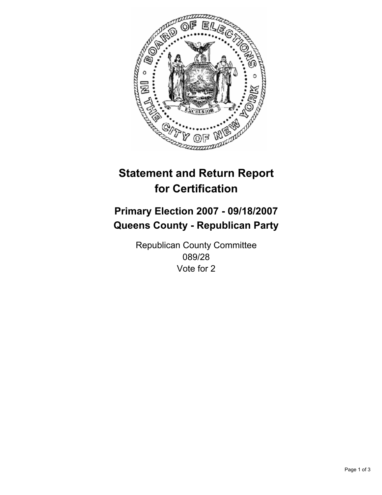

## **Primary Election 2007 - 09/18/2007 Queens County - Republican Party**

Republican County Committee 089/28 Vote for 2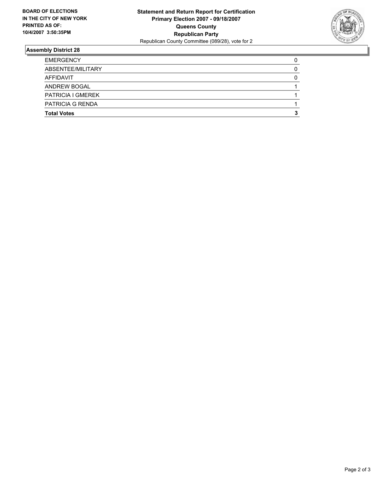

| <b>EMERGENCY</b>         |  |
|--------------------------|--|
| ABSENTEE/MILITARY        |  |
| AFFIDAVIT                |  |
| <b>ANDREW BOGAL</b>      |  |
| <b>PATRICIA I GMEREK</b> |  |
| <b>PATRICIA G RENDA</b>  |  |
| <b>Total Votes</b>       |  |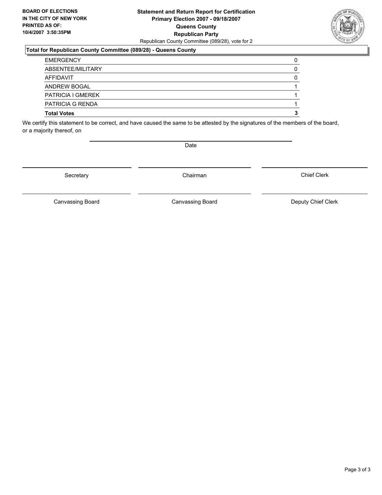### **Statement and Return Report for Certification Primary Election 2007 - 09/18/2007 Queens County Republican Party** Republican County Committee (089/28), vote for 2

### **Total for Republican County Committee (089/28) - Queens County**

| ANDREW BOGAL                                  |  |
|-----------------------------------------------|--|
| <b>PATRICIA I GMEREK</b>                      |  |
| <b>PATRICIA G RENDA</b><br><b>Total Votes</b> |  |

We certify this statement to be correct, and have caused the same to be attested by the signatures of the members of the board, or a majority thereof, on

Secretary **Chairman** 

Chief Clerk

Canvassing Board **Canvassing Board** Canvassing Board **Deputy Chief Clerk** 

Canvassing Board



Date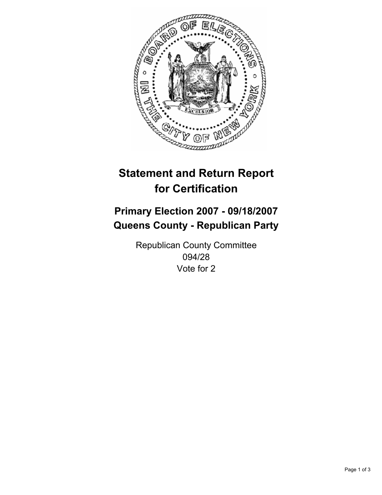

## **Primary Election 2007 - 09/18/2007 Queens County - Republican Party**

Republican County Committee 094/28 Vote for 2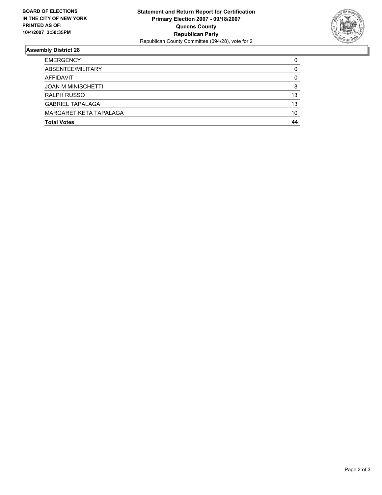

| <b>EMERGENCY</b>          |    |
|---------------------------|----|
| ABSENTEE/MILITARY         |    |
| AFFIDAVIT                 |    |
| <b>JOAN M MINISCHETTI</b> |    |
| <b>RALPH RUSSO</b>        | 13 |
| <b>GABRIEL TAPALAGA</b>   | 13 |
| MARGARET KETA TAPALAGA    | 10 |
| <b>Total Votes</b>        | 44 |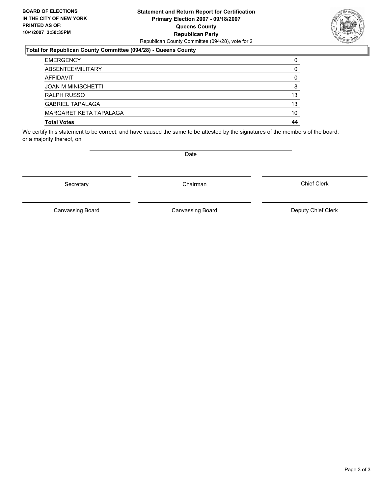### **Statement and Return Report for Certification Primary Election 2007 - 09/18/2007 Queens County Republican Party** Republican County Committee (094/28), vote for 2

### **Total for Republican County Committee (094/28) - Queens County**

| <b>EMERGENCY</b>          |    |
|---------------------------|----|
| ABSENTEE/MILITARY         |    |
| AFFIDAVIT                 |    |
| <b>JOAN M MINISCHETTI</b> | 8  |
| RALPH RUSSO               | 13 |
| <b>GABRIEL TAPALAGA</b>   | 13 |
| MARGARET KETA TAPALAGA    | 10 |
| <b>Total Votes</b>        | 44 |

We certify this statement to be correct, and have caused the same to be attested by the signatures of the members of the board, or a majority thereof, on

Secretary **Chairman** 

Canvassing Board

Canvassing Board Canvassing Board Canvassing Canvassing Board Deputy Chief Clerk

Chief Clerk



Date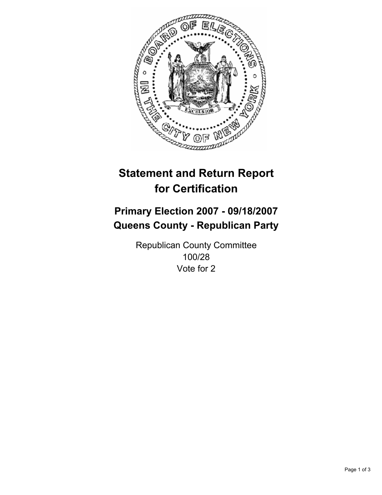

## **Primary Election 2007 - 09/18/2007 Queens County - Republican Party**

Republican County Committee 100/28 Vote for 2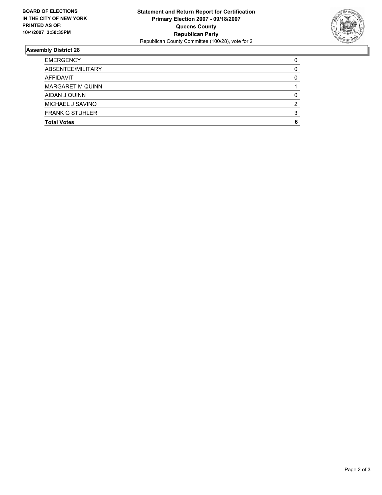

| <b>EMERGENCY</b>        |  |
|-------------------------|--|
| ABSENTEE/MILITARY       |  |
| AFFIDAVIT               |  |
| <b>MARGARET M QUINN</b> |  |
| AIDAN J QUINN           |  |
| MICHAEL J SAVINO        |  |
| <b>FRANK G STUHLER</b>  |  |
| <b>Total Votes</b>      |  |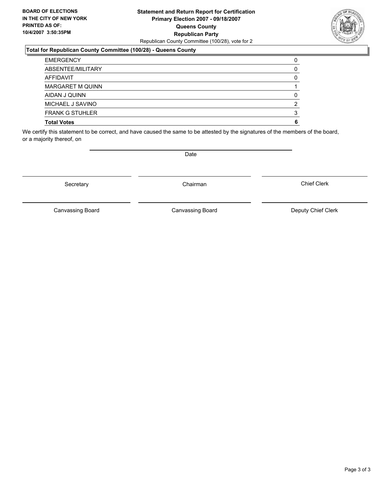### **Statement and Return Report for Certification Primary Election 2007 - 09/18/2007 Queens County Republican Party** Republican County Committee (100/28), vote for 2

### **Total for Republican County Committee (100/28) - Queens County**

| <b>EMERGENCY</b>        |  |
|-------------------------|--|
| ABSENTEE/MILITARY       |  |
| AFFIDAVIT               |  |
| <b>MARGARET M QUINN</b> |  |
| AIDAN J QUINN           |  |
| MICHAEL J SAVINO        |  |
| <b>FRANK G STUHLER</b>  |  |
| <b>Total Votes</b>      |  |

We certify this statement to be correct, and have caused the same to be attested by the signatures of the members of the board, or a majority thereof, on

Secretary **Chairman** 

Canvassing Board Canvassing Board Canvassing Canvassing Board Deputy Chief Clerk

Chief Clerk

Canvassing Board



Date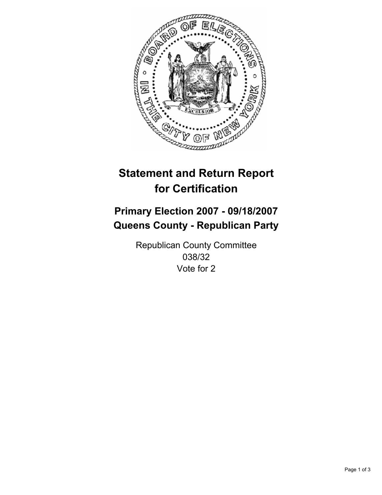

## **Primary Election 2007 - 09/18/2007 Queens County - Republican Party**

Republican County Committee 038/32 Vote for 2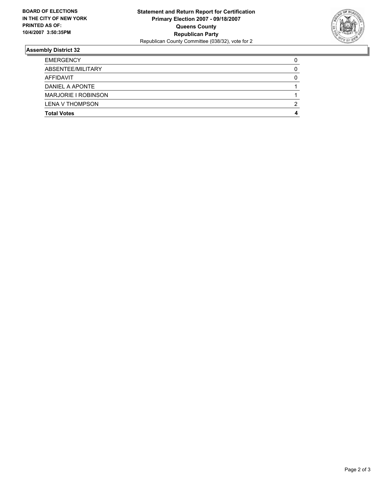

| <b>EMERGENCY</b>           |   |
|----------------------------|---|
| ABSENTEE/MILITARY          |   |
| AFFIDAVIT                  |   |
| DANIEL A APONTE            |   |
| <b>MARJORIE I ROBINSON</b> |   |
| <b>LENA V THOMPSON</b>     | ◠ |
| <b>Total Votes</b>         |   |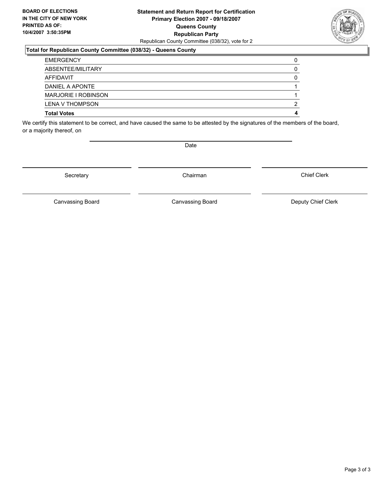### **Statement and Return Report for Certification Primary Election 2007 - 09/18/2007 Queens County Republican Party** Republican County Committee (038/32), vote for 2

### **Total for Republican County Committee (038/32) - Queens County**

| <b>EMERGENCY</b>           |  |
|----------------------------|--|
| ABSENTEE/MILITARY          |  |
| AFFIDAVIT                  |  |
| DANIEL A APONTE            |  |
| <b>MARJORIE I ROBINSON</b> |  |
| <b>LENA V THOMPSON</b>     |  |
| <b>Total Votes</b>         |  |

We certify this statement to be correct, and have caused the same to be attested by the signatures of the members of the board, or a majority thereof, on

Secretary **Chairman** 

Date

Chief Clerk

Canvassing Board **Canvassing Board** Canvassing Board **Deputy Chief Clerk** 

Canvassing Board

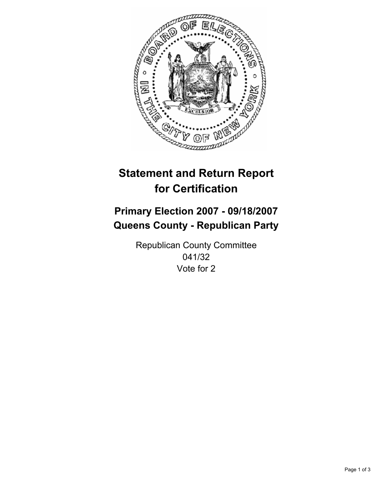

## **Primary Election 2007 - 09/18/2007 Queens County - Republican Party**

Republican County Committee 041/32 Vote for 2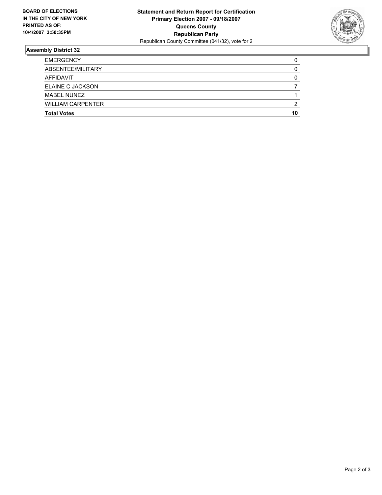

| <b>EMERGENCY</b>         |    |
|--------------------------|----|
| ABSENTEE/MILITARY        |    |
| <b>AFFIDAVIT</b>         |    |
| <b>ELAINE C JACKSON</b>  |    |
| <b>MABEL NUNEZ</b>       |    |
| <b>WILLIAM CARPENTER</b> | ົ  |
| <b>Total Votes</b>       | 10 |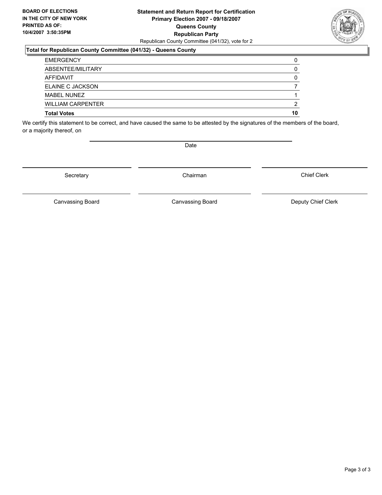### **Statement and Return Report for Certification Primary Election 2007 - 09/18/2007 Queens County Republican Party** Republican County Committee (041/32), vote for 2

### **Total for Republican County Committee (041/32) - Queens County**

| <b>EMERGENCY</b><br>ABSENTEE/MILITARY |    |
|---------------------------------------|----|
|                                       |    |
| AFFIDAVIT                             |    |
| <b>ELAINE C JACKSON</b>               |    |
| <b>MABEL NUNEZ</b>                    |    |
| <b>WILLIAM CARPENTER</b>              |    |
| <b>Total Votes</b>                    | 10 |

We certify this statement to be correct, and have caused the same to be attested by the signatures of the members of the board, or a majority thereof, on

Secretary **Chairman** 

Canvassing Board **Canvassing Board** Canvassing Board **Deputy Chief Clerk** 

Canvassing Board

Chief Clerk

Page 3 of 3



Date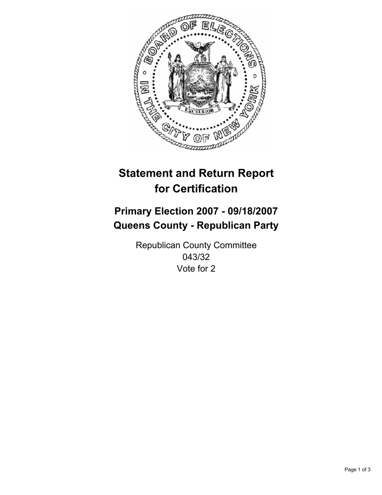

## **Primary Election 2007 - 09/18/2007 Queens County - Republican Party**

Republican County Committee 043/32 Vote for 2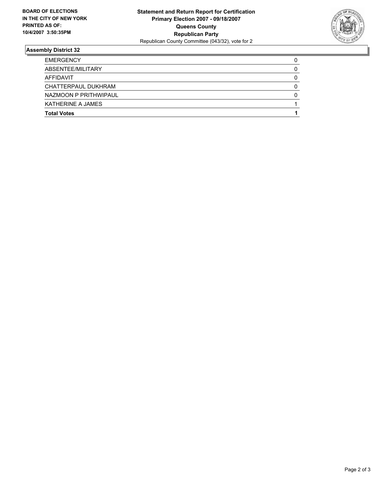

| <b>EMERGENCY</b>      |  |
|-----------------------|--|
| ABSENTEE/MILITARY     |  |
| AFFIDAVIT             |  |
| CHATTERPAUL DUKHRAM   |  |
| NAZMOON P PRITHWIPAUL |  |
| KATHERINE A JAMES     |  |
| <b>Total Votes</b>    |  |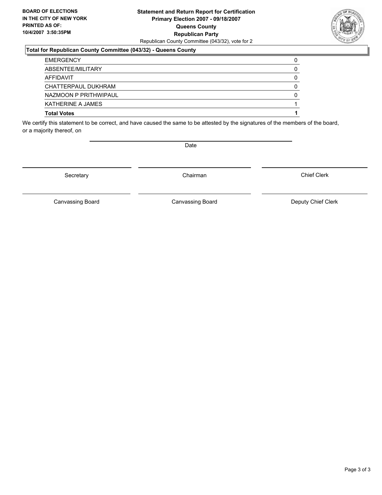### **Statement and Return Report for Certification Primary Election 2007 - 09/18/2007 Queens County Republican Party** Republican County Committee (043/32), vote for 2

### **Total for Republican County Committee (043/32) - Queens County**

| <b>EMERGENCY</b>         |  |
|--------------------------|--|
| ABSENTEE/MILITARY        |  |
| AFFIDAVIT                |  |
| CHATTERPAUL DUKHRAM      |  |
| NAZMOON P PRITHWIPAUL    |  |
| <b>KATHERINE A JAMES</b> |  |
| <b>Total Votes</b>       |  |

We certify this statement to be correct, and have caused the same to be attested by the signatures of the members of the board, or a majority thereof, on

Secretary **Chairman** 

Canvassing Board

Canvassing Board **Canvassing Board** Canvassing Board **Deputy Chief Clerk** 

Chief Clerk

Page 3 of 3



Date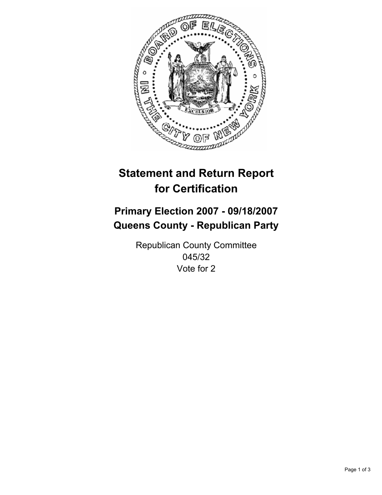

# **Statement and Return Report for Certification**

## **Primary Election 2007 - 09/18/2007 Queens County - Republican Party**

Republican County Committee 045/32 Vote for 2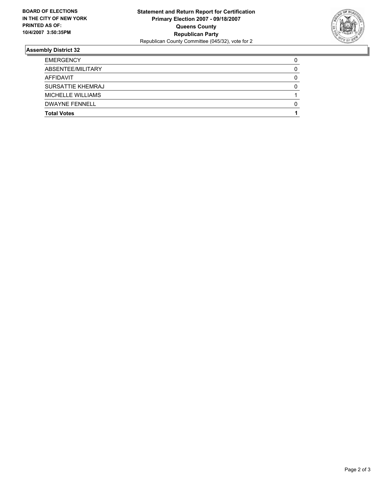

### **Assembly District 32**

| <b>EMERGENCY</b>         |  |
|--------------------------|--|
| ABSENTEE/MILITARY        |  |
| AFFIDAVIT                |  |
| SURSATTIE KHEMRAJ        |  |
| <b>MICHELLE WILLIAMS</b> |  |
| <b>DWAYNE FENNELL</b>    |  |
| <b>Total Votes</b>       |  |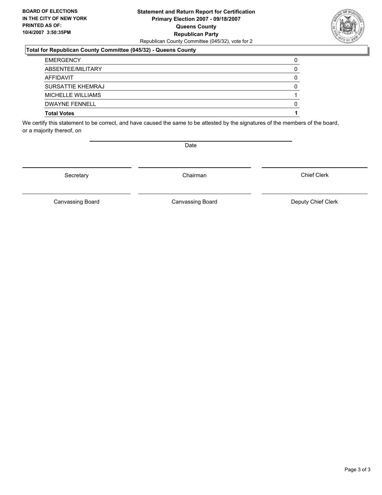### **Statement and Return Report for Certification Primary Election 2007 - 09/18/2007 Queens County Republican Party** Republican County Committee (045/32), vote for 2

### **Total for Republican County Committee (045/32) - Queens County**

| <b>Total Votes</b>    |  |
|-----------------------|--|
| <b>DWAYNE FENNELL</b> |  |
| MICHELLE WILLIAMS     |  |
| SURSATTIE KHEMRAJ     |  |
| AFFIDAVIT             |  |
| ABSENTEE/MILITARY     |  |
| <b>EMERGENCY</b>      |  |

We certify this statement to be correct, and have caused the same to be attested by the signatures of the members of the board, or a majority thereof, on

Secretary **Chairman** 

Chief Clerk

Canvassing Board **Canvassing Board** Canvassing Board **Deputy Chief Clerk** 

Canvassing Board



Date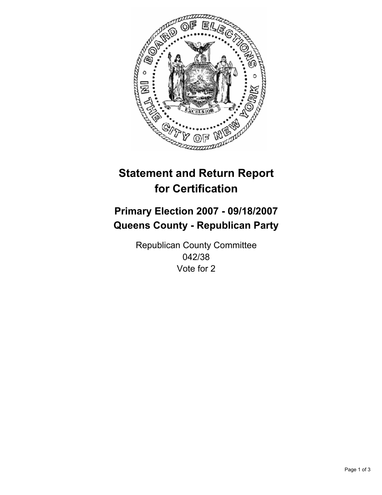

# **Statement and Return Report for Certification**

## **Primary Election 2007 - 09/18/2007 Queens County - Republican Party**

Republican County Committee 042/38 Vote for 2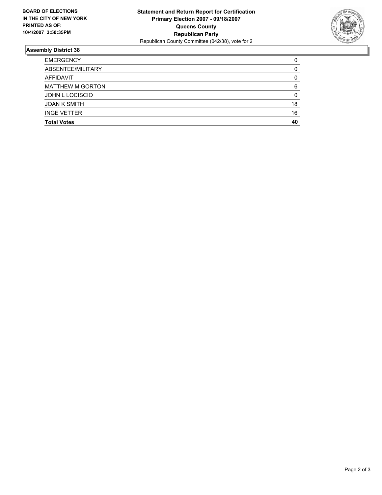

### **Assembly District 38**

| <b>Total Votes</b>      | 40 |
|-------------------------|----|
| <b>INGE VETTER</b>      | 16 |
| <b>JOAN K SMITH</b>     | 18 |
| <b>JOHN L LOCISCIO</b>  |    |
| <b>MATTHEW M GORTON</b> |    |
| AFFIDAVIT               |    |
| ABSENTEE/MILITARY       |    |
| <b>EMERGENCY</b>        |    |